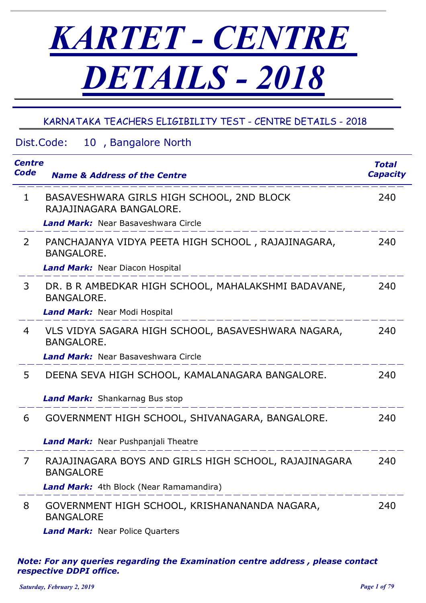# *KARTET - CENTRE DETAILS - 2018*

# KARNATAKA TEACHERS ELIGIBILITY TEST - CENTRE DETAILS - 2018

## Dist.Code: *Centre Code Name & Address of the Centre* 10, Bangalore North *Total Capacity* 1 BASAVESHWARA GIRLS HIGH SCHOOL, 2ND BLOCK RAJAJINAGARA BANGALORE. 240 *Land Mark:* Near Basaveshwara Circle 2 PANCHAJANYA VIDYA PEETA HIGH SCHOOL , RAJAJINAGARA, BANGALORE. 240 *Land Mark:* Near Diacon Hospital 3 DR. B R AMBEDKAR HIGH SCHOOL, MAHALAKSHMI BADAVANE, BANGALORE. 240 *Land Mark:* Near Modi Hospital 4 VLS VIDYA SAGARA HIGH SCHOOL, BASAVESHWARA NAGARA, BANGALORE. 240 *Land Mark:* Near Basaveshwara Circle 5 DEENA SEVA HIGH SCHOOL, KAMALANAGARA BANGALORE. 240 *Land Mark:* Shankarnag Bus stop 6 GOVERNMENT HIGH SCHOOL, SHIVANAGARA, BANGALORE. 240 *Land Mark:* Near Pushpanjali Theatre 7 RAJAJINAGARA BOYS AND GIRLS HIGH SCHOOL, RAJAJINAGARA BANGALORE 240 *Land Mark:* 4th Block (Near Ramamandira) 8 GOVERNMENT HIGH SCHOOL, KRISHANANANDA NAGARA, BANGALORE 240 *Land Mark:* Near Police Quarters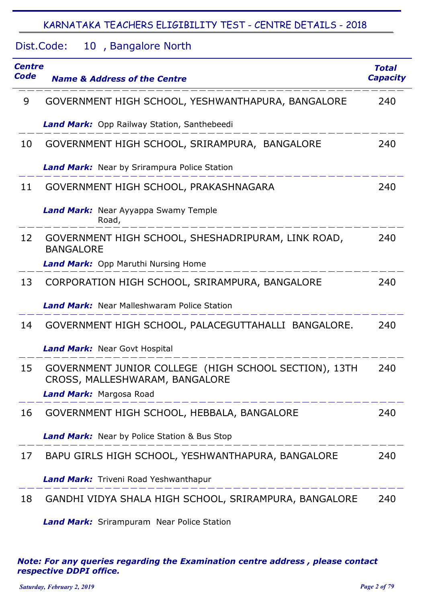#### Dist.Code: 10, Bangalore North

| <b>Centre</b><br>Code | <b>Name &amp; Address of the Centre</b>                                                 | <b>Total</b><br><b>Capacity</b> |
|-----------------------|-----------------------------------------------------------------------------------------|---------------------------------|
| 9                     | GOVERNMENT HIGH SCHOOL, YESHWANTHAPURA, BANGALORE                                       | 240                             |
|                       | <b>Land Mark:</b> Opp Railway Station, Santhebeedi                                      |                                 |
| 10                    | GOVERNMENT HIGH SCHOOL, SRIRAMPURA, BANGALORE                                           | 240                             |
|                       | <b>Land Mark:</b> Near by Srirampura Police Station                                     |                                 |
| 11                    | GOVERNMENT HIGH SCHOOL, PRAKASHNAGARA                                                   | 240                             |
|                       | Land Mark: Near Ayyappa Swamy Temple<br>Road,                                           |                                 |
| 12                    | GOVERNMENT HIGH SCHOOL, SHESHADRIPURAM, LINK ROAD,<br><b>BANGALORE</b>                  | 240                             |
|                       | <b>Land Mark:</b> Opp Maruthi Nursing Home                                              |                                 |
| 13                    | CORPORATION HIGH SCHOOL, SRIRAMPURA, BANGALORE                                          | 240                             |
|                       | <b>Land Mark:</b> Near Malleshwaram Police Station                                      |                                 |
| 14                    | GOVERNMENT HIGH SCHOOL, PALACEGUTTAHALLI BANGALORE.                                     | 240                             |
|                       | <b>Land Mark:</b> Near Govt Hospital                                                    |                                 |
| 15                    | GOVERNMENT JUNIOR COLLEGE (HIGH SCHOOL SECTION), 13TH<br>CROSS, MALLESHWARAM, BANGALORE | 240                             |
|                       | Land Mark: Margosa Road                                                                 |                                 |
| 16                    | GOVERNMENT HIGH SCHOOL, HEBBALA, BANGALORE                                              | 240                             |
|                       | <b>Land Mark:</b> Near by Police Station & Bus Stop                                     |                                 |
| 17                    | BAPU GIRLS HIGH SCHOOL, YESHWANTHAPURA, BANGALORE                                       | 240                             |
|                       | <b>Land Mark:</b> Triveni Road Yeshwanthapur                                            |                                 |
| 18                    | GANDHI VIDYA SHALA HIGH SCHOOL, SRIRAMPURA, BANGALORE                                   | 240                             |

*Land Mark:* Srirampuram Near Police Station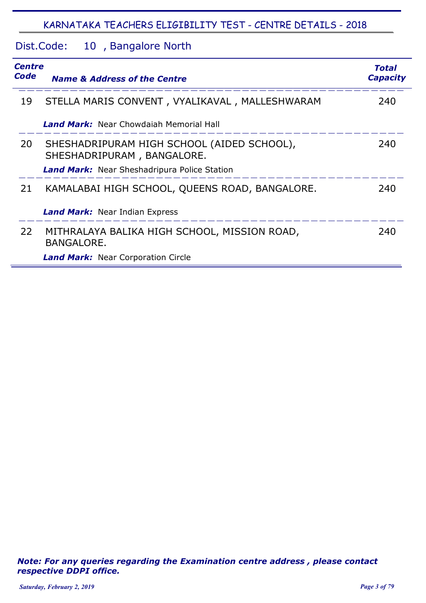#### Dist.Code: 10, Bangalore North

| <b>Centre</b><br><b>Code</b> | <b>Name &amp; Address of the Centre</b>                                  | <b>Total</b><br><b>Capacity</b> |
|------------------------------|--------------------------------------------------------------------------|---------------------------------|
| 19                           | STELLA MARIS CONVENT, VYALIKAVAL, MALLESHWARAM                           | 240                             |
|                              | <b>Land Mark:</b> Near Chowdaiah Memorial Hall                           |                                 |
| 20                           | SHESHADRIPURAM HIGH SCHOOL (AIDED SCHOOL),<br>SHESHADRIPURAM, BANGALORE. | 240                             |
|                              | <b>Land Mark:</b> Near Sheshadripura Police Station                      |                                 |
| 21                           | KAMALABAI HIGH SCHOOL, QUEENS ROAD, BANGALORE.                           | 240                             |
|                              | <b>Land Mark:</b> Near Indian Express                                    |                                 |
| 22                           | MITHRALAYA BALIKA HIGH SCHOOL, MISSION ROAD,<br><b>BANGALORE.</b>        | 240                             |
|                              | <b>Land Mark:</b> Near Corporation Circle                                |                                 |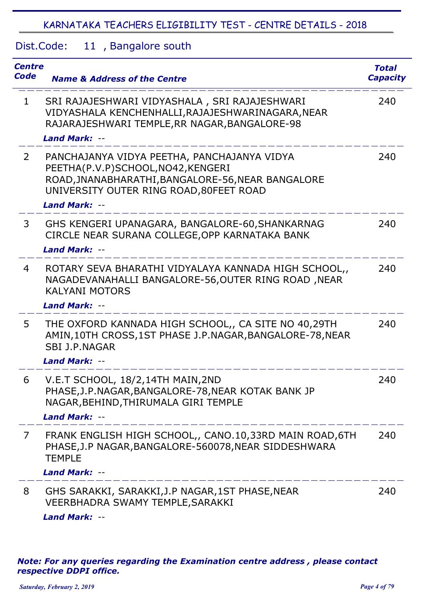#### Dist.Code: 11, Bangalore south

| <b>Centre</b><br>Code | <b>Name &amp; Address of the Centre</b>                                                                                                                                                                   | <b>Total</b><br><b>Capacity</b> |
|-----------------------|-----------------------------------------------------------------------------------------------------------------------------------------------------------------------------------------------------------|---------------------------------|
| $\mathbf{1}$          | SRI RAJAJESHWARI VIDYASHALA, SRI RAJAJESHWARI<br>VIDYASHALA KENCHENHALLI, RAJAJESHWARINAGARA, NEAR<br>RAJARAJESHWARI TEMPLE, RR NAGAR, BANGALORE-98                                                       | 240                             |
|                       | <b>Land Mark: --</b>                                                                                                                                                                                      |                                 |
| $\overline{2}$        | PANCHAJANYA VIDYA PEETHA, PANCHAJANYA VIDYA<br>PEETHA(P.V.P)SCHOOL, NO42, KENGERI<br>ROAD, JNANABHARATHI, BANGALORE-56, NEAR BANGALORE<br>UNIVERSITY OUTER RING ROAD, 80FEET ROAD<br><b>Land Mark: --</b> | 240                             |
| 3                     | GHS KENGERI UPANAGARA, BANGALORE-60, SHANKARNAG<br>CIRCLE NEAR SURANA COLLEGE, OPP KARNATAKA BANK<br><b>Land Mark: --</b>                                                                                 | 240                             |
| 4                     | ROTARY SEVA BHARATHI VIDYALAYA KANNADA HIGH SCHOOL,,<br>NAGADEVANAHALLI BANGALORE-56, OUTER RING ROAD, NEAR<br><b>KALYANI MOTORS</b>                                                                      | 240                             |
|                       | <b>Land Mark: --</b>                                                                                                                                                                                      |                                 |
| 5.                    | THE OXFORD KANNADA HIGH SCHOOL,, CA SITE NO 40,29TH<br>AMIN, 10TH CROSS, 1ST PHASE J.P. NAGAR, BANGALORE-78, NEAR<br><b>SBI J.P.NAGAR</b>                                                                 | 240                             |
|                       | Land Mark: --                                                                                                                                                                                             |                                 |
|                       | V.E.T SCHOOL, 18/2,14TH MAIN,2ND<br>PHASE, J.P. NAGAR, BANGALORE-78, NEAR KOTAK BANK JP<br>NAGAR, BEHIND, THIRUMALA GIRI TEMPLE<br>Land Mark: --                                                          | 240                             |
| $\overline{7}$        | FRANK ENGLISH HIGH SCHOOL,, CANO.10,33RD MAIN ROAD,6TH<br>PHASE, J.P NAGAR, BANGALORE-560078, NEAR SIDDESHWARA<br><b>TEMPLE</b>                                                                           | 240                             |
|                       | <b>Land Mark: --</b>                                                                                                                                                                                      |                                 |
| 8                     | GHS SARAKKI, SARAKKI, J.P NAGAR, 1ST PHASE, NEAR<br>VEERBHADRA SWAMY TEMPLE, SARAKKI<br><b>Land Mark: --</b>                                                                                              | 240                             |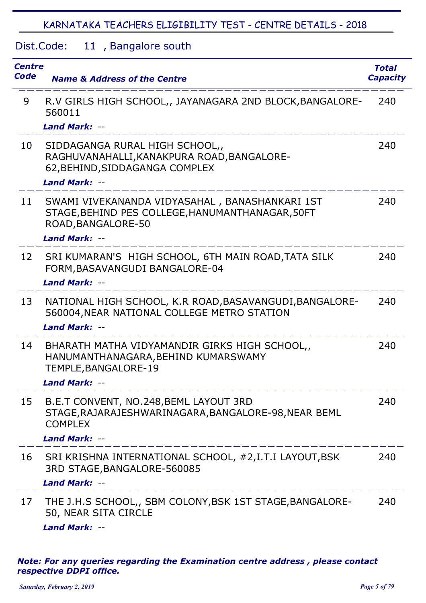Dist.Code: 11, Bangalore south

| Centre<br>Code | <b>Name &amp; Address of the Centre</b>                                                                                        | <b>Total</b><br><b>Capacity</b> |
|----------------|--------------------------------------------------------------------------------------------------------------------------------|---------------------------------|
| 9              | R.V GIRLS HIGH SCHOOL,, JAYANAGARA 2ND BLOCK, BANGALORE-<br>560011                                                             | 240                             |
|                | <b>Land Mark: --</b>                                                                                                           |                                 |
| 10             | SIDDAGANGA RURAL HIGH SCHOOL,,<br>RAGHUVANAHALLI, KANAKPURA ROAD, BANGALORE-<br>62, BEHIND, SIDDAGANGA COMPLEX                 | 240                             |
|                | Land Mark: --                                                                                                                  |                                 |
| 11             | SWAMI VIVEKANANDA VIDYASAHAL, BANASHANKARI 1ST<br>STAGE, BEHIND PES COLLEGE, HANUMANTHANAGAR, 50FT<br>ROAD, BANGALORE-50       | 240                             |
|                | Land Mark: --                                                                                                                  |                                 |
| 12             | SRI KUMARAN'S HIGH SCHOOL, 6TH MAIN ROAD, TATA SILK<br>FORM, BASAVANGUDI BANGALORE-04                                          | 240                             |
|                | <b>Land Mark: --</b>                                                                                                           |                                 |
| 13             | NATIONAL HIGH SCHOOL, K.R ROAD, BASAVANGUDI, BANGALORE-<br>560004, NEAR NATIONAL COLLEGE METRO STATION<br><b>Land Mark: --</b> | 240                             |
| 14             | BHARATH MATHA VIDYAMANDIR GIRKS HIGH SCHOOL,,<br>HANUMANTHANAGARA, BEHIND KUMARSWAMY<br>TEMPLE, BANGALORE-19                   | 240                             |
|                | <b>Land Mark: --</b>                                                                                                           |                                 |
| 15             | B.E.T CONVENT, NO.248, BEML LAYOUT 3RD<br>STAGE, RAJARAJESHWARINAGARA, BANGALORE-98, NEAR BEML<br><b>COMPLEX</b>               | 240                             |
|                | <b>Land Mark: --</b>                                                                                                           |                                 |
| 16             | SRI KRISHNA INTERNATIONAL SCHOOL, #2,I.T.I LAYOUT, BSK<br>3RD STAGE, BANGALORE-560085                                          | 240                             |
|                | <b>Land Mark: --</b>                                                                                                           |                                 |
| 17             | THE J.H.S SCHOOL,, SBM COLONY, BSK 1ST STAGE, BANGALORE-<br>50, NEAR SITA CIRCLE                                               | 240                             |
|                | <b>Land Mark: --</b>                                                                                                           |                                 |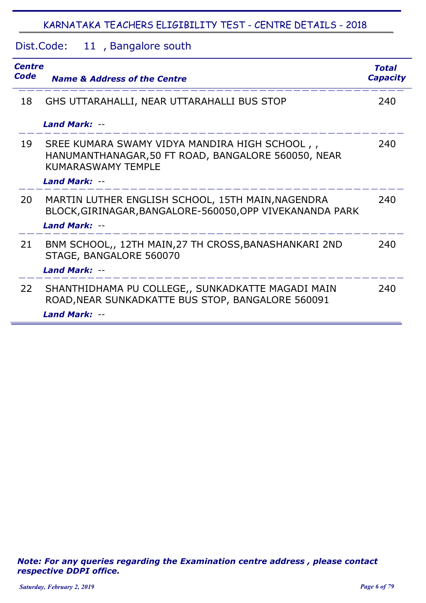Dist.Code: 11, Bangalore south

| <b>Centre</b><br>Code | <b>Name &amp; Address of the Centre</b>                                                                                          | <b>Total</b><br><b>Capacity</b> |
|-----------------------|----------------------------------------------------------------------------------------------------------------------------------|---------------------------------|
| 18                    | GHS UTTARAHALLI, NEAR UTTARAHALLI BUS STOP                                                                                       | 240                             |
|                       | <b>Land Mark: --</b>                                                                                                             |                                 |
| 19                    | SREE KUMARA SWAMY VIDYA MANDIRA HIGH SCHOOL,<br>HANUMANTHANAGAR, 50 FT ROAD, BANGALORE 560050, NEAR<br><b>KUMARASWAMY TEMPLE</b> | 240                             |
|                       | <b>Land Mark: --</b>                                                                                                             |                                 |
| 20                    | MARTIN LUTHER ENGLISH SCHOOL, 15TH MAIN, NAGENDRA<br>BLOCK, GIRINAGAR, BANGALORE-560050, OPP VIVEKANANDA PARK                    | 240                             |
|                       | <b>Land Mark: --</b>                                                                                                             |                                 |
| 21                    | BNM SCHOOL,, 12TH MAIN, 27 TH CROSS, BANASHANKARI 2ND<br>STAGE, BANGALORE 560070                                                 | 240                             |
|                       | <b>Land Mark: --</b>                                                                                                             |                                 |
| 22                    | SHANTHIDHAMA PU COLLEGE,, SUNKADKATTE MAGADI MAIN<br>ROAD, NEAR SUNKADKATTE BUS STOP, BANGALORE 560091<br>Land Mark: --          | 240                             |
|                       |                                                                                                                                  |                                 |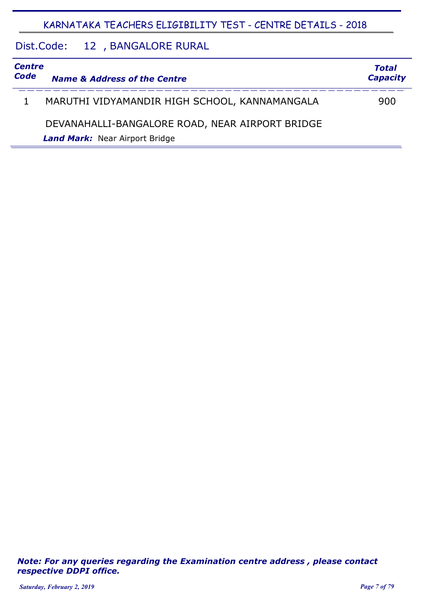#### Dist.Code: 12, BANGALORE RURAL

| <b>Centre</b><br>Code | <b>Name &amp; Address of the Centre</b>         | <b>Total</b><br><b>Capacity</b> |
|-----------------------|-------------------------------------------------|---------------------------------|
|                       |                                                 |                                 |
|                       | MARUTHI VIDYAMANDIR HIGH SCHOOL, KANNAMANGALA   | 900                             |
|                       | DEVANAHALLI-BANGALORE ROAD, NEAR AIRPORT BRIDGE |                                 |
|                       | <b>Land Mark:</b> Near Airport Bridge           |                                 |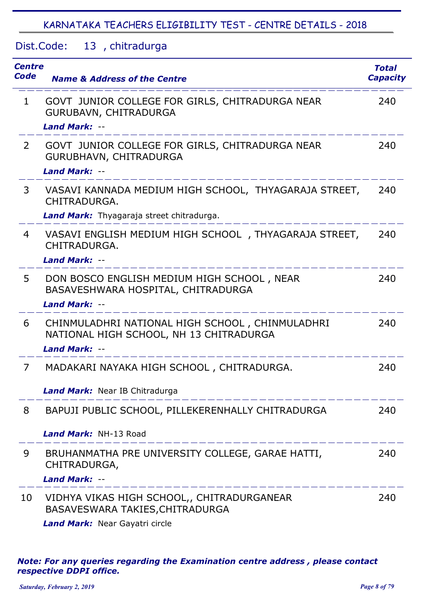Dist.Code: 13, chitradurga

| <b>Centre</b><br>Code | <b>Name &amp; Address of the Centre</b>                                                                            | <b>Total</b><br><b>Capacity</b> |
|-----------------------|--------------------------------------------------------------------------------------------------------------------|---------------------------------|
| $\mathbf{1}$          | GOVT JUNIOR COLLEGE FOR GIRLS, CHITRADURGA NEAR<br>GURUBAVN, CHITRADURGA                                           | 240                             |
|                       | <b>Land Mark: --</b>                                                                                               |                                 |
| $\overline{2}$        | GOVT JUNIOR COLLEGE FOR GIRLS, CHITRADURGA NEAR<br>GURUBHAVN, CHITRADURGA                                          | 240                             |
|                       | <b>Land Mark: --</b>                                                                                               |                                 |
| 3                     | VASAVI KANNADA MEDIUM HIGH SCHOOL, THYAGARAJA STREET,<br>CHITRADURGA.                                              | 240                             |
|                       | Land Mark: Thyagaraja street chitradurga.                                                                          |                                 |
| 4                     | VASAVI ENGLISH MEDIUM HIGH SCHOOL, THYAGARAJA STREET,<br>CHITRADURGA.                                              | 240                             |
|                       | <b>Land Mark: --</b>                                                                                               |                                 |
| 5                     | DON BOSCO ENGLISH MEDIUM HIGH SCHOOL, NEAR<br>BASAVESHWARA HOSPITAL, CHITRADURGA                                   | 240                             |
|                       | <b>Land Mark: --</b>                                                                                               |                                 |
| 6                     | CHINMULADHRI NATIONAL HIGH SCHOOL, CHINMULADHRI<br>NATIONAL HIGH SCHOOL, NH 13 CHITRADURGA<br><b>Land Mark: --</b> | 240                             |
| 7                     | MADAKARI NAYAKA HIGH SCHOOL, CHITRADURGA.                                                                          | 240                             |
|                       |                                                                                                                    |                                 |
|                       | Land Mark: Near IB Chitradurga                                                                                     |                                 |
| 8                     | BAPUJI PUBLIC SCHOOL, PILLEKERENHALLY CHITRADURGA                                                                  | 240                             |
|                       | Land Mark: NH-13 Road                                                                                              |                                 |
| 9                     | BRUHANMATHA PRE UNIVERSITY COLLEGE, GARAE HATTI,<br>CHITRADURGA,                                                   | 240                             |
|                       | <b>Land Mark: --</b>                                                                                               |                                 |
| 10                    | VIDHYA VIKAS HIGH SCHOOL,, CHITRADURGANEAR<br>BASAVESWARA TAKIES, CHITRADURGA                                      | 240                             |
|                       | <b>Land Mark:</b> Near Cavatri circle                                                                              |                                 |

*Land Mark:* Near Gayatri circle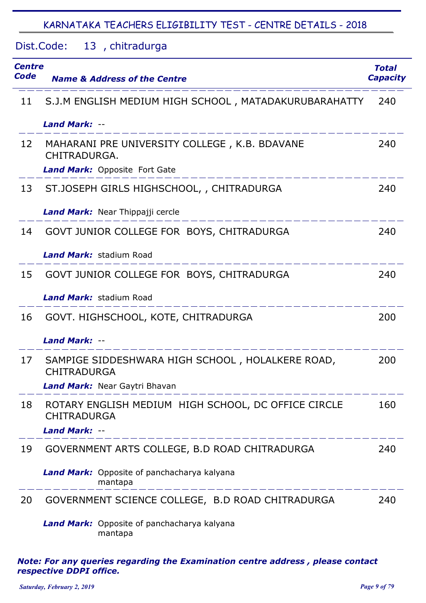#### Dist.Code: 13, chitradurga

| <b>Centre</b><br>Code | <b>Name &amp; Address of the Centre</b>                                   | Total<br><b>Capacity</b> |
|-----------------------|---------------------------------------------------------------------------|--------------------------|
| 11                    | S.J.M ENGLISH MEDIUM HIGH SCHOOL, MATADAKURUBARAHATTY                     | 240                      |
|                       | <b>Land Mark: --</b>                                                      |                          |
| 12                    | MAHARANI PRE UNIVERSITY COLLEGE, K.B. BDAVANE<br>CHITRADURGA.             | 240                      |
|                       | <b>Land Mark:</b> Opposite Fort Gate                                      |                          |
| 13                    | ST.JOSEPH GIRLS HIGHSCHOOL, , CHITRADURGA                                 | 240                      |
|                       | Land Mark: Near Thippajji cercle                                          |                          |
| 14                    | GOVT JUNIOR COLLEGE FOR BOYS, CHITRADURGA                                 | 240                      |
|                       | <b>Land Mark: stadium Road</b>                                            |                          |
| 15                    | GOVT JUNIOR COLLEGE FOR BOYS, CHITRADURGA                                 | 240                      |
|                       | <b>Land Mark:</b> stadium Road                                            |                          |
| 16                    | GOVT. HIGHSCHOOL, KOTE, CHITRADURGA                                       | 200                      |
|                       | <b>Land Mark: --</b>                                                      |                          |
| 17                    | SAMPIGE SIDDESHWARA HIGH SCHOOL, HOLALKERE ROAD,<br><b>CHITRADURGA</b>    | 200                      |
|                       | Land Mark: Near Gaytri Bhavan                                             |                          |
| 18                    | ROTARY ENGLISH MEDIUM HIGH SCHOOL, DC OFFICE CIRCLE<br><b>CHITRADURGA</b> | 160                      |
|                       | <b>Land Mark: --</b>                                                      |                          |
| 19                    | GOVERNMENT ARTS COLLEGE, B.D ROAD CHITRADURGA                             | 240                      |
|                       | Land Mark: Opposite of panchacharya kalyana<br>mantapa                    |                          |
| 20                    | GOVERNMENT SCIENCE COLLEGE, B.D ROAD CHITRADURGA                          | 240                      |
|                       | Land Mark: Opposite of panchacharya kalyana<br>mantapa                    |                          |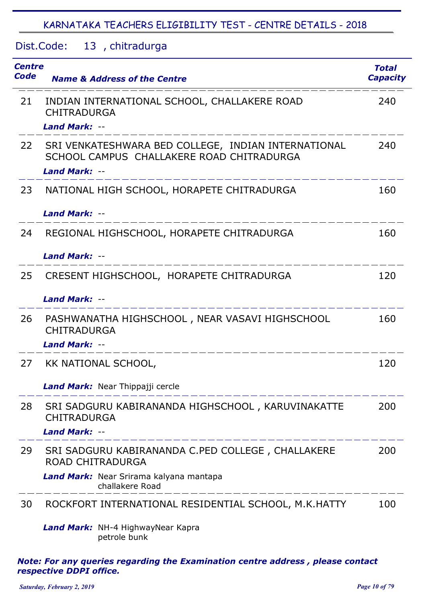#### Dist.Code: 13, chitradurga

| Centre<br>Code | <b>Name &amp; Address of the Centre</b>                                                                                  | <b>Total</b><br><b>Capacity</b> |
|----------------|--------------------------------------------------------------------------------------------------------------------------|---------------------------------|
| 21             | INDIAN INTERNATIONAL SCHOOL, CHALLAKERE ROAD<br><b>CHITRADURGA</b><br><b>Land Mark: --</b>                               | 240                             |
| 22             | SRI VENKATESHWARA BED COLLEGE, INDIAN INTERNATIONAL<br>SCHOOL CAMPUS CHALLAKERE ROAD CHITRADURGA<br><b>Land Mark: --</b> | 240                             |
| 23             | NATIONAL HIGH SCHOOL, HORAPETE CHITRADURGA                                                                               | 160                             |
|                | Land Mark: --                                                                                                            |                                 |
| 24             | REGIONAL HIGHSCHOOL, HORAPETE CHITRADURGA                                                                                | 160                             |
|                | Land Mark: --                                                                                                            |                                 |
| 25             | CRESENT HIGHSCHOOL, HORAPETE CHITRADURGA                                                                                 | 120                             |
|                | <b>Land Mark: --</b>                                                                                                     |                                 |
| 26             | PASHWANATHA HIGHSCHOOL, NEAR VASAVI HIGHSCHOOL<br><b>CHITRADURGA</b>                                                     | 160                             |
|                | <b>Land Mark: --</b>                                                                                                     |                                 |
| 27             | KK NATIONAL SCHOOL,                                                                                                      | 120                             |
|                | Land Mark: Near Thippajji cercle                                                                                         |                                 |
| 28             | SRI SADGURU KABIRANANDA HIGHSCHOOL, KARUVINAKATTE<br><b>CHITRADURGA</b>                                                  | 200                             |
|                | Land Mark: --                                                                                                            |                                 |
| 29             | SRI SADGURU KABIRANANDA C.PED COLLEGE, CHALLAKERE<br><b>ROAD CHITRADURGA</b>                                             | 200                             |
|                | Land Mark: Near Srirama kalyana mantapa<br>challakere Road                                                               |                                 |
| 30             | ROCKFORT INTERNATIONAL RESIDENTIAL SCHOOL, M.K.HATTY                                                                     | 100                             |
|                | Land Mark: NH-4 HighwayNear Kapra<br>petrole bunk                                                                        |                                 |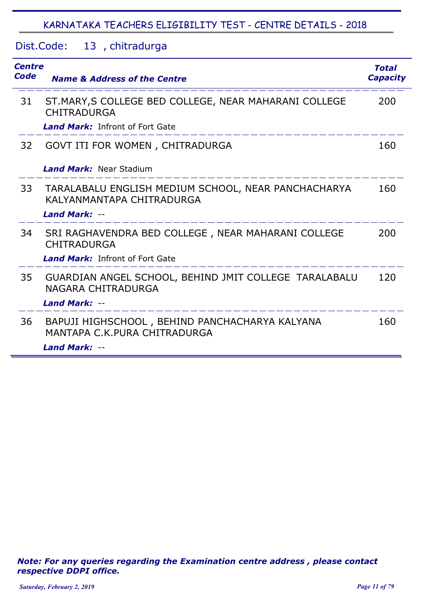#### Dist.Code: 13, chitradurga

| <b>Centre</b><br>Code | <b>Name &amp; Address of the Centre</b>                                          | <b>Total</b><br><b>Capacity</b> |
|-----------------------|----------------------------------------------------------------------------------|---------------------------------|
| 31                    | ST.MARY, S COLLEGE BED COLLEGE, NEAR MAHARANI COLLEGE<br><b>CHITRADURGA</b>      | 200                             |
|                       | <b>Land Mark:</b> Infront of Fort Gate                                           |                                 |
| 32                    | GOVT ITI FOR WOMEN, CHITRADURGA                                                  | 160                             |
|                       | <b>Land Mark: Near Stadium</b>                                                   |                                 |
| 33                    | TARALABALU ENGLISH MEDIUM SCHOOL, NEAR PANCHACHARYA<br>KALYANMANTAPA CHITRADURGA | 160                             |
|                       | <b>Land Mark: --</b>                                                             |                                 |
| 34                    | SRI RAGHAVENDRA BED COLLEGE, NEAR MAHARANI COLLEGE<br><b>CHITRADURGA</b>         | 200                             |
|                       | <b>Land Mark:</b> Infront of Fort Gate                                           |                                 |
| 35                    | GUARDIAN ANGEL SCHOOL, BEHIND JMIT COLLEGE TARALABALU<br>NAGARA CHITRADURGA      | 120                             |
|                       | Land Mark: --                                                                    |                                 |
| 36                    | BAPUJI HIGHSCHOOL, BEHIND PANCHACHARYA KALYANA<br>MANTAPA C.K.PURA CHITRADURGA   | 160                             |
|                       | Land Mark: --                                                                    |                                 |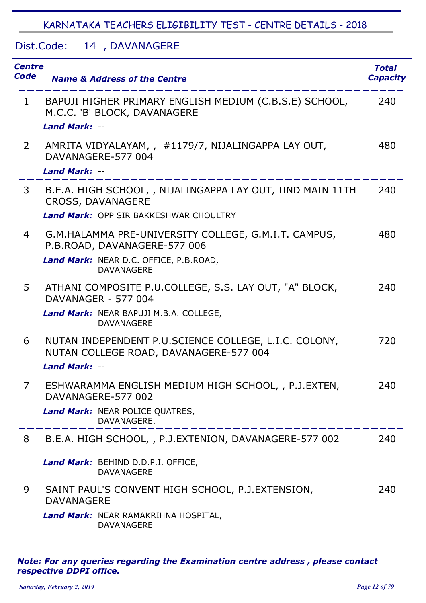#### Dist.Code: 14, DAVANAGERE

| <b>Centre</b><br>Code | <b>Name &amp; Address of the Centre</b>                                                                                                             | <b>Total</b><br><b>Capacity</b> |
|-----------------------|-----------------------------------------------------------------------------------------------------------------------------------------------------|---------------------------------|
| $\mathbf 1$           | BAPUJI HIGHER PRIMARY ENGLISH MEDIUM (C.B.S.E) SCHOOL,<br>M.C.C. 'B' BLOCK, DAVANAGERE<br><b>Land Mark: --</b>                                      | 240                             |
| $\mathbf{2}$          | AMRITA VIDYALAYAM,, #1179/7, NIJALINGAPPA LAY OUT,<br>DAVANAGERE-577 004<br>Land Mark: --                                                           | 480                             |
| 3                     | B.E.A. HIGH SCHOOL, , NIJALINGAPPA LAY OUT, IIND MAIN 11TH<br><b>CROSS, DAVANAGERE</b><br><b>Land Mark: OPP SIR BAKKESHWAR CHOULTRY</b>             | 240                             |
| 4                     | G.M.HALAMMA PRE-UNIVERSITY COLLEGE, G.M.I.T. CAMPUS,<br>P.B.ROAD, DAVANAGERE-577 006<br>Land Mark: NEAR D.C. OFFICE, P.B.ROAD,<br><b>DAVANAGERE</b> | 480                             |
| 5                     | ATHANI COMPOSITE P.U.COLLEGE, S.S. LAY OUT, "A" BLOCK,<br>DAVANAGER - 577 004<br>Land Mark: NEAR BAPUJI M.B.A. COLLEGE,<br><b>DAVANAGERE</b>        | 240                             |
| 6                     | NUTAN INDEPENDENT P.U.SCIENCE COLLEGE, L.I.C. COLONY,<br>NUTAN COLLEGE ROAD, DAVANAGERE-577 004<br>Land Mark: --                                    | 720                             |
| 7                     | ESHWARAMMA ENGLISH MEDIUM HIGH SCHOOL, , P.J.EXTEN,<br>DAVANAGERE-577 002<br>Land Mark: NEAR POLICE QUATRES,<br>DAVANAGERE.                         | 240                             |
| 8                     | B.E.A. HIGH SCHOOL, , P.J.EXTENION, DAVANAGERE-577 002                                                                                              | 240                             |
|                       | Land Mark: BEHIND D.D.P.I. OFFICE,<br><b>DAVANAGERE</b><br>_____________________                                                                    |                                 |
| 9                     | SAINT PAUL'S CONVENT HIGH SCHOOL, P.J.EXTENSION,<br><b>DAVANAGERE</b><br>Land Mark: NEAR RAMAKRIHNA HOSPITAL,<br><b>DAVANAGERE</b>                  | 240                             |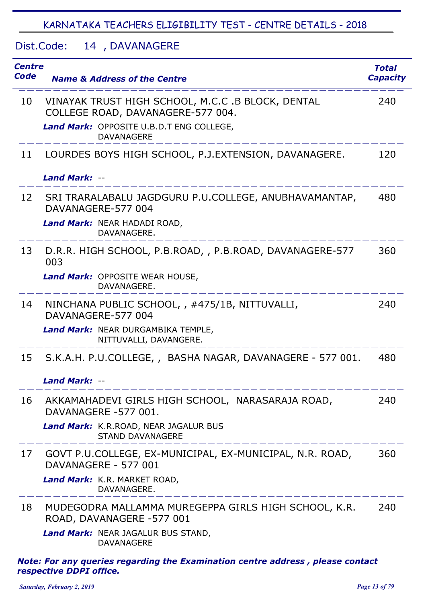#### Dist.Code: 14, DAVANAGERE

| <b>Centre</b><br><b>Code</b> | <b>Name &amp; Address of the Centre</b>                                                | Total<br><b>Capacity</b> |
|------------------------------|----------------------------------------------------------------------------------------|--------------------------|
| 10                           | VINAYAK TRUST HIGH SCHOOL, M.C.C .B BLOCK, DENTAL<br>COLLEGE ROAD, DAVANAGERE-577 004. | 240                      |
|                              | Land Mark: OPPOSITE U.B.D.T ENG COLLEGE,<br><b>DAVANAGERE</b>                          |                          |
| 11                           | LOURDES BOYS HIGH SCHOOL, P.J.EXTENSION, DAVANAGERE.                                   | 120                      |
|                              | <b>Land Mark: --</b>                                                                   |                          |
| 12                           | SRI TRARALABALU JAGDGURU P.U.COLLEGE, ANUBHAVAMANTAP,<br>DAVANAGERE-577 004            | 480                      |
|                              | Land Mark: NEAR HADADI ROAD,<br>DAVANAGERE.                                            |                          |
| 13                           | D.R.R. HIGH SCHOOL, P.B.ROAD, , P.B.ROAD, DAVANAGERE-577<br>003                        | 360                      |
|                              | Land Mark: OPPOSITE WEAR HOUSE,<br>DAVANAGERE.                                         |                          |
| 14                           | NINCHANA PUBLIC SCHOOL, , #475/1B, NITTUVALLI,<br>DAVANAGERE-577 004                   | 240                      |
|                              | Land Mark: NEAR DURGAMBIKA TEMPLE,<br>NITTUVALLI, DAVANGERE.                           |                          |
| 15                           | S.K.A.H. P.U.COLLEGE,, BASHA NAGAR, DAVANAGERE - 577 001.                              | 480                      |
|                              | <b>Land Mark: --</b>                                                                   |                          |
| 16                           | AKKAMAHADEVI GIRLS HIGH SCHOOL, NARASARAJA ROAD,<br>DAVANAGERE -577 001.               | 240                      |
|                              | Land Mark: K.R.ROAD, NEAR JAGALUR BUS<br><b>STAND DAVANAGERE</b>                       |                          |
| 17                           | GOVT P.U.COLLEGE, EX-MUNICIPAL, EX-MUNICIPAL, N.R. ROAD,<br>DAVANAGERE - 577 001       | 360                      |
|                              | Land Mark: K.R. MARKET ROAD,<br>DAVANAGERE.                                            |                          |
| 18                           | MUDEGODRA MALLAMMA MUREGEPPA GIRLS HIGH SCHOOL, K.R.<br>ROAD, DAVANAGERE -577 001      | 240                      |
|                              | Land Mark: NEAR JAGALUR BUS STAND,<br><b>DAVANAGERE</b>                                |                          |
|                              | Note: For any queries regarding the Examination centre address, please contact         |                          |

*respective DDPI office.*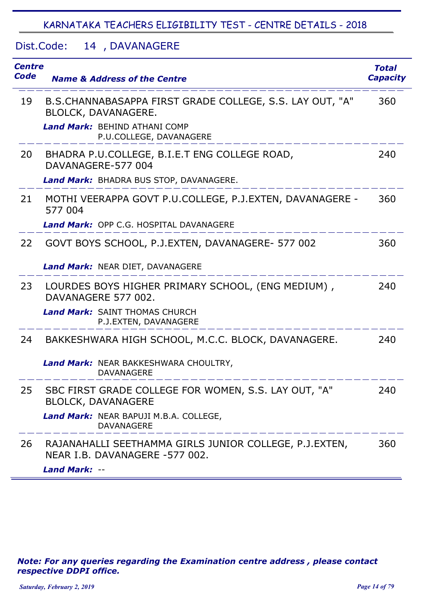Dist.Code: 14, DAVANAGERE

| <b>Centre</b><br>Code | <b>Name &amp; Address of the Centre</b>                                                  | <b>Total</b><br><b>Capacity</b> |
|-----------------------|------------------------------------------------------------------------------------------|---------------------------------|
| 19                    | B.S.CHANNABASAPPA FIRST GRADE COLLEGE, S.S. LAY OUT, "A"<br>BLOLCK, DAVANAGERE.          | 360                             |
|                       | <b>Land Mark: BEHIND ATHANI COMP</b><br>P.U.COLLEGE, DAVANAGERE                          |                                 |
| 20                    | BHADRA P.U.COLLEGE, B.I.E.T ENG COLLEGE ROAD,<br>DAVANAGERE-577 004                      | 240                             |
|                       | Land Mark: BHADRA BUS STOP, DAVANAGERE.                                                  |                                 |
| 21                    | MOTHI VEERAPPA GOVT P.U.COLLEGE, P.J.EXTEN, DAVANAGERE -<br>577 004                      | 360                             |
|                       | <b>Land Mark: OPP C.G. HOSPITAL DAVANAGERE</b>                                           |                                 |
| 22                    | GOVT BOYS SCHOOL, P.J.EXTEN, DAVANAGERE- 577 002                                         | 360                             |
|                       | Land Mark: NEAR DIET, DAVANAGERE                                                         |                                 |
| 23                    | LOURDES BOYS HIGHER PRIMARY SCHOOL, (ENG MEDIUM),<br>DAVANAGERE 577 002.                 | 240                             |
|                       | <b>Land Mark: SAINT THOMAS CHURCH</b><br>P.J.EXTEN, DAVANAGERE                           |                                 |
| 24                    | BAKKESHWARA HIGH SCHOOL, M.C.C. BLOCK, DAVANAGERE.                                       | 240                             |
|                       | Land Mark: NEAR BAKKESHWARA CHOULTRY,<br><b>DAVANAGERE</b>                               |                                 |
| 25                    | SBC FIRST GRADE COLLEGE FOR WOMEN, S.S. LAY OUT, "A"<br><b>BLOLCK, DAVANAGERE</b>        | 240                             |
|                       | Land Mark: NEAR BAPUJI M.B.A. COLLEGE,<br><b>DAVANAGERE</b>                              |                                 |
| 26                    | RAJANAHALLI SEETHAMMA GIRLS JUNIOR COLLEGE, P.J.EXTEN,<br>NEAR I.B. DAVANAGERE -577 002. | 360                             |
|                       | <b>Land Mark: --</b>                                                                     |                                 |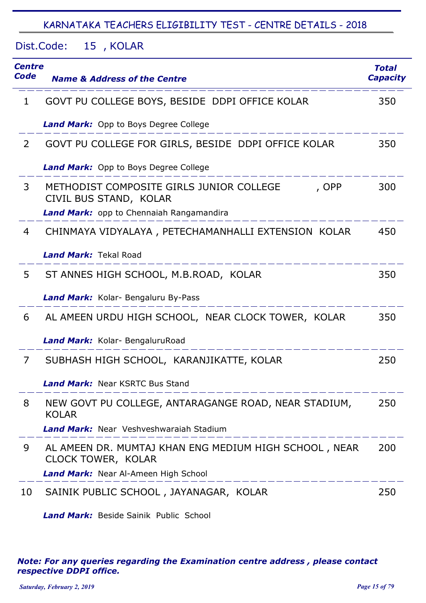Dist.Code: 15, KOLAR

| Centre<br>Code | <b>Name &amp; Address of the Centre</b>                                            | <b>Total</b><br><b>Capacity</b> |
|----------------|------------------------------------------------------------------------------------|---------------------------------|
| 1              | GOVT PU COLLEGE BOYS, BESIDE DDPI OFFICE KOLAR                                     | 350                             |
|                | <b>Land Mark:</b> Opp to Boys Degree College                                       |                                 |
| $\overline{2}$ | GOVT PU COLLEGE FOR GIRLS, BESIDE DDPI OFFICE KOLAR                                | 350                             |
|                | <b>Land Mark:</b> Opp to Boys Degree College                                       |                                 |
| 3              | METHODIST COMPOSITE GIRLS JUNIOR COLLEGE<br>, OPP<br>CIVIL BUS STAND, KOLAR        | 300                             |
|                | <b>Land Mark:</b> opp to Chennaiah Rangamandira                                    |                                 |
| 4              | CHINMAYA VIDYALAYA, PETECHAMANHALLI EXTENSION KOLAR                                | 450                             |
|                | <b>Land Mark: Tekal Road</b>                                                       |                                 |
| 5              | ST ANNES HIGH SCHOOL, M.B.ROAD, KOLAR                                              | 350                             |
|                | Land Mark: Kolar- Bengaluru By-Pass                                                |                                 |
| 6              | AL AMEEN URDU HIGH SCHOOL, NEAR CLOCK TOWER, KOLAR                                 | 350                             |
|                | Land Mark: Kolar- BengaluruRoad                                                    |                                 |
| 7              | SUBHASH HIGH SCHOOL, KARANJIKATTE, KOLAR                                           | 250                             |
|                | <b>Land Mark: Near KSRTC Bus Stand</b>                                             |                                 |
| 8              | NEW GOVT PU COLLEGE, ANTARAGANGE ROAD, NEAR STADIUM,<br><b>KOLAR</b>               | 250                             |
|                | Land Mark: Near Veshveshwaraiah Stadium                                            |                                 |
| 9              | AL AMEEN DR. MUMTAJ KHAN ENG MEDIUM HIGH SCHOOL, NEAR<br><b>CLOCK TOWER, KOLAR</b> | 200                             |
|                | Land Mark: Near Al-Ameen High School                                               |                                 |
| 10             | SAINIK PUBLIC SCHOOL, JAYANAGAR, KOLAR                                             | 250                             |

*Land Mark:* Beside Sainik Public School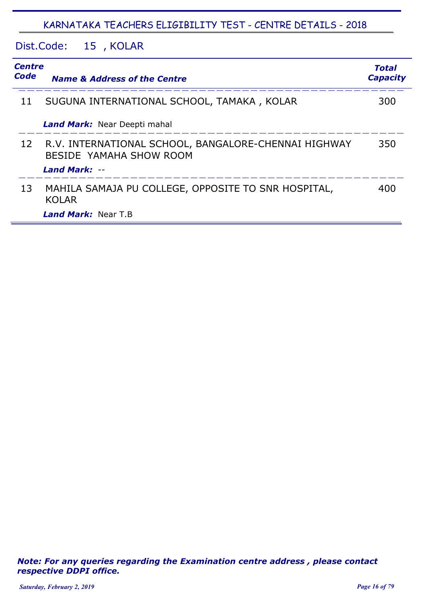Dist.Code: 15, KOLAR

| <b>Centre</b><br>Code | <b>Name &amp; Address of the Centre</b>                                         | Total<br><b>Capacity</b> |
|-----------------------|---------------------------------------------------------------------------------|--------------------------|
| 11                    | SUGUNA INTERNATIONAL SCHOOL, TAMAKA, KOLAR                                      | 300                      |
|                       | Land Mark: Near Deepti mahal                                                    |                          |
| 12                    | R.V. INTERNATIONAL SCHOOL, BANGALORE-CHENNAI HIGHWAY<br>BESIDE YAMAHA SHOW ROOM | 350                      |
|                       | Land Mark: --                                                                   |                          |
| 13                    | MAHILA SAMAJA PU COLLEGE, OPPOSITE TO SNR HOSPITAL,<br><b>KOLAR</b>             | 400                      |
|                       | <b>Land Mark:</b> Near T.B                                                      |                          |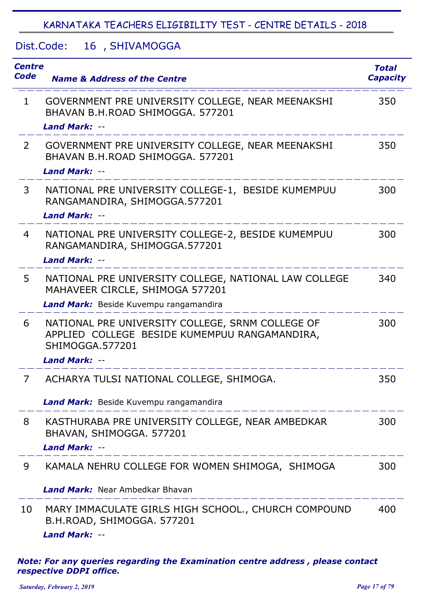#### Dist.Code: 16, SHIVAMOGGA

| <b>Centre</b><br>Code | <b>Name &amp; Address of the Centre</b>                                                                                                             | <b>Total</b><br><b>Capacity</b> |
|-----------------------|-----------------------------------------------------------------------------------------------------------------------------------------------------|---------------------------------|
| $\mathbf{1}$          | GOVERNMENT PRE UNIVERSITY COLLEGE, NEAR MEENAKSHI<br>BHAVAN B.H.ROAD SHIMOGGA, 577201<br><b>Land Mark: --</b>                                       | 350                             |
| 2                     | GOVERNMENT PRE UNIVERSITY COLLEGE, NEAR MEENAKSHI<br>BHAVAN B.H.ROAD SHIMOGGA. 577201<br><b>Land Mark: --</b>                                       | 350                             |
| 3                     | NATIONAL PRE UNIVERSITY COLLEGE-1, BESIDE KUMEMPUU<br>RANGAMANDIRA, SHIMOGGA.577201<br><b>Land Mark: --</b>                                         | 300                             |
| 4                     | NATIONAL PRE UNIVERSITY COLLEGE-2, BESIDE KUMEMPUU<br>RANGAMANDIRA, SHIMOGGA.577201<br><b>Land Mark: --</b>                                         | 300                             |
| 5                     | NATIONAL PRE UNIVERSITY COLLEGE, NATIONAL LAW COLLEGE<br>MAHAVEER CIRCLE, SHIMOGA 577201<br>Land Mark: Beside Kuvempu rangamandira                  | 340                             |
| 6                     | NATIONAL PRE UNIVERSITY COLLEGE, SRNM COLLEGE OF<br>APPLIED COLLEGE BESIDE KUMEMPUU RANGAMANDIRA,<br><b>SHIMOGGA.577201</b><br><b>Land Mark: --</b> | 300                             |
| 7                     | ACHARYA TULSI NATIONAL COLLEGE, SHIMOGA.<br>Land Mark: Beside Kuvempu rangamandira                                                                  | 350                             |
| 8                     | KASTHURABA PRE UNIVERSITY COLLEGE, NEAR AMBEDKAR<br>BHAVAN, SHIMOGGA. 577201<br><b>Land Mark: --</b><br>_ _ _ _ _ _ _ _ _ _ _ _ _ _ _               | 300                             |
| 9                     | KAMALA NEHRU COLLEGE FOR WOMEN SHIMOGA, SHIMOGA                                                                                                     | 300                             |
|                       | <b>Land Mark:</b> Near Ambedkar Bhavan                                                                                                              |                                 |
| 10                    | MARY IMMACULATE GIRLS HIGH SCHOOL., CHURCH COMPOUND<br>B.H.ROAD, SHIMOGGA. 577201<br>Land Mark: --                                                  | 400                             |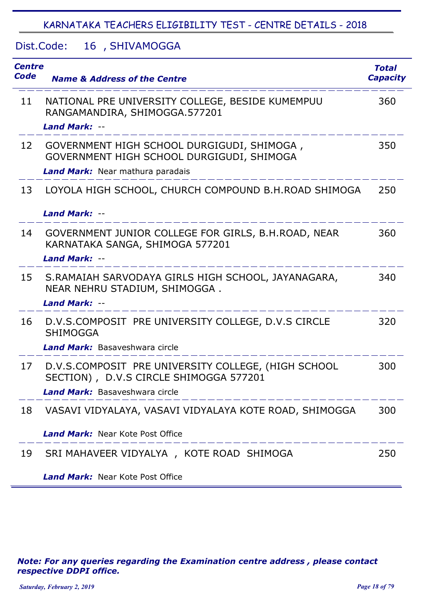#### Dist.Code: 16, SHIVAMOGGA

| <b>Centre</b><br>Code | <b>Name &amp; Address of the Centre</b>                                                                                                | <b>Total</b><br><b>Capacity</b> |
|-----------------------|----------------------------------------------------------------------------------------------------------------------------------------|---------------------------------|
| 11                    | NATIONAL PRE UNIVERSITY COLLEGE, BESIDE KUMEMPUU<br>RANGAMANDIRA, SHIMOGGA.577201<br><b>Land Mark: --</b>                              | 360                             |
| 12                    | GOVERNMENT HIGH SCHOOL DURGIGUDI, SHIMOGA,<br>GOVERNMENT HIGH SCHOOL DURGIGUDI, SHIMOGA<br>Land Mark: Near mathura paradais            | 350                             |
| 13                    | LOYOLA HIGH SCHOOL, CHURCH COMPOUND B.H.ROAD SHIMOGA<br>Land Mark: --                                                                  | 250                             |
| 14                    | GOVERNMENT JUNIOR COLLEGE FOR GIRLS, B.H.ROAD, NEAR<br>KARNATAKA SANGA, SHIMOGA 577201<br><b>Land Mark: --</b>                         | 360                             |
| 15                    | S.RAMAIAH SARVODAYA GIRLS HIGH SCHOOL, JAYANAGARA,<br>NEAR NEHRU STADIUM, SHIMOGGA.<br><b>Land Mark: --</b>                            | 340                             |
| 16                    | D.V.S.COMPOSIT PRE UNIVERSITY COLLEGE, D.V.S CIRCLE<br><b>SHIMOGGA</b><br><b>Land Mark:</b> Basaveshwara circle                        | 320                             |
| 17                    | D.V.S.COMPOSIT PRE UNIVERSITY COLLEGE, (HIGH SCHOOL<br>SECTION), D.V.S CIRCLE SHIMOGGA 577201<br><b>Land Mark:</b> Basaveshwara circle | 300                             |
| 18                    | VASAVI VIDYALAYA, VASAVI VIDYALAYA KOTE ROAD, SHIMOGGA<br><b>Land Mark:</b> Near Kote Post Office                                      | 300                             |
| 19                    | SRI MAHAVEER VIDYALYA, KOTE ROAD SHIMOGA<br><b>Land Mark: Near Kote Post Office</b>                                                    | 250                             |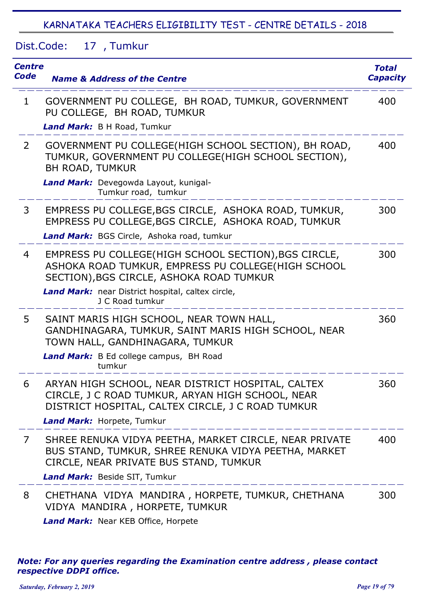Dist.Code: 17 Tumkur ,

| <b>Centre</b><br>Code | <b>Name &amp; Address of the Centre</b>                                                                                                                                                                                        | <b>Total</b><br><b>Capacity</b> |
|-----------------------|--------------------------------------------------------------------------------------------------------------------------------------------------------------------------------------------------------------------------------|---------------------------------|
| $\mathbf{1}$          | GOVERNMENT PU COLLEGE, BH ROAD, TUMKUR, GOVERNMENT<br>PU COLLEGE, BH ROAD, TUMKUR<br>Land Mark: B H Road, Tumkur                                                                                                               | 400                             |
| $\mathbf{2}^{\prime}$ | GOVERNMENT PU COLLEGE(HIGH SCHOOL SECTION), BH ROAD,<br>TUMKUR, GOVERNMENT PU COLLEGE(HIGH SCHOOL SECTION),<br><b>BH ROAD, TUMKUR</b><br>Land Mark: Devegowda Layout, kunigal-<br>Tumkur road, tumkur                          | 400                             |
| 3                     | EMPRESS PU COLLEGE, BGS CIRCLE, ASHOKA ROAD, TUMKUR,<br>EMPRESS PU COLLEGE, BGS CIRCLE, ASHOKA ROAD, TUMKUR<br>Land Mark: BGS Circle, Ashoka road, tumkur                                                                      | 300                             |
| 4                     | EMPRESS PU COLLEGE(HIGH SCHOOL SECTION), BGS CIRCLE,<br>ASHOKA ROAD TUMKUR, EMPRESS PU COLLEGE(HIGH SCHOOL<br>SECTION), BGS CIRCLE, ASHOKA ROAD TUMKUR<br>Land Mark: near District hospital, caltex circle,<br>J C Road tumkur | 300                             |
| 5                     | SAINT MARIS HIGH SCHOOL, NEAR TOWN HALL,<br>GANDHINAGARA, TUMKUR, SAINT MARIS HIGH SCHOOL, NEAR<br>TOWN HALL, GANDHINAGARA, TUMKUR<br>Land Mark: B Ed college campus, BH Road<br>tumkur                                        | 360                             |
| 6                     | ARYAN HIGH SCHOOL, NEAR DISTRICT HOSPITAL, CALTEX<br>CIRCLE, J C ROAD TUMKUR, ARYAN HIGH SCHOOL, NEAR<br>DISTRICT HOSPITAL, CALTEX CIRCLE, J C ROAD TUMKUR<br>Land Mark: Horpete, Tumkur                                       | 360                             |
| 7                     | SHREE RENUKA VIDYA PEETHA, MARKET CIRCLE, NEAR PRIVATE<br>BUS STAND, TUMKUR, SHREE RENUKA VIDYA PEETHA, MARKET<br>CIRCLE, NEAR PRIVATE BUS STAND, TUMKUR                                                                       | 400                             |
|                       | Land Mark: Beside SIT, Tumkur                                                                                                                                                                                                  |                                 |
| 8                     | CHETHANA VIDYA MANDIRA, HORPETE, TUMKUR, CHETHANA<br>VIDYA MANDIRA, HORPETE, TUMKUR                                                                                                                                            | 300                             |
|                       | Land Mark: Near KEB Office, Horpete                                                                                                                                                                                            |                                 |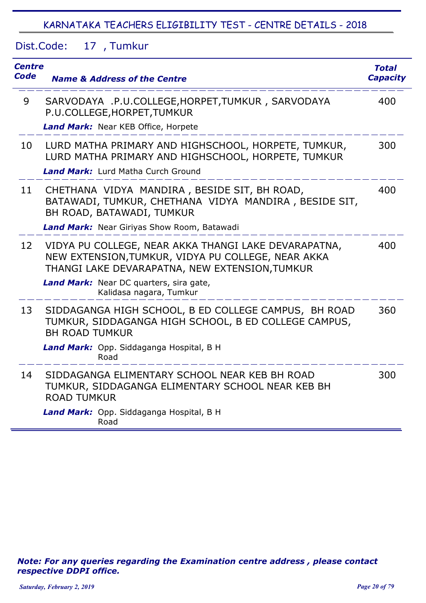Dist.Code: 17 Tumkur ,

| <b>Centre</b><br><b>Code</b> | <b>Name &amp; Address of the Centre</b>                                                                                                                      | <b>Total</b><br><b>Capacity</b> |
|------------------------------|--------------------------------------------------------------------------------------------------------------------------------------------------------------|---------------------------------|
| 9                            | SARVODAYA .P.U.COLLEGE, HORPET, TUMKUR, SARVODAYA<br>P.U.COLLEGE, HORPET, TUMKUR<br>Land Mark: Near KEB Office, Horpete                                      | 400                             |
| 10                           | LURD MATHA PRIMARY AND HIGHSCHOOL, HORPETE, TUMKUR,<br>LURD MATHA PRIMARY AND HIGHSCHOOL, HORPETE, TUMKUR<br><b>Land Mark:</b> Lurd Matha Curch Ground       | 300                             |
| 11                           | CHETHANA VIDYA MANDIRA, BESIDE SIT, BH ROAD,<br>BATAWADI, TUMKUR, CHETHANA VIDYA MANDIRA, BESIDE SIT,<br>BH ROAD, BATAWADI, TUMKUR                           | 400                             |
|                              | Land Mark: Near Giriyas Show Room, Batawadi                                                                                                                  |                                 |
| 12                           | VIDYA PU COLLEGE, NEAR AKKA THANGI LAKE DEVARAPATNA,<br>NEW EXTENSION, TUMKUR, VIDYA PU COLLEGE, NEAR AKKA<br>THANGI LAKE DEVARAPATNA, NEW EXTENSION, TUMKUR | 400                             |
|                              | Land Mark: Near DC quarters, sira gate,<br>Kalidasa nagara, Tumkur                                                                                           |                                 |
| 13                           | SIDDAGANGA HIGH SCHOOL, B ED COLLEGE CAMPUS, BH ROAD<br>TUMKUR, SIDDAGANGA HIGH SCHOOL, B ED COLLEGE CAMPUS,<br><b>BH ROAD TUMKUR</b>                        | 360                             |
|                              | Land Mark: Opp. Siddaganga Hospital, B H<br>Road                                                                                                             |                                 |
| 14                           | SIDDAGANGA ELIMENTARY SCHOOL NEAR KEB BH ROAD<br>TUMKUR, SIDDAGANGA ELIMENTARY SCHOOL NEAR KEB BH<br><b>ROAD TUMKUR</b>                                      | 300                             |
|                              | Land Mark: Opp. Siddaganga Hospital, B H<br>Road                                                                                                             |                                 |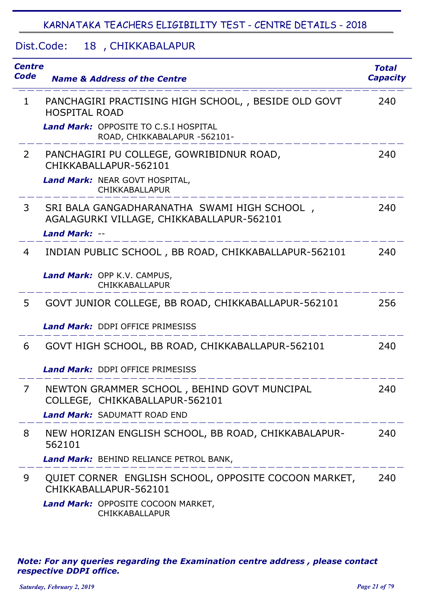#### Dist.Code: 18, CHIKKABALAPUR

| <b>Centre</b><br>Code | <b>Name &amp; Address of the Centre</b>                                                                               | Total<br><b>Capacity</b> |
|-----------------------|-----------------------------------------------------------------------------------------------------------------------|--------------------------|
| $\mathbf{1}$          | PANCHAGIRI PRACTISING HIGH SCHOOL, , BESIDE OLD GOVT<br><b>HOSPITAL ROAD</b>                                          | 240                      |
|                       | <b>Land Mark: OPPOSITE TO C.S.I HOSPITAL</b><br>ROAD, CHIKKABALAPUR -562101-                                          |                          |
| $\overline{2}$        | PANCHAGIRI PU COLLEGE, GOWRIBIDNUR ROAD,<br>CHIKKABALLAPUR-562101<br>Land Mark: NEAR GOVT HOSPITAL,<br>CHIKKABALLAPUR | 240                      |
| 3                     | SRI BALA GANGADHARANATHA SWAMI HIGH SCHOOL,<br>AGALAGURKI VILLAGE, CHIKKABALLAPUR-562101<br><b>Land Mark: --</b>      | 240                      |
| 4                     | INDIAN PUBLIC SCHOOL, BB ROAD, CHIKKABALLAPUR-562101                                                                  | 240                      |
|                       | Land Mark: OPP K.V. CAMPUS,<br>CHIKKABALLAPUR                                                                         |                          |
| 5                     | GOVT JUNIOR COLLEGE, BB ROAD, CHIKKABALLAPUR-562101                                                                   | 256                      |
|                       | <b>Land Mark: DDPI OFFICE PRIMESISS</b>                                                                               |                          |
| 6                     | GOVT HIGH SCHOOL, BB ROAD, CHIKKABALLAPUR-562101                                                                      | 240                      |
|                       | <b>Land Mark: DDPI OFFICE PRIMESISS</b>                                                                               |                          |
| 7                     | NEWTON GRAMMER SCHOOL, BEHIND GOVT MUNCIPAL<br>COLLEGE, CHIKKABALLAPUR-562101                                         | 240                      |
|                       | <b>Land Mark: SADUMATT ROAD END</b>                                                                                   |                          |
| 8                     | NEW HORIZAN ENGLISH SCHOOL, BB ROAD, CHIKKABALAPUR-<br>562101                                                         | 240                      |
|                       | Land Mark: BEHIND RELIANCE PETROL BANK,                                                                               |                          |
| 9                     | QUIET CORNER ENGLISH SCHOOL, OPPOSITE COCOON MARKET,<br>CHIKKABALLAPUR-562101                                         | 240                      |
|                       | Land Mark: OPPOSITE COCOON MARKET,<br>CHIKKABALLAPUR                                                                  |                          |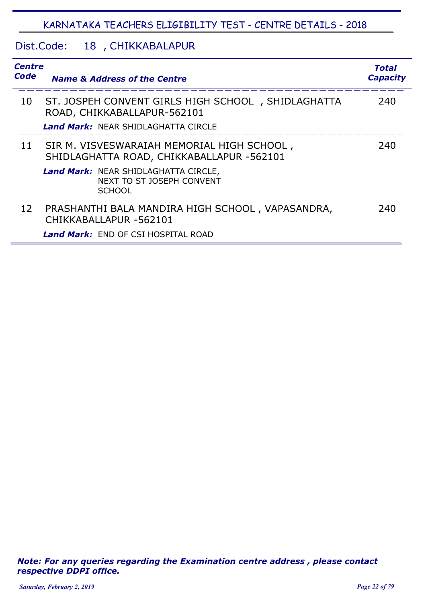#### Dist.Code: 18, CHIKKABALAPUR

| <b>Centre</b><br>Code | <b>Name &amp; Address of the Centre</b>                                                          | Total<br><b>Capacity</b> |
|-----------------------|--------------------------------------------------------------------------------------------------|--------------------------|
| 10                    | ST. JOSPEH CONVENT GIRLS HIGH SCHOOL, SHIDLAGHATTA<br>ROAD, CHIKKABALLAPUR-562101                | 240                      |
|                       | <b>Land Mark:</b> NEAR SHIDLAGHATTA CIRCLE                                                       |                          |
| 11                    | SIR M. VISVESWARAIAH MEMORIAL HIGH SCHOOL,<br>SHIDLAGHATTA ROAD, CHIKKABALLAPUR -562101          | 240                      |
|                       | <b>Land Mark:</b> NEAR SHIDLAGHATTA CIRCLE,<br><b>NEXT TO ST JOSEPH CONVENT</b><br><b>SCHOOL</b> |                          |
| 12                    | PRASHANTHI BALA MANDIRA HIGH SCHOOL, VAPASANDRA,<br>CHIKKABALLAPUR -562101                       | 240                      |
|                       | <b>Land Mark:</b> END OF CSI HOSPITAL ROAD                                                       |                          |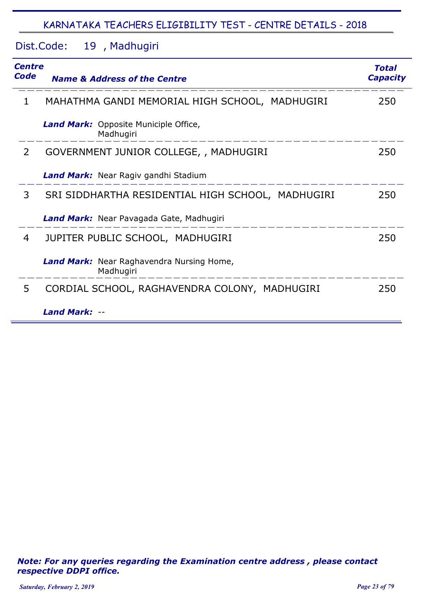Dist.Code: 19, Madhugiri

| Centre<br>Code | <b>Name &amp; Address of the Centre</b>                       | Total<br><b>Capacity</b> |
|----------------|---------------------------------------------------------------|--------------------------|
| 1              | MAHATHMA GANDI MEMORIAL HIGH SCHOOL, MADHUGIRI                | 250                      |
|                | <b>Land Mark:</b> Opposite Municiple Office,<br>Madhugiri     |                          |
| 2              | GOVERNMENT JUNIOR COLLEGE, , MADHUGIRI                        | 250                      |
|                | <b>Land Mark:</b> Near Ragiv gandhi Stadium                   |                          |
| 3              | SRI SIDDHARTHA RESIDENTIAL HIGH SCHOOL, MADHUGIRI             | 250                      |
|                | Land Mark: Near Pavagada Gate, Madhugiri                      |                          |
| 4              | JUPITER PUBLIC SCHOOL, MADHUGIRI                              | 250                      |
|                | <b>Land Mark:</b> Near Raghavendra Nursing Home,<br>Madhugiri |                          |
| 5              | CORDIAL SCHOOL, RAGHAVENDRA COLONY, MADHUGIRI                 | 250                      |
|                | <b>Land Mark:</b>                                             |                          |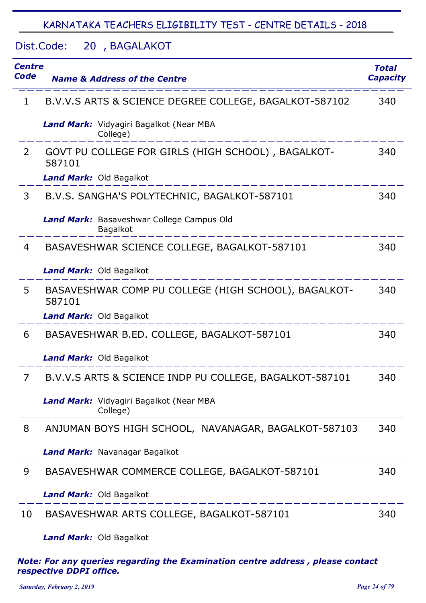Dist.Code: 20, BAGALAKOT

| <b>Centre</b><br>Code | <b>Name &amp; Address of the Centre</b>                                       | <b>Total</b><br><b>Capacity</b> |
|-----------------------|-------------------------------------------------------------------------------|---------------------------------|
| 1                     | B.V.V.S ARTS & SCIENCE DEGREE COLLEGE, BAGALKOT-587102                        | 340                             |
|                       | Land Mark: Vidyagiri Bagalkot (Near MBA<br>College)                           |                                 |
| $\overline{2}$        | GOVT PU COLLEGE FOR GIRLS (HIGH SCHOOL), BAGALKOT-<br>587101                  | 340                             |
|                       | <b>Land Mark: Old Bagalkot</b>                                                |                                 |
| 3                     | B.V.S. SANGHA'S POLYTECHNIC, BAGALKOT-587101                                  | 340                             |
|                       | Land Mark: Basaveshwar College Campus Old<br><b>Bagalkot</b>                  |                                 |
| 4                     | BASAVESHWAR SCIENCE COLLEGE, BAGALKOT-587101                                  | 340                             |
|                       | <b>Land Mark: Old Bagalkot</b>                                                |                                 |
| 5                     | BASAVESHWAR COMP PU COLLEGE (HIGH SCHOOL), BAGALKOT-<br>587101                | 340                             |
|                       | <b>Land Mark: Old Bagalkot</b>                                                |                                 |
| 6                     | BASAVESHWAR B.ED. COLLEGE, BAGALKOT-587101                                    | 340                             |
|                       | <b>Land Mark: Old Bagalkot</b>                                                |                                 |
| 7                     | B.V.V.S ARTS & SCIENCE INDP PU COLLEGE, BAGALKOT-587101                       | 340                             |
|                       | Land Mark: Vidyagiri Bagalkot (Near MBA<br>College)<br>______________________ |                                 |
| 8                     | ANJUMAN BOYS HIGH SCHOOL, NAVANAGAR, BAGALKOT-587103                          | 340                             |
|                       | Land Mark: Navanagar Bagalkot                                                 |                                 |
| 9                     | BASAVESHWAR COMMERCE COLLEGE, BAGALKOT-587101                                 | 340                             |
|                       | Land Mark: Old Bagalkot                                                       |                                 |
| 10                    | BASAVESHWAR ARTS COLLEGE, BAGALKOT-587101                                     | 340                             |

*Land Mark:* Old Bagalkot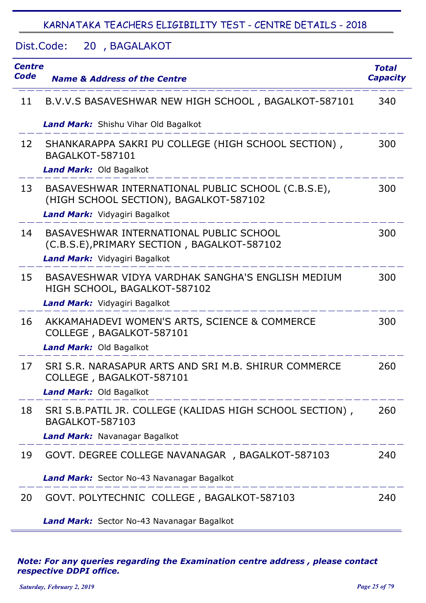Dist.Code: 20, BAGALAKOT

| <b>Centre</b><br>Code | <b>Name &amp; Address of the Centre</b>                                                                                       | <b>Total</b><br><b>Capacity</b> |
|-----------------------|-------------------------------------------------------------------------------------------------------------------------------|---------------------------------|
| 11                    | B.V.V.S BASAVESHWAR NEW HIGH SCHOOL, BAGALKOT-587101                                                                          | 340                             |
|                       | <b>Land Mark:</b> Shishu Vihar Old Bagalkot                                                                                   |                                 |
| 12                    | SHANKARAPPA SAKRI PU COLLEGE (HIGH SCHOOL SECTION),<br><b>BAGALKOT-587101</b><br>Land Mark: Old Bagalkot                      | 300                             |
| 13                    | BASAVESHWAR INTERNATIONAL PUBLIC SCHOOL (C.B.S.E),<br>(HIGH SCHOOL SECTION), BAGALKOT-587102<br>Land Mark: Vidyagiri Bagalkot | 300                             |
| 14                    | BASAVESHWAR INTERNATIONAL PUBLIC SCHOOL<br>(C.B.S.E), PRIMARY SECTION, BAGALKOT-587102<br>Land Mark: Vidyagiri Bagalkot       | 300                             |
| 15                    | BASAVESHWAR VIDYA VARDHAK SANGHA'S ENGLISH MEDIUM<br>HIGH SCHOOL, BAGALKOT-587102<br>Land Mark: Vidyagiri Bagalkot            | 300                             |
| 16                    | AKKAMAHADEVI WOMEN'S ARTS, SCIENCE & COMMERCE<br>COLLEGE, BAGALKOT-587101<br>Land Mark: Old Bagalkot                          | 300                             |
| 17                    | SRI S.R. NARASAPUR ARTS AND SRI M.B. SHIRUR COMMERCE<br>COLLEGE, BAGALKOT-587101<br><b>Land Mark: Old Bagalkot</b>            | 260                             |
| 18                    | SRI S.B. PATIL JR. COLLEGE (KALIDAS HIGH SCHOOL SECTION),<br><b>BAGALKOT-587103</b><br>Land Mark: Navanagar Bagalkot          | 260                             |
| 19                    | GOVT. DEGREE COLLEGE NAVANAGAR, BAGALKOT-587103                                                                               | 240                             |
|                       | Land Mark: Sector No-43 Navanagar Bagalkot                                                                                    |                                 |
| 20                    | GOVT. POLYTECHNIC COLLEGE, BAGALKOT-587103                                                                                    | 240                             |
|                       | Land Mark: Sector No-43 Navanagar Bagalkot                                                                                    |                                 |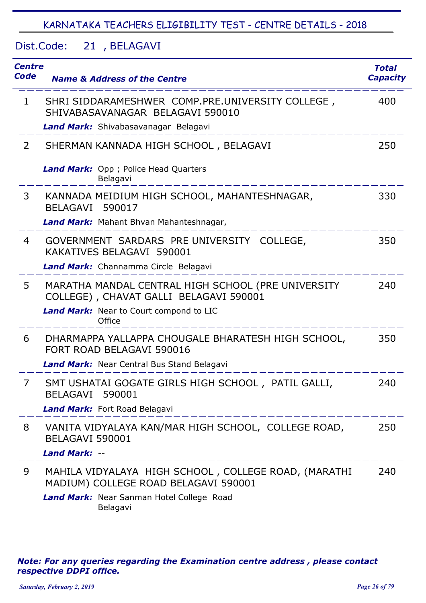Dist.Code: 21, BELAGAVI

| Centre<br>Code | <b>Name &amp; Address of the Centre</b>                                                                                                               | <b>Total</b><br><b>Capacity</b> |
|----------------|-------------------------------------------------------------------------------------------------------------------------------------------------------|---------------------------------|
| 1              | SHRI SIDDARAMESHWER COMP.PRE.UNIVERSITY COLLEGE,<br>SHIVABASAVANAGAR BELAGAVI 590010<br>Land Mark: Shivabasavanagar Belagavi                          | 400                             |
| $\overline{2}$ | SHERMAN KANNADA HIGH SCHOOL, BELAGAVI                                                                                                                 | 250                             |
|                | Land Mark: Opp ; Police Head Quarters<br>Belagavi                                                                                                     |                                 |
| 3              | KANNADA MEIDIUM HIGH SCHOOL, MAHANTESHNAGAR,<br>BELAGAVI 590017<br>Land Mark: Mahant Bhvan Mahanteshnagar,                                            | 330                             |
| 4              | GOVERNMENT SARDARS PRE UNIVERSITY COLLEGE,<br>KAKATIVES BELAGAVI 590001                                                                               | 350                             |
|                | Land Mark: Channamma Circle Belagavi                                                                                                                  |                                 |
| 5              | MARATHA MANDAL CENTRAL HIGH SCHOOL (PRE UNIVERSITY<br>COLLEGE), CHAVAT GALLI BELAGAVI 590001<br>Land Mark: Near to Court compond to LIC<br>Office     | 240                             |
| 6              | DHARMAPPA YALLAPPA CHOUGALE BHARATESH HIGH SCHOOL,<br>FORT ROAD BELAGAVI 590016<br><b>Land Mark:</b> Near Central Bus Stand Belagavi                  | 350                             |
| $\overline{7}$ | SMT USHATAI GOGATE GIRLS HIGH SCHOOL, PATIL GALLI,                                                                                                    | 240                             |
|                | <b>BELAGAVI</b><br>590001<br>Land Mark: Fort Road Belagavi                                                                                            |                                 |
| 8              | VANITA VIDYALAYA KAN/MAR HIGH SCHOOL, COLLEGE ROAD,<br>BELAGAVI 590001<br>Land Mark: --<br>_______________________                                    | 250                             |
| 9              | MAHILA VIDYALAYA HIGH SCHOOL, COLLEGE ROAD, (MARATHI<br>MADIUM) COLLEGE ROAD BELAGAVI 590001<br>Land Mark: Near Sanman Hotel College Road<br>Belagavi | 240                             |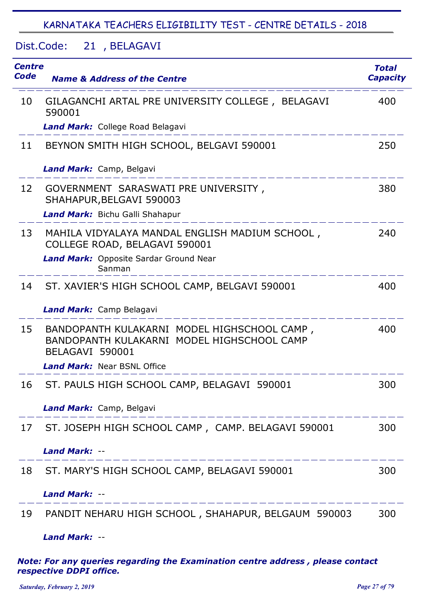Dist.Code: 21, BELAGAVI

| Centre<br>Code | <b>Name &amp; Address of the Centre</b>                                                                                          | <b>Total</b><br><b>Capacity</b> |
|----------------|----------------------------------------------------------------------------------------------------------------------------------|---------------------------------|
| 10             | GILAGANCHI ARTAL PRE UNIVERSITY COLLEGE, BELAGAVI<br>590001                                                                      | 400                             |
|                | <b>Land Mark:</b> College Road Belagavi                                                                                          |                                 |
| 11             | BEYNON SMITH HIGH SCHOOL, BELGAVI 590001                                                                                         | 250                             |
|                | Land Mark: Camp, Belgavi                                                                                                         |                                 |
| 12             | GOVERNMENT SARASWATI PRE UNIVERSITY,<br>SHAHAPUR, BELGAVI 590003                                                                 | 380                             |
|                | Land Mark: Bichu Galli Shahapur                                                                                                  |                                 |
| 13             | MAHILA VIDYALAYA MANDAL ENGLISH MADIUM SCHOOL,<br>COLLEGE ROAD, BELAGAVI 590001                                                  | 240                             |
|                | Land Mark: Opposite Sardar Ground Near<br>Sanman                                                                                 |                                 |
| 14             | ST. XAVIER'S HIGH SCHOOL CAMP, BELGAVI 590001                                                                                    | 400                             |
|                | Land Mark: Camp Belagavi                                                                                                         |                                 |
| 15             | BANDOPANTH KULAKARNI MODEL HIGHSCHOOL CAMP,<br>BANDOPANTH KULAKARNI MODEL HIGHSCHOOL CAMP<br>BELAGAVI 590001                     | 400                             |
|                | <b>Land Mark: Near BSNL Office</b>                                                                                               |                                 |
| 16             | ST. PAULS HIGH SCHOOL CAMP, BELAGAVI 590001                                                                                      | 300                             |
|                | Land Mark: Camp, Belgavi                                                                                                         |                                 |
| 17             | ST. JOSEPH HIGH SCHOOL CAMP, CAMP. BELAGAVI 590001                                                                               | 300                             |
|                | <b>Land Mark: --</b><br>للمساحد المساحد المساحسة المساحسة المساحسة المساحسة المساحسة المساحد المساحسة المساحسة المساحسة المساحسة |                                 |
| 18             | ST. MARY'S HIGH SCHOOL CAMP, BELAGAVI 590001                                                                                     | 300                             |
|                | <b>Land Mark: --</b>                                                                                                             |                                 |
| 19             | PANDIT NEHARU HIGH SCHOOL, SHAHAPUR, BELGAUM 590003                                                                              | 300                             |
|                | <b>Land Mark: --</b>                                                                                                             |                                 |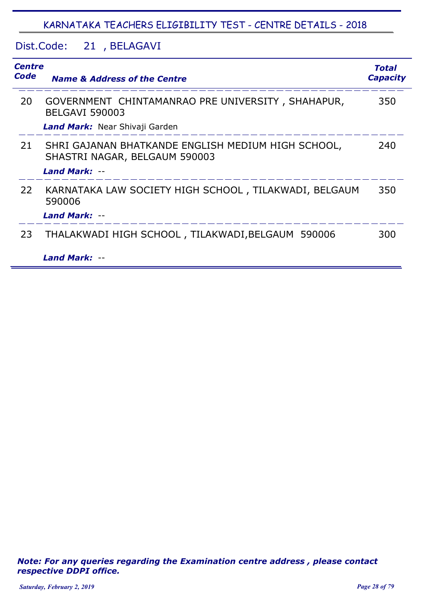#### Dist.Code: 21, BELAGAVI

| <b>Centre</b><br>Code | <b>Name &amp; Address of the Centre</b>                                             | <b>Total</b><br><b>Capacity</b> |
|-----------------------|-------------------------------------------------------------------------------------|---------------------------------|
| 20                    | GOVERNMENT CHINTAMANRAO PRE UNIVERSITY, SHAHAPUR,<br><b>BELGAVI 590003</b>          | 350                             |
|                       | Land Mark: Near Shivaji Garden                                                      |                                 |
| 21                    | SHRI GAJANAN BHATKANDE ENGLISH MEDIUM HIGH SCHOOL,<br>SHASTRI NAGAR, BELGAUM 590003 | 240                             |
|                       | <b>Land Mark: --</b>                                                                |                                 |
| 22                    | KARNATAKA LAW SOCIETY HIGH SCHOOL, TILAKWADI, BELGAUM<br>590006                     | 350                             |
|                       | <b>Land Mark: --</b>                                                                |                                 |
| 23                    | THALAKWADI HIGH SCHOOL, TILAKWADI, BELGAUM 590006                                   | 300                             |
|                       | Land Mark: --                                                                       |                                 |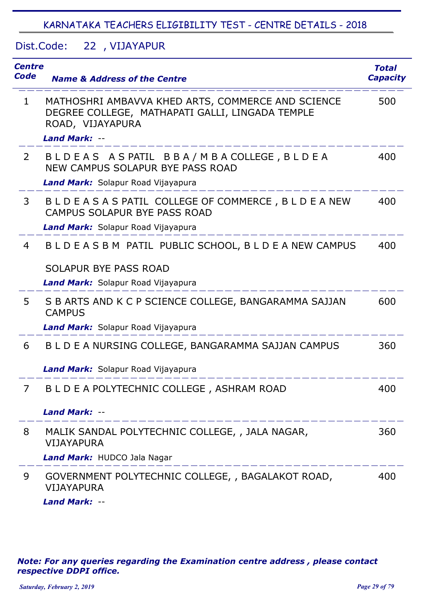Dist.Code: 22, VIJAYAPUR

| <b>Centre</b><br>Code | <b>Name &amp; Address of the Centre</b>                                                                                                          | Total<br><b>Capacity</b> |
|-----------------------|--------------------------------------------------------------------------------------------------------------------------------------------------|--------------------------|
| $\mathbf 1$           | MATHOSHRI AMBAVVA KHED ARTS, COMMERCE AND SCIENCE<br>DEGREE COLLEGE, MATHAPATI GALLI, LINGADA TEMPLE<br>ROAD, VIJAYAPURA<br><b>Land Mark: --</b> | 500                      |
| $\overline{2}$        | BLDEAS ASPATIL BBA/MBACOLLEGE, BLDEA<br>NEW CAMPUS SOLAPUR BYE PASS ROAD<br>Land Mark: Solapur Road Vijayapura                                   | 400                      |
| 3                     | BLDEASAS PATIL COLLEGE OF COMMERCE, BLDEANEW<br>CAMPUS SOLAPUR BYE PASS ROAD<br>Land Mark: Solapur Road Vijayapura                               | 400                      |
| 4                     | BLDEASBM PATIL PUBLIC SCHOOL, BLDEANEW CAMPUS<br>SOLAPUR BYE PASS ROAD<br>Land Mark: Solapur Road Vijayapura                                     | 400                      |
| 5.                    | S B ARTS AND K C P SCIENCE COLLEGE, BANGARAMMA SAJJAN<br><b>CAMPUS</b><br>Land Mark: Solapur Road Vijayapura                                     | 600                      |
| 6                     | B L D E A NURSING COLLEGE, BANGARAMMA SAJJAN CAMPUS<br>Land Mark: Solapur Road Vijayapura                                                        | 360                      |
| 7                     | B L D E A POLYTECHNIC COLLEGE, ASHRAM ROAD<br><b>Land Mark: --</b>                                                                               | 400                      |
| 8                     | MALIK SANDAL POLYTECHNIC COLLEGE, , JALA NAGAR,<br><b>VIJAYAPURA</b><br>Land Mark: HUDCO Jala Nagar                                              | 360                      |
| 9                     | GOVERNMENT POLYTECHNIC COLLEGE, , BAGALAKOT ROAD,<br><b>VIJAYAPURA</b><br><b>Land Mark: --</b>                                                   | 400                      |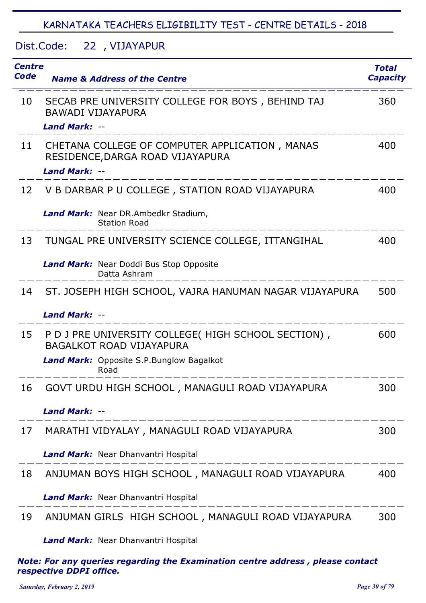#### Dist.Code: 22, VIJAYAPUR

| <b>Centre</b><br>Code | <b>Name &amp; Address of the Centre</b>                                                | <b>Total</b><br><b>Capacity</b> |
|-----------------------|----------------------------------------------------------------------------------------|---------------------------------|
| 10                    | SECAB PRE UNIVERSITY COLLEGE FOR BOYS, BEHIND TAJ<br><b>BAWADI VIJAYAPURA</b>          | 360                             |
|                       | <b>Land Mark: --</b>                                                                   |                                 |
| 11                    | CHETANA COLLEGE OF COMPUTER APPLICATION, MANAS<br>RESIDENCE, DARGA ROAD VIJAYAPURA     | 400                             |
|                       | Land Mark: --                                                                          |                                 |
| 12                    | V B DARBAR P U COLLEGE, STATION ROAD VIJAYAPURA                                        | 400                             |
|                       | Land Mark: Near DR.Ambedkr Stadium,<br><b>Station Road</b>                             |                                 |
| 13                    | TUNGAL PRE UNIVERSITY SCIENCE COLLEGE, ITTANGIHAL                                      | 400                             |
|                       | Land Mark: Near Doddi Bus Stop Opposite<br>Datta Ashram                                |                                 |
| 14                    | ST. JOSEPH HIGH SCHOOL, VAJRA HANUMAN NAGAR VIJAYAPURA                                 | 500                             |
|                       | <b>Land Mark: --</b>                                                                   |                                 |
| 15                    | P D J PRE UNIVERSITY COLLEGE( HIGH SCHOOL SECTION),<br><b>BAGALKOT ROAD VIJAYAPURA</b> | 600                             |
|                       | <b>Land Mark:</b> Opposite S.P.Bunglow Bagalkot<br>Road                                |                                 |
| 16                    | GOVT URDU HIGH SCHOOL, MANAGULI ROAD VIJAYAPURA                                        | 300                             |
|                       | <b>Land Mark: --</b>                                                                   |                                 |
| 17                    | MARATHI VIDYALAY, MANAGULI ROAD VIJAYAPURA                                             | 300                             |
|                       | Land Mark: Near Dhanvantri Hospital                                                    |                                 |
| 18                    | ANJUMAN BOYS HIGH SCHOOL, MANAGULI ROAD VIJAYAPURA                                     | 400                             |
|                       | Land Mark: Near Dhanvantri Hospital                                                    |                                 |
| 19                    | ANJUMAN GIRLS HIGH SCHOOL, MANAGULI ROAD VIJAYAPURA                                    | 300                             |
|                       | <b>Land Mark:</b> Near Dhanvantri Hospital                                             |                                 |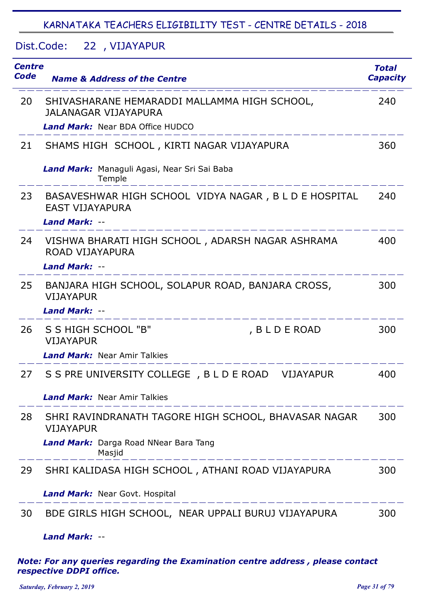Dist.Code: 22, VIJAYAPUR

| Centre<br>Code | <b>Name &amp; Address of the Centre</b>                                                          | <b>Total</b><br><b>Capacity</b> |
|----------------|--------------------------------------------------------------------------------------------------|---------------------------------|
| 20             | SHIVASHARANE HEMARADDI MALLAMMA HIGH SCHOOL,<br>JALANAGAR VIJAYAPURA                             | 240                             |
|                | <b>Land Mark:</b> Near BDA Office HUDCO                                                          |                                 |
| 21             | SHAMS HIGH SCHOOL, KIRTI NAGAR VIJAYAPURA                                                        | 360                             |
|                | Land Mark: Managuli Agasi, Near Sri Sai Baba<br>Temple                                           |                                 |
| 23             | BASAVESHWAR HIGH SCHOOL VIDYA NAGAR, B L D E HOSPITAL<br><b>EAST VIJAYAPURA</b><br>Land Mark: -- | 240                             |
|                |                                                                                                  |                                 |
| 24             | VISHWA BHARATI HIGH SCHOOL, ADARSH NAGAR ASHRAMA<br>ROAD VIJAYAPURA                              | 400                             |
|                | <b>Land Mark: --</b>                                                                             |                                 |
| 25             | BANJARA HIGH SCHOOL, SOLAPUR ROAD, BANJARA CROSS,<br><b>VIJAYAPUR</b>                            | 300                             |
|                | <b>Land Mark: --</b>                                                                             |                                 |
| 26             | S S HIGH SCHOOL "B"<br>, B L D E ROAD<br><b>VIJAYAPUR</b>                                        | 300                             |
|                | <b>Land Mark:</b> Near Amir Talkies                                                              |                                 |
| 27             | S S PRE UNIVERSITY COLLEGE, B L D E ROAD<br><b>VIJAYAPUR</b>                                     | 400                             |
|                | <b>Land Mark:</b> Near Amir Talkies                                                              |                                 |
| 28             | SHRI RAVINDRANATH TAGORE HIGH SCHOOL, BHAVASAR NAGAR<br><b>VIJAYAPUR</b>                         | 300                             |
|                | Land Mark: Darga Road NNear Bara Tang<br>Masjid<br>$  -$                                         |                                 |
| 29             | SHRI KALIDASA HIGH SCHOOL, ATHANI ROAD VIJAYAPURA                                                | 300                             |
|                | <b>Land Mark:</b> Near Govt. Hospital                                                            |                                 |
| 30             | BDE GIRLS HIGH SCHOOL, NEAR UPPALI BURUJ VIJAYAPURA                                              | 300                             |

*Land Mark:* --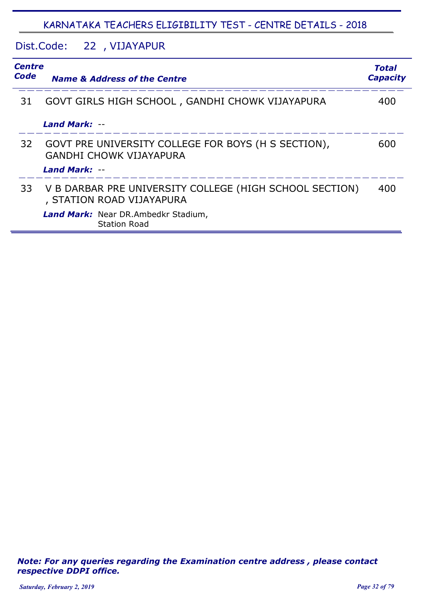#### Dist.Code: 22, VIJAYAPUR

|    | <b>Centre</b><br>Code<br><b>Capacity</b><br><b>Name &amp; Address of the Centre</b>   |     |
|----|---------------------------------------------------------------------------------------|-----|
| 31 | GOVT GIRLS HIGH SCHOOL, GANDHI CHOWK VIJAYAPURA                                       | 400 |
|    | <b>Land Mark: --</b>                                                                  |     |
| 32 | GOVT PRE UNIVERSITY COLLEGE FOR BOYS (H S SECTION),<br><b>GANDHI CHOWK VIJAYAPURA</b> | 600 |
|    | <b>Land Mark: --</b>                                                                  |     |
| 33 | V B DARBAR PRE UNIVERSITY COLLEGE (HIGH SCHOOL SECTION)<br>, STATION ROAD VIJAYAPURA  | 400 |
|    | Land Mark: Near DR.Ambedkr Stadium,<br><b>Station Road</b>                            |     |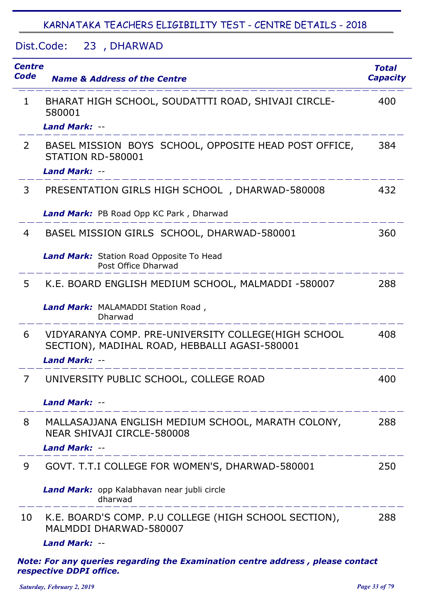Dist.Code: 23, DHARWAD

| <b>Centre</b><br>Code | <b>Name &amp; Address of the Centre</b>                                                                               | <b>Total</b><br><b>Capacity</b> |
|-----------------------|-----------------------------------------------------------------------------------------------------------------------|---------------------------------|
| $\mathbf{1}$          | BHARAT HIGH SCHOOL, SOUDATTTI ROAD, SHIVAJI CIRCLE-<br>580001                                                         | 400                             |
|                       | Land Mark: --                                                                                                         |                                 |
| $\overline{2}$        | BASEL MISSION BOYS SCHOOL, OPPOSITE HEAD POST OFFICE,<br>STATION RD-580001                                            | 384                             |
|                       | <b>Land Mark: --</b>                                                                                                  |                                 |
| 3                     | PRESENTATION GIRLS HIGH SCHOOL, DHARWAD-580008                                                                        | 432                             |
|                       | Land Mark: PB Road Opp KC Park, Dharwad                                                                               |                                 |
| 4                     | BASEL MISSION GIRLS SCHOOL, DHARWAD-580001                                                                            | 360                             |
|                       | <b>Land Mark:</b> Station Road Opposite To Head<br>Post Office Dharwad                                                |                                 |
| 5                     | K.E. BOARD ENGLISH MEDIUM SCHOOL, MALMADDI -580007                                                                    | 288                             |
|                       | Land Mark: MALAMADDI Station Road,<br>Dharwad                                                                         |                                 |
| 6                     | VIDYARANYA COMP. PRE-UNIVERSITY COLLEGE(HIGH SCHOOL<br>SECTION), MADIHAL ROAD, HEBBALLI AGASI-580001<br>Land Mark: -- | 408                             |
| 7                     | UNIVERSITY PUBLIC SCHOOL, COLLEGE ROAD                                                                                | 400                             |
|                       | <b>Land Mark: --</b>                                                                                                  |                                 |
| 8                     | MALLASAJJANA ENGLISH MEDIUM SCHOOL, MARATH COLONY,<br>NEAR SHIVAJI CIRCLE-580008                                      | 288                             |
|                       | <b>Land Mark: --</b>                                                                                                  |                                 |
| 9                     | GOVT. T.T.I COLLEGE FOR WOMEN'S, DHARWAD-580001                                                                       | 250                             |
|                       | Land Mark: opp Kalabhavan near jubli circle<br>dharwad                                                                |                                 |
| 10                    | K.E. BOARD'S COMP. P.U COLLEGE (HIGH SCHOOL SECTION),<br>MALMDDI DHARWAD-580007<br><b>Land Mark: --</b>               | 288                             |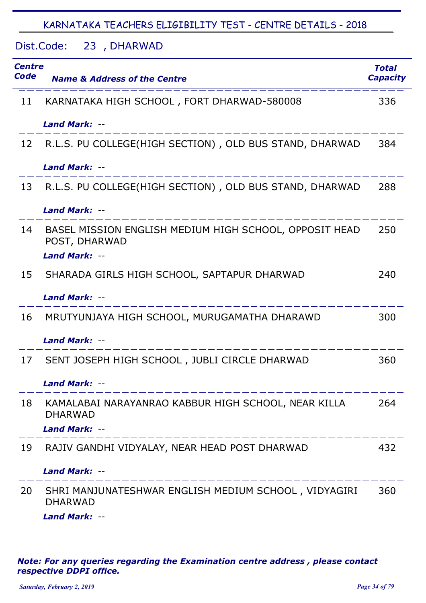# Dist.Code: 23, DHARWAD

| Centre<br>Code | <b>Name &amp; Address of the Centre</b>                                 | <b>Total</b><br><b>Capacity</b> |
|----------------|-------------------------------------------------------------------------|---------------------------------|
| 11             | KARNATAKA HIGH SCHOOL, FORT DHARWAD-580008                              | 336                             |
|                | <b>Land Mark: --</b>                                                    |                                 |
| 12             | R.L.S. PU COLLEGE(HIGH SECTION), OLD BUS STAND, DHARWAD                 | 384                             |
|                | <b>Land Mark: --</b>                                                    |                                 |
| 13             | R.L.S. PU COLLEGE(HIGH SECTION), OLD BUS STAND, DHARWAD                 | 288                             |
|                | <b>Land Mark: --</b>                                                    |                                 |
| 14             | BASEL MISSION ENGLISH MEDIUM HIGH SCHOOL, OPPOSIT HEAD<br>POST, DHARWAD | 250                             |
|                | Land Mark: --                                                           |                                 |
| 15             | SHARADA GIRLS HIGH SCHOOL, SAPTAPUR DHARWAD                             | 240                             |
|                | <b>Land Mark: --</b>                                                    |                                 |
| 16             | MRUTYUNJAYA HIGH SCHOOL, MURUGAMATHA DHARAWD                            | 300                             |
|                | <b>Land Mark: --</b>                                                    |                                 |
| 17             | SENT JOSEPH HIGH SCHOOL, JUBLI CIRCLE DHARWAD                           | 360                             |
|                | <b>Land Mark: --</b>                                                    |                                 |
| 18             | KAMALABAI NARAYANRAO KABBUR HIGH SCHOOL, NEAR KILLA<br><b>DHARWAD</b>   | 264                             |
|                | <b>Land Mark: --</b>                                                    |                                 |
| 19             | RAJIV GANDHI VIDYALAY, NEAR HEAD POST DHARWAD                           | 432                             |
|                | <b>Land Mark: --</b>                                                    |                                 |
| 20             | SHRI MANJUNATESHWAR ENGLISH MEDIUM SCHOOL, VIDYAGIRI<br><b>DHARWAD</b>  | 360                             |
|                | <b>Land Mark: --</b>                                                    |                                 |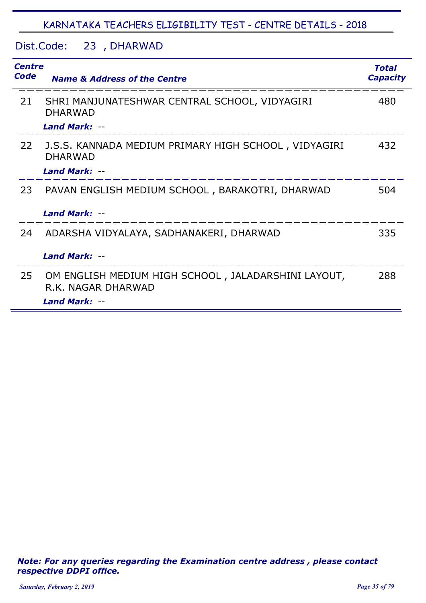#### Dist.Code: 23, DHARWAD

| Code | <b>Centre</b><br><b>Name &amp; Address of the Centre</b>                                          |     |
|------|---------------------------------------------------------------------------------------------------|-----|
| 21   | SHRI MANJUNATESHWAR CENTRAL SCHOOL, VIDYAGIRI<br><b>DHARWAD</b><br><b>Land Mark: --</b>           | 480 |
| 22   | J.S.S. KANNADA MEDIUM PRIMARY HIGH SCHOOL, VIDYAGIRI<br><b>DHARWAD</b><br><b>Land Mark: --</b>    | 432 |
| 23   | PAVAN ENGLISH MEDIUM SCHOOL, BARAKOTRI, DHARWAD<br><b>Land Mark: --</b>                           | 504 |
| 24   | ADARSHA VIDYALAYA, SADHANAKERI, DHARWAD<br><b>Land Mark: --</b>                                   | 335 |
| 25   | OM ENGLISH MEDIUM HIGH SCHOOL, JALADARSHINI LAYOUT,<br>R.K. NAGAR DHARWAD<br><b>Land Mark: --</b> | 288 |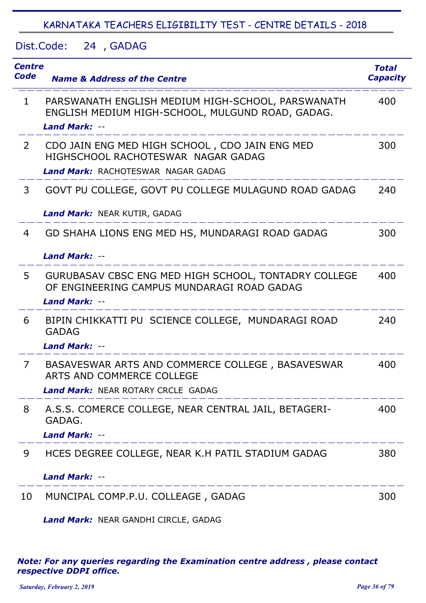Dist.Code: 24, GADAG

| <b>Centre</b><br><b>Code</b> | <b>Name &amp; Address of the Centre</b>                                                                                           | <b>Total</b><br><b>Capacity</b> |
|------------------------------|-----------------------------------------------------------------------------------------------------------------------------------|---------------------------------|
| $\mathbf{1}$                 | PARSWANATH ENGLISH MEDIUM HIGH-SCHOOL, PARSWANATH<br>ENGLISH MEDIUM HIGH-SCHOOL, MULGUND ROAD, GADAG.<br><b>Land Mark: --</b>     | 400                             |
| $\overline{2}$               | CDO JAIN ENG MED HIGH SCHOOL, CDO JAIN ENG MED<br>HIGHSCHOOL RACHOTESWAR NAGAR GADAG<br><b>Land Mark: RACHOTESWAR NAGAR GADAG</b> | 300                             |
| 3                            | GOVT PU COLLEGE, GOVT PU COLLEGE MULAGUND ROAD GADAG<br>Land Mark: NEAR KUTIR, GADAG                                              | 240                             |
| 4                            | GD SHAHA LIONS ENG MED HS, MUNDARAGI ROAD GADAG<br><b>Land Mark: --</b>                                                           | 300                             |
| 5                            | GURUBASAV CBSC ENG MED HIGH SCHOOL, TONTADRY COLLEGE<br>OF ENGINEERING CAMPUS MUNDARAGI ROAD GADAG<br><b>Land Mark: --</b>        | 400                             |
| 6                            | BIPIN CHIKKATTI PU SCIENCE COLLEGE, MUNDARAGI ROAD<br><b>GADAG</b><br><b>Land Mark: --</b>                                        | 240                             |
| 7                            | BASAVESWAR ARTS AND COMMERCE COLLEGE, BASAVESWAR<br>ARTS AND COMMERCE COLLEGE<br><b>Land Mark: NEAR ROTARY CRCLE GADAG</b>        | 400                             |
| 8                            | A.S.S. COMERCE COLLEGE, NEAR CENTRAL JAIL, BETAGERI-<br>GADAG.<br><b>Land Mark: --</b>                                            | 400                             |
| 9                            | HCES DEGREE COLLEGE, NEAR K.H PATIL STADIUM GADAG<br><b>Land Mark: --</b>                                                         | 380                             |
| 10                           | MUNCIPAL COMP.P.U. COLLEAGE, GADAG                                                                                                | 300                             |

*Land Mark:* NEAR GANDHI CIRCLE, GADAG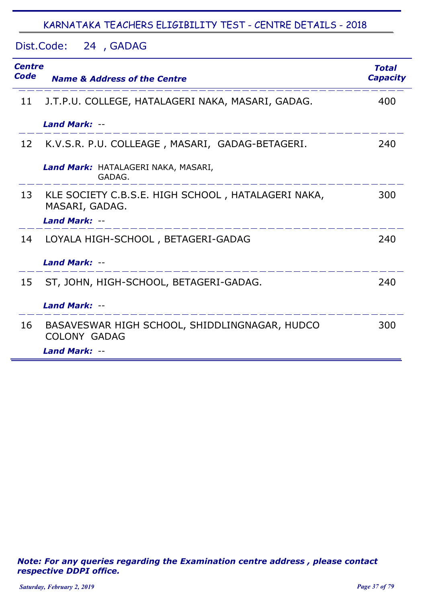Dist.Code: 24 GADAG ,

| <b>Centre</b><br><b>Code</b> | <b>Name &amp; Address of the Centre</b>                                 | <b>Total</b><br><b>Capacity</b> |
|------------------------------|-------------------------------------------------------------------------|---------------------------------|
| 11                           | J.T.P.U. COLLEGE, HATALAGERI NAKA, MASARI, GADAG.                       | 400                             |
|                              | Land Mark: --                                                           |                                 |
| 12                           | K.V.S.R. P.U. COLLEAGE, MASARI, GADAG-BETAGERI.                         | 240                             |
|                              | Land Mark: HATALAGERI NAKA, MASARI,<br>GADAG.                           |                                 |
|                              | 13 KLE SOCIETY C.B.S.E. HIGH SCHOOL, HATALAGERI NAKA,<br>MASARI, GADAG. | 300                             |
|                              | Land Mark: --                                                           |                                 |
| 14                           | LOYALA HIGH-SCHOOL, BETAGERI-GADAG                                      | 240                             |
|                              | <b>Land Mark: --</b>                                                    |                                 |
| 15                           | ST, JOHN, HIGH-SCHOOL, BETAGERI-GADAG.                                  | 240                             |
|                              | <b>Land Mark: --</b>                                                    |                                 |
| 16                           | BASAVESWAR HIGH SCHOOL, SHIDDLINGNAGAR, HUDCO<br><b>COLONY GADAG</b>    | 300                             |
|                              | Land Mark: --                                                           |                                 |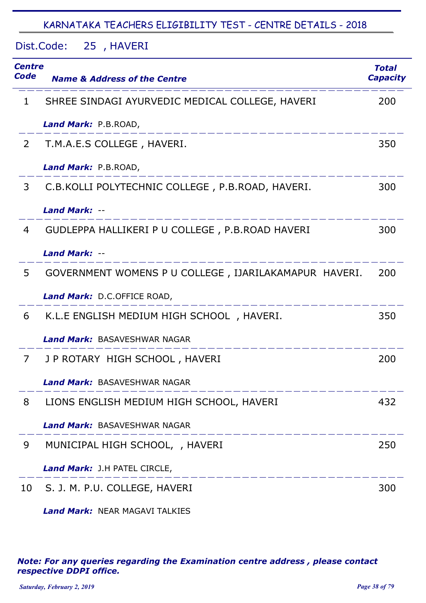Dist.Code: 25 , HAVERI

| <b>Centre</b><br>Code | <b>Name &amp; Address of the Centre</b>               | <b>Total</b><br><b>Capacity</b> |
|-----------------------|-------------------------------------------------------|---------------------------------|
| 1                     | SHREE SINDAGI AYURVEDIC MEDICAL COLLEGE, HAVERI       | 200                             |
|                       | Land Mark: P.B.ROAD,                                  |                                 |
| 2                     | T.M.A.E.S COLLEGE, HAVERI.                            | 350                             |
|                       | Land Mark: P.B.ROAD,                                  |                                 |
| 3                     | C.B.KOLLI POLYTECHNIC COLLEGE, P.B.ROAD, HAVERI.      | 300                             |
|                       | <b>Land Mark: --</b>                                  |                                 |
| 4                     | GUDLEPPA HALLIKERI P U COLLEGE, P.B.ROAD HAVERI       | 300                             |
|                       | <b>Land Mark: --</b>                                  |                                 |
| 5                     | GOVERNMENT WOMENS P U COLLEGE, IJARILAKAMAPUR HAVERI. | 200                             |
|                       | Land Mark: D.C.OFFICE ROAD,                           |                                 |
| 6                     | K.L.E ENGLISH MEDIUM HIGH SCHOOL, HAVERI.             | 350                             |
|                       | Land Mark: BASAVESHWAR NAGAR                          |                                 |
| 7                     | J P ROTARY HIGH SCHOOL, HAVERI                        | 200                             |
|                       | Land Mark: BASAVESHWAR NAGAR                          |                                 |
| 8                     | LIONS ENGLISH MEDIUM HIGH SCHOOL, HAVERI              | 432                             |
|                       | <b>Land Mark: BASAVESHWAR NAGAR</b>                   |                                 |
| 9                     | MUNICIPAL HIGH SCHOOL, , HAVERI                       | 250                             |
|                       | Land Mark: J.H PATEL CIRCLE,                          |                                 |
| 10                    | S. J. M. P.U. COLLEGE, HAVERI                         | 300                             |

*Land Mark:* NEAR MAGAVI TALKIES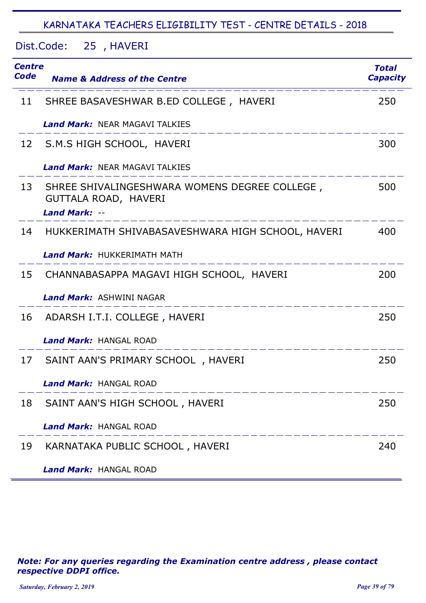Dist.Code: 25, HAVERI

| Centre<br>Code | <b>Name &amp; Address of the Centre</b>                                                       | <b>Total</b><br><b>Capacity</b> |
|----------------|-----------------------------------------------------------------------------------------------|---------------------------------|
| 11             | SHREE BASAVESHWAR B.ED COLLEGE, HAVERI                                                        | 250                             |
|                | <b>Land Mark: NEAR MAGAVI TALKIES</b>                                                         |                                 |
| 12             | S.M.S HIGH SCHOOL, HAVERI                                                                     | 300                             |
|                | <b>Land Mark: NEAR MAGAVI TALKIES</b>                                                         |                                 |
| 13             | SHREE SHIVALINGESHWARA WOMENS DEGREE COLLEGE,<br>GUTTALA ROAD, HAVERI<br><b>Land Mark: --</b> | 500                             |
| 14             | HUKKERIMATH SHIVABASAVESHWARA HIGH SCHOOL, HAVERI                                             | 400                             |
|                | <b>Land Mark:</b> HUKKERIMATH MATH                                                            |                                 |
| 15             | CHANNABASAPPA MAGAVI HIGH SCHOOL, HAVERI                                                      | 200                             |
|                | <b>Land Mark: ASHWINI NAGAR</b>                                                               |                                 |
| 16             | ADARSH I.T.I. COLLEGE, HAVERI                                                                 | 250                             |
|                | <b>Land Mark: HANGAL ROAD</b>                                                                 |                                 |
| 17             | SAINT AAN'S PRIMARY SCHOOL, HAVERI                                                            | 250                             |
|                | <b>Land Mark: HANGAL ROAD</b>                                                                 |                                 |
| 18             | SAINT AAN'S HIGH SCHOOL, HAVERI                                                               | 250                             |
|                | <b>Land Mark: HANGAL ROAD</b>                                                                 |                                 |
| 19             | KARNATAKA PUBLIC SCHOOL, HAVERI                                                               | 240                             |
|                | <b>Land Mark: HANGAL ROAD</b>                                                                 |                                 |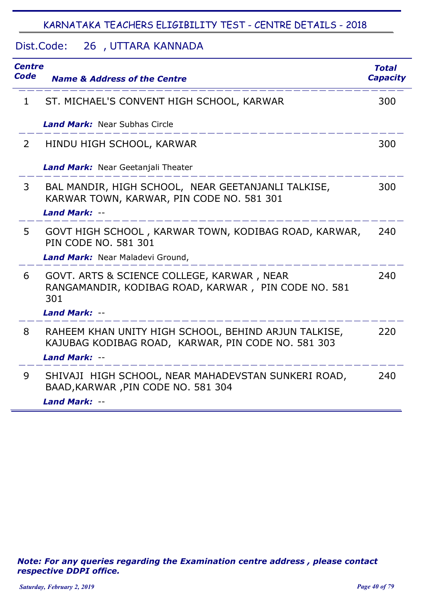#### Dist.Code: 26 UTTARA KANNADA ,

| <b>Centre</b><br><b>Code</b> | <b>Name &amp; Address of the Centre</b>                                                                    | <b>Total</b><br><b>Capacity</b> |
|------------------------------|------------------------------------------------------------------------------------------------------------|---------------------------------|
| $\mathbf{1}$                 | ST. MICHAEL'S CONVENT HIGH SCHOOL, KARWAR                                                                  | 300                             |
|                              | <b>Land Mark:</b> Near Subhas Circle                                                                       |                                 |
| $\overline{2}$               | HINDU HIGH SCHOOL, KARWAR                                                                                  | 300                             |
|                              | Land Mark: Near Geetanjali Theater                                                                         |                                 |
| 3                            | BAL MANDIR, HIGH SCHOOL, NEAR GEETANJANLI TALKISE,<br>KARWAR TOWN, KARWAR, PIN CODE NO. 581 301            | 300                             |
|                              | Land Mark: --                                                                                              |                                 |
| 5                            | GOVT HIGH SCHOOL, KARWAR TOWN, KODIBAG ROAD, KARWAR,<br><b>PIN CODE NO. 581 301</b>                        | 240                             |
|                              | Land Mark: Near Maladevi Ground,                                                                           |                                 |
| 6                            | GOVT. ARTS & SCIENCE COLLEGE, KARWAR, NEAR<br>RANGAMANDIR, KODIBAG ROAD, KARWAR, PIN CODE NO. 581<br>301   | 240                             |
|                              | Land Mark: --                                                                                              |                                 |
| 8                            | RAHEEM KHAN UNITY HIGH SCHOOL, BEHIND ARJUN TALKISE,<br>KAJUBAG KODIBAG ROAD, KARWAR, PIN CODE NO. 581 303 | 220                             |
|                              | Land Mark: --                                                                                              |                                 |
| 9                            | SHIVAJI HIGH SCHOOL, NEAR MAHADEVSTAN SUNKERI ROAD,<br>BAAD, KARWAR, PIN CODE NO. 581 304                  | 240                             |
|                              | Land Mark: --                                                                                              |                                 |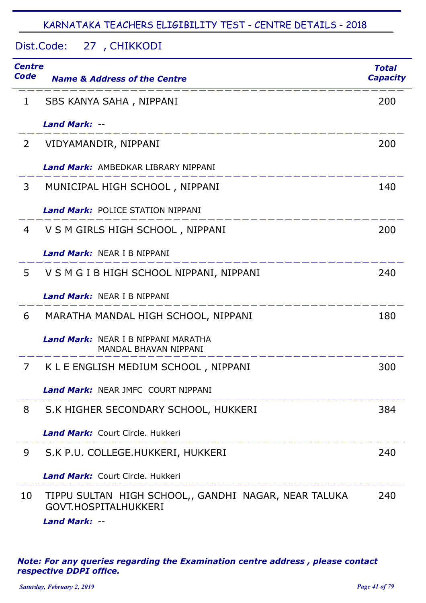Dist.Code: 27, CHIKKODI

| <b>Centre</b><br>Code | <b>Name &amp; Address of the Centre</b>                                                              | <b>Total</b><br><b>Capacity</b> |
|-----------------------|------------------------------------------------------------------------------------------------------|---------------------------------|
| 1                     | SBS KANYA SAHA, NIPPANI                                                                              | 200                             |
|                       | <b>Land Mark: --</b>                                                                                 |                                 |
| 2                     | VIDYAMANDIR, NIPPANI                                                                                 | 200                             |
|                       | <b>Land Mark:</b> AMBEDKAR LIBRARY NIPPANI                                                           |                                 |
| 3                     | MUNICIPAL HIGH SCHOOL, NIPPANI                                                                       | 140                             |
|                       | <b>Land Mark: POLICE STATION NIPPANI</b>                                                             |                                 |
| 4                     | V S M GIRLS HIGH SCHOOL, NIPPANI                                                                     | 200                             |
|                       | <b>Land Mark: NEAR I B NIPPANI</b>                                                                   |                                 |
| 5                     | V S M G I B HIGH SCHOOL NIPPANI, NIPPANI                                                             | 240                             |
|                       | <b>Land Mark: NEAR I B NIPPANI</b>                                                                   |                                 |
| 6                     | MARATHA MANDAL HIGH SCHOOL, NIPPANI                                                                  | 180                             |
|                       | <b>Land Mark:</b> NEAR I B NIPPANI MARATHA<br>MANDAL BHAVAN NIPPANI                                  |                                 |
| 7                     | K L E ENGLISH MEDIUM SCHOOL, NIPPANI                                                                 | 300                             |
|                       | <b>Land Mark: NEAR JMFC COURT NIPPANI</b>                                                            |                                 |
| 8                     | S.K HIGHER SECONDARY SCHOOL, HUKKERI                                                                 | 384                             |
|                       | <b>Land Mark: Court Circle, Hukkeri</b>                                                              |                                 |
| 9                     | S.K P.U. COLLEGE.HUKKERI, HUKKERI                                                                    | 240                             |
|                       | <b>Land Mark: Court Circle, Hukkeri</b>                                                              |                                 |
| 10                    | TIPPU SULTAN HIGH SCHOOL,, GANDHI NAGAR, NEAR TALUKA<br>GOVT.HOSPITALHUKKERI<br><b>Land Mark: --</b> | 240                             |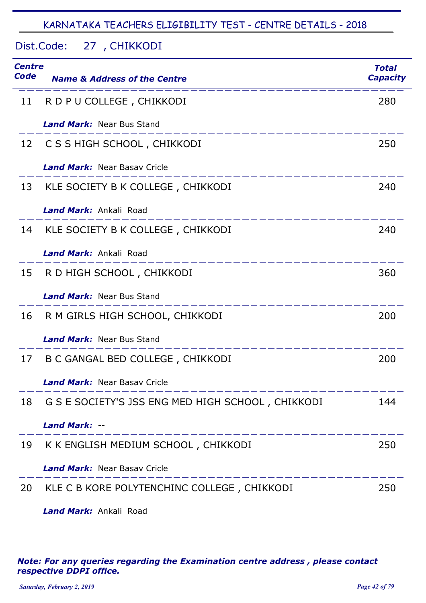# Dist.Code: 27, CHIKKODI

| Centre<br>Code | <b>Name &amp; Address of the Centre</b>              | <b>Total</b><br><b>Capacity</b> |
|----------------|------------------------------------------------------|---------------------------------|
| 11             | R D P U COLLEGE, CHIKKODI                            | 280                             |
|                | <b>Land Mark:</b> Near Bus Stand                     |                                 |
| 12             | C S S HIGH SCHOOL, CHIKKODI                          | 250                             |
|                | <b>Land Mark:</b> Near Basay Cricle                  |                                 |
| 13             | KLE SOCIETY B K COLLEGE, CHIKKODI                    | 240                             |
|                | Land Mark: Ankali Road                               |                                 |
| 14             | KLE SOCIETY B K COLLEGE, CHIKKODI                    | 240                             |
|                | <b>Land Mark:</b> Ankali Road                        |                                 |
| 15             | R D HIGH SCHOOL, CHIKKODI                            | 360                             |
|                | <b>Land Mark: Near Bus Stand</b>                     |                                 |
| 16             | R M GIRLS HIGH SCHOOL, CHIKKODI                      | 200                             |
|                | <b>Land Mark:</b> Near Bus Stand                     |                                 |
| 17             | B C GANGAL BED COLLEGE, CHIKKODI                     | 200                             |
|                | <b>Land Mark: Near Basay Cricle</b>                  |                                 |
|                | 18 G S E SOCIETY'S JSS ENG MED HIGH SCHOOL, CHIKKODI | 144                             |
|                | <b>Land Mark: --</b>                                 |                                 |
| 19             | K K ENGLISH MEDIUM SCHOOL, CHIKKODI                  | 250                             |
|                | <b>Land Mark: Near Basav Cricle</b>                  |                                 |
| 20             | KLE C B KORE POLYTENCHINC COLLEGE, CHIKKODI          | 250                             |
|                | Land Mark: Ankali Road                               |                                 |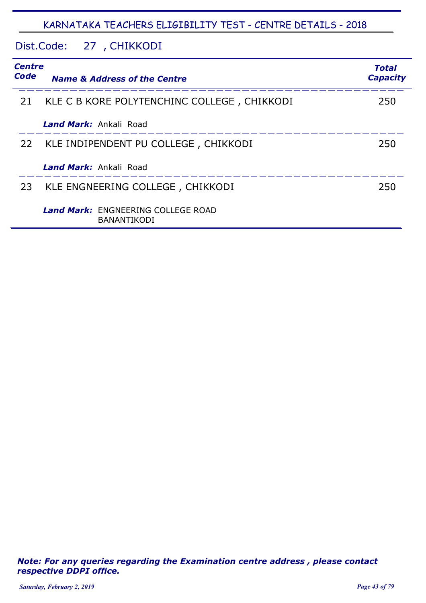# Dist.Code: 27, CHIKKODI

| <b>Centre</b><br>Code | <b>Name &amp; Address of the Centre</b>                         | <b>Total</b><br><b>Capacity</b> |
|-----------------------|-----------------------------------------------------------------|---------------------------------|
| 21                    | KLE C B KORE POLYTENCHINC COLLEGE, CHIKKODI                     | 250                             |
|                       | <b>Land Mark:</b> Ankali Road                                   |                                 |
| 22                    | KLE INDIPENDENT PU COLLEGE, CHIKKODI                            | 250                             |
|                       | Land Mark: Ankali Road                                          |                                 |
| 23                    | KLE ENGNEERING COLLEGE, CHIKKODI                                | 250                             |
|                       | <b>Land Mark:</b> ENGNEERING COLLEGE ROAD<br><b>BANANTIKODI</b> |                                 |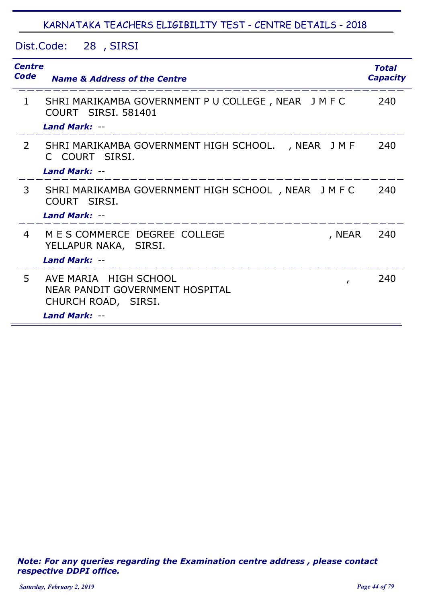Dist.Code: 28 SIRSI ,

| <b>Centre</b><br>Code | <b>Name &amp; Address of the Centre</b>                                                            | <b>Total</b><br><b>Capacity</b> |
|-----------------------|----------------------------------------------------------------------------------------------------|---------------------------------|
| $\mathbf{1}$          | SHRI MARIKAMBA GOVERNMENT P U COLLEGE, NEAR J M F C<br>COURT SIRSI, 581401<br><b>Land Mark: --</b> | 240                             |
| $\mathbf{2}$          | SHRI MARIKAMBA GOVERNMENT HIGH SCHOOL. , NEAR JMF<br>C COURT SIRSI.<br><b>Land Mark: --</b>        | 240                             |
| $\mathbf{3}$          | SHRI MARIKAMBA GOVERNMENT HIGH SCHOOL, NEAR JMFC<br>COURT SIRSI.<br><b>Land Mark: --</b>           | 240                             |
| 4                     | M E S COMMERCE DEGREE COLLEGE<br>, NEAR<br>YELLAPUR NAKA, SIRSI.<br>Land Mark: --                  | 240                             |
| 5.                    | AVE MARIA HIGH SCHOOL<br>$\mathbf{r}$<br>NEAR PANDIT GOVERNMENT HOSPITAL<br>CHURCH ROAD, SIRSI.    | 240                             |
|                       | Land Mark: --                                                                                      |                                 |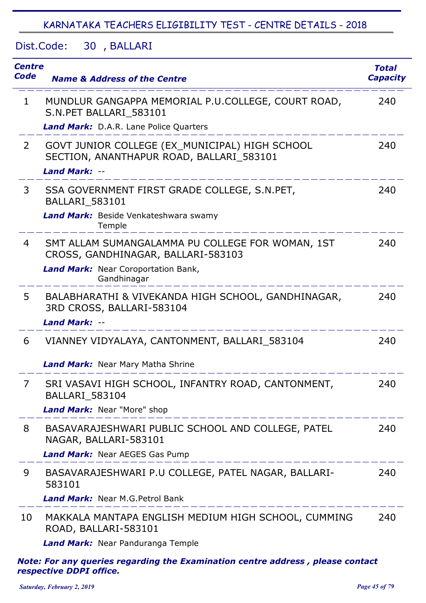Dist.Code: 30, BALLARI

| <b>Centre</b><br><b>Code</b> | <b>Name &amp; Address of the Centre</b>                                                    | <b>Total</b><br><b>Capacity</b> |
|------------------------------|--------------------------------------------------------------------------------------------|---------------------------------|
| $\mathbf{1}$                 | MUNDLUR GANGAPPA MEMORIAL P.U.COLLEGE, COURT ROAD,<br>S.N. PET BALLARI 583101              | 240                             |
|                              | Land Mark: D.A.R. Lane Police Quarters                                                     |                                 |
| $\overline{2}$               | GOVT JUNIOR COLLEGE (EX MUNICIPAL) HIGH SCHOOL<br>SECTION, ANANTHAPUR ROAD, BALLARI_583101 | 240                             |
|                              | <b>Land Mark: --</b>                                                                       |                                 |
| 3                            | SSA GOVERNMENT FIRST GRADE COLLEGE, S.N.PET,<br><b>BALLARI_583101</b>                      | 240                             |
|                              | Land Mark: Beside Venkateshwara swamy<br>Temple                                            |                                 |
| $\overline{4}$               | SMT ALLAM SUMANGALAMMA PU COLLEGE FOR WOMAN, 1ST<br>CROSS, GANDHINAGAR, BALLARI-583103     | 240                             |
|                              | Land Mark: Near Coroportation Bank,<br>Gandhinagar                                         |                                 |
| 5                            | BALABHARATHI & VIVEKANDA HIGH SCHOOL, GANDHINAGAR,<br>3RD CROSS, BALLARI-583104            | 240                             |
|                              | <b>Land Mark: --</b>                                                                       |                                 |
| 6                            | VIANNEY VIDYALAYA, CANTONMENT, BALLARI_583104                                              | 240                             |
|                              | <b>Land Mark:</b> Near Mary Matha Shrine                                                   |                                 |
| 7                            | SRI VASAVI HIGH SCHOOL, INFANTRY ROAD, CANTONMENT,<br>BALLARI_583104                       | 240                             |
|                              | Land Mark: Near "More" shop                                                                |                                 |
| 8                            | BASAVARAJESHWARI PUBLIC SCHOOL AND COLLEGE, PATEL<br>NAGAR, BALLARI-583101                 | 240                             |
|                              | <b>Land Mark: Near AEGES Gas Pump</b>                                                      |                                 |
| 9                            | BASAVARAJESHWARI P.U COLLEGE, PATEL NAGAR, BALLARI-<br>583101                              | 240                             |
|                              | Land Mark: Near M.G. Petrol Bank                                                           |                                 |
| 10                           | MAKKALA MANTAPA ENGLISH MEDIUM HIGH SCHOOL, CUMMING<br>ROAD, BALLARI-583101                | 240                             |
|                              | Land Mark: Near Panduranga Temple                                                          |                                 |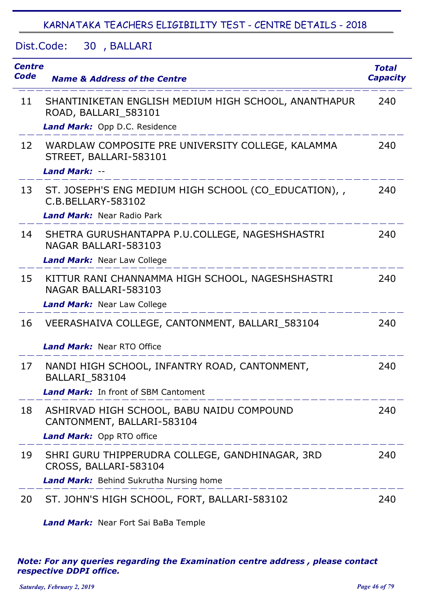Dist.Code: 30, BALLARI

| <b>Centre</b><br>Code | <b>Name &amp; Address of the Centre</b>                                      | <b>Total</b><br><b>Capacity</b> |
|-----------------------|------------------------------------------------------------------------------|---------------------------------|
| 11                    | SHANTINIKETAN ENGLISH MEDIUM HIGH SCHOOL, ANANTHAPUR<br>ROAD, BALLARI_583101 | 240                             |
|                       | Land Mark: Opp D.C. Residence                                                |                                 |
| 12                    | WARDLAW COMPOSITE PRE UNIVERSITY COLLEGE, KALAMMA<br>STREET, BALLARI-583101  | 240                             |
|                       | <b>Land Mark: --</b>                                                         |                                 |
| 13                    | ST. JOSEPH'S ENG MEDIUM HIGH SCHOOL (CO_EDUCATION),<br>C.B.BELLARY-583102    | 240                             |
|                       | <b>Land Mark:</b> Near Radio Park                                            |                                 |
| 14                    | SHETRA GURUSHANTAPPA P.U.COLLEGE, NAGESHSHASTRI<br>NAGAR BALLARI-583103      | 240                             |
|                       | Land Mark: Near Law College                                                  |                                 |
| 15                    | KITTUR RANI CHANNAMMA HIGH SCHOOL, NAGESHSHASTRI<br>NAGAR BALLARI-583103     | 240                             |
|                       | <b>Land Mark: Near Law College</b>                                           |                                 |
| 16                    | VEERASHAIVA COLLEGE, CANTONMENT, BALLARI_583104                              | 240                             |
|                       | <b>Land Mark: Near RTO Office</b>                                            |                                 |
| 17                    | NANDI HIGH SCHOOL, INFANTRY ROAD, CANTONMENT,<br><b>BALLARI 583104</b>       | 240                             |
|                       | <b>Land Mark:</b> In front of SBM Cantoment                                  |                                 |
| 18                    | ASHIRVAD HIGH SCHOOL, BABU NAIDU COMPOUND<br>CANTONMENT, BALLARI-583104      | 240                             |
|                       | Land Mark: Opp RTO office                                                    |                                 |
| 19                    | SHRI GURU THIPPERUDRA COLLEGE, GANDHINAGAR, 3RD<br>CROSS, BALLARI-583104     | 240                             |
|                       | <b>Land Mark:</b> Behind Sukrutha Nursing home                               |                                 |
| 20                    | ST. JOHN'S HIGH SCHOOL, FORT, BALLARI-583102                                 | 240                             |

*Land Mark:* Near Fort Sai BaBa Temple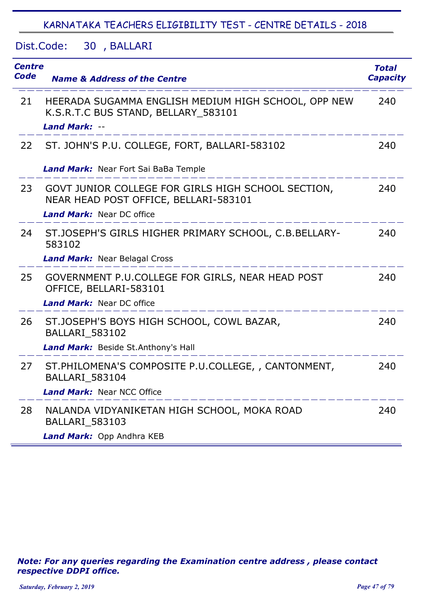Dist.Code: 30, BALLARI

| <b>Centre</b><br><b>Code</b> | <b>Name &amp; Address of the Centre</b>                                                                            | <b>Total</b><br><b>Capacity</b> |
|------------------------------|--------------------------------------------------------------------------------------------------------------------|---------------------------------|
| 21                           | HEERADA SUGAMMA ENGLISH MEDIUM HIGH SCHOOL, OPP NEW<br>K.S.R.T.C BUS STAND, BELLARY_583101<br><b>Land Mark: --</b> | 240                             |
| 22                           | ST. JOHN'S P.U. COLLEGE, FORT, BALLARI-583102                                                                      | 240                             |
|                              | Land Mark: Near Fort Sai BaBa Temple                                                                               |                                 |
| 23                           | GOVT JUNIOR COLLEGE FOR GIRLS HIGH SCHOOL SECTION,<br>NEAR HEAD POST OFFICE, BELLARI-583101                        | 240                             |
|                              | <b>Land Mark: Near DC office</b>                                                                                   |                                 |
| 24                           | ST.JOSEPH'S GIRLS HIGHER PRIMARY SCHOOL, C.B.BELLARY-<br>583102                                                    | 240                             |
|                              | <b>Land Mark:</b> Near Belagal Cross                                                                               |                                 |
| 25                           | GOVERNMENT P.U.COLLEGE FOR GIRLS, NEAR HEAD POST<br>OFFICE, BELLARI-583101                                         | 240                             |
|                              | <b>Land Mark: Near DC office</b>                                                                                   |                                 |
| 26                           | ST.JOSEPH'S BOYS HIGH SCHOOL, COWL BAZAR,<br><b>BALLARI 583102</b>                                                 | 240                             |
|                              | Land Mark: Beside St. Anthony's Hall                                                                               |                                 |
| 27                           | ST. PHILOMENA'S COMPOSITE P.U.COLLEGE, , CANTONMENT,<br>BALLARI_583104                                             | 240                             |
|                              | <b>Land Mark: Near NCC Office</b>                                                                                  |                                 |
| 28                           | NALANDA VIDYANIKETAN HIGH SCHOOL, MOKA ROAD<br><b>BALLARI 583103</b>                                               | 240                             |
|                              | Land Mark: Opp Andhra KEB                                                                                          |                                 |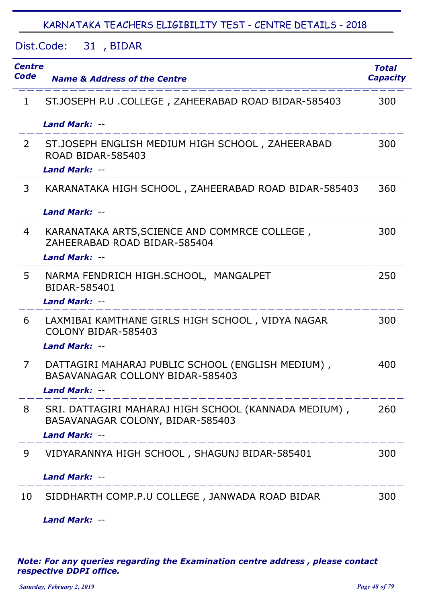Dist.Code: 31 , BIDAR

| <b>Centre</b><br>Code | <b>Name &amp; Address of the Centre</b>                                                                       | <b>Total</b><br><b>Capacity</b> |
|-----------------------|---------------------------------------------------------------------------------------------------------------|---------------------------------|
| $\mathbf{1}$          | ST.JOSEPH P.U .COLLEGE, ZAHEERABAD ROAD BIDAR-585403                                                          | 300                             |
|                       | <b>Land Mark: --</b>                                                                                          |                                 |
| $\overline{2}$        | ST.JOSEPH ENGLISH MEDIUM HIGH SCHOOL, ZAHEERABAD<br><b>ROAD BIDAR-585403</b>                                  | 300                             |
|                       | <b>Land Mark: --</b>                                                                                          |                                 |
| 3                     | KARANATAKA HIGH SCHOOL, ZAHEERABAD ROAD BIDAR-585403                                                          | 360                             |
|                       | <b>Land Mark: --</b>                                                                                          |                                 |
| 4                     | KARANATAKA ARTS, SCIENCE AND COMMRCE COLLEGE,<br>ZAHEERABAD ROAD BIDAR-585404                                 | 300                             |
|                       | <b>Land Mark: --</b>                                                                                          |                                 |
| 5                     | NARMA FENDRICH HIGH.SCHOOL, MANGALPET<br>BIDAR-585401                                                         | 250                             |
|                       | <b>Land Mark: --</b>                                                                                          |                                 |
| 6                     | LAXMIBAI KAMTHANE GIRLS HIGH SCHOOL, VIDYA NAGAR<br>COLONY BIDAR-585403                                       | 300                             |
|                       | <b>Land Mark: --</b>                                                                                          |                                 |
| $\overline{7}$        | DATTAGIRI MAHARAJ PUBLIC SCHOOL (ENGLISH MEDIUM),<br>BASAVANAGAR COLLONY BIDAR-585403<br><b>Land Mark: --</b> | 400                             |
| 8                     | SRI. DATTAGIRI MAHARAJ HIGH SCHOOL (KANNADA MEDIUM),<br>BASAVANAGAR COLONY, BIDAR-585403<br>Land Mark: --     | 260                             |
| 9                     | _______________________<br>VIDYARANNYA HIGH SCHOOL, SHAGUNJ BIDAR-585401                                      | 300                             |
|                       | <b>Land Mark: --</b>                                                                                          |                                 |
| 10                    | SIDDHARTH COMP.P.U COLLEGE, JANWADA ROAD BIDAR                                                                | 300                             |

*Land Mark:* --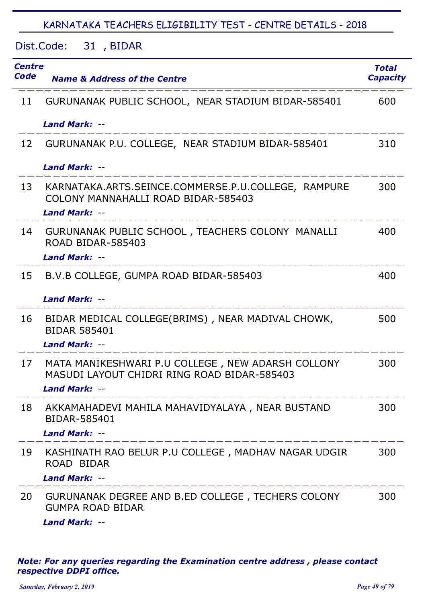Dist.Code: 31 , BIDAR

| <b>Centre</b><br>Code | <b>Name &amp; Address of the Centre</b>                                                                                                    | <b>Total</b><br><b>Capacity</b> |
|-----------------------|--------------------------------------------------------------------------------------------------------------------------------------------|---------------------------------|
| 11                    | GURUNANAK PUBLIC SCHOOL, NEAR STADIUM BIDAR-585401                                                                                         | 600                             |
|                       | <b>Land Mark: --</b>                                                                                                                       |                                 |
|                       | 12 GURUNANAK P.U. COLLEGE, NEAR STADIUM BIDAR-585401                                                                                       | 310                             |
|                       | <b>Land Mark: --</b>                                                                                                                       |                                 |
| 13                    | KARNATAKA.ARTS.SEINCE.COMMERSE.P.U.COLLEGE, RAMPURE<br>COLONY MANNAHALLI ROAD BIDAR-585403<br><b>Land Mark: --</b>                         | 300                             |
| 14                    | GURUNANAK PUBLIC SCHOOL, TEACHERS COLONY MANALLI<br><b>ROAD BIDAR-585403</b><br><b>Land Mark: --</b>                                       | 400                             |
| 15                    | B.V.B COLLEGE, GUMPA ROAD BIDAR-585403                                                                                                     | 400                             |
|                       | <b>Land Mark: --</b>                                                                                                                       |                                 |
| 16                    | BIDAR MEDICAL COLLEGE(BRIMS), NEAR MADIVAL CHOWK,<br><b>BIDAR 585401</b><br>Land Mark: --                                                  | 500                             |
| 17                    | MATA MANIKESHWARI P.U COLLEGE, NEW ADARSH COLLONY<br>MASUDI LAYOUT CHIDRI RING ROAD BIDAR-585403<br><b>Land Mark: --</b>                   | 300                             |
|                       | المساحسة المساحسة المساحسة المساحسة المساحسة<br>18 AKKAMAHADEVI MAHILA MAHAVIDYALAYA, NEAR BUSTAND<br>BIDAR-585401<br><b>Land Mark: --</b> | 300                             |
| 19                    | KASHINATH RAO BELUR P.U COLLEGE , MADHAV NAGAR UDGIR<br>ROAD BIDAR                                                                         | 300                             |
|                       | <b>Land Mark: --</b>                                                                                                                       |                                 |
| 20                    | GURUNANAK DEGREE AND B.ED COLLEGE, TECHERS COLONY<br><b>GUMPA ROAD BIDAR</b><br>Land Mark: --                                              | 300                             |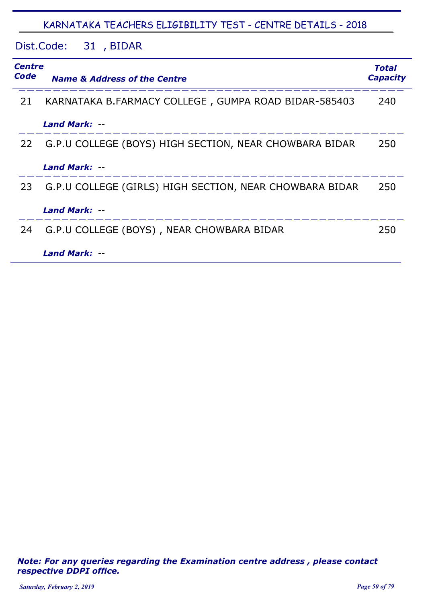Dist.Code: 31 , BIDAR

| <b>Centre</b><br>Code | <b>Name &amp; Address of the Centre</b>                 | <b>Total</b><br><b>Capacity</b> |
|-----------------------|---------------------------------------------------------|---------------------------------|
| 21                    | KARNATAKA B.FARMACY COLLEGE, GUMPA ROAD BIDAR-585403    | 240                             |
|                       | Land Mark: --                                           |                                 |
| 22                    | G.P.U COLLEGE (BOYS) HIGH SECTION, NEAR CHOWBARA BIDAR  | 250                             |
|                       | Land Mark: --                                           |                                 |
| 23                    | G.P.U COLLEGE (GIRLS) HIGH SECTION, NEAR CHOWBARA BIDAR | 250                             |
|                       | <b>Land Mark: --</b>                                    |                                 |
| 24                    | G.P.U COLLEGE (BOYS), NEAR CHOWBARA BIDAR               | 250                             |
|                       | <b>Land Mark: --</b>                                    |                                 |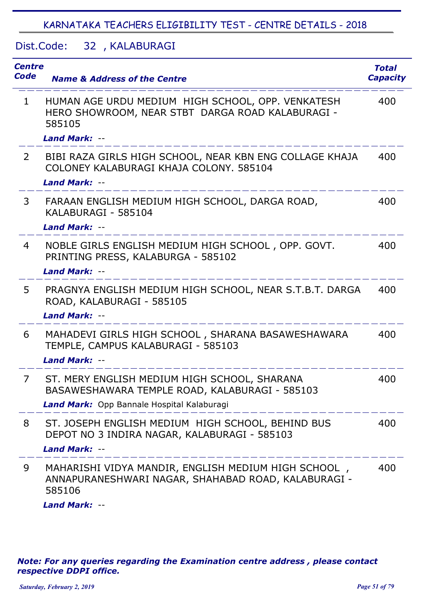Dist.Code: 32, KALABURAGI

| <b>Centre</b><br><b>Code</b> | <b>Name &amp; Address of the Centre</b>                                                                                                      | <b>Total</b><br><b>Capacity</b> |
|------------------------------|----------------------------------------------------------------------------------------------------------------------------------------------|---------------------------------|
| $\mathbf{1}$                 | HUMAN AGE URDU MEDIUM HIGH SCHOOL, OPP. VENKATESH<br>HERO SHOWROOM, NEAR STBT DARGA ROAD KALABURAGI -<br>585105                              | 400                             |
|                              | <b>Land Mark: --</b>                                                                                                                         |                                 |
| 2                            | BIBI RAZA GIRLS HIGH SCHOOL, NEAR KBN ENG COLLAGE KHAJA<br>COLONEY KALABURAGI KHAJA COLONY, 585104<br><b>Land Mark: --</b>                   | 400                             |
| 3                            | FARAAN ENGLISH MEDIUM HIGH SCHOOL, DARGA ROAD,<br>KALABURAGI - 585104<br>Land Mark: --                                                       | 400                             |
| 4                            | NOBLE GIRLS ENGLISH MEDIUM HIGH SCHOOL, OPP. GOVT.<br>PRINTING PRESS, KALABURGA - 585102<br><b>Land Mark: --</b>                             | 400                             |
| 5                            | PRAGNYA ENGLISH MEDIUM HIGH SCHOOL, NEAR S.T.B.T. DARGA<br>ROAD, KALABURAGI - 585105<br><b>Land Mark: --</b>                                 | 400                             |
| 6                            | MAHADEVI GIRLS HIGH SCHOOL, SHARANA BASAWESHAWARA<br>TEMPLE, CAMPUS KALABURAGI - 585103<br><b>Land Mark: --</b>                              | 400                             |
| 7                            | ST. MERY ENGLISH MEDIUM HIGH SCHOOL, SHARANA<br>BASAWESHAWARA TEMPLE ROAD, KALABURAGI - 585103<br>Land Mark: Opp Bannale Hospital Kalaburagi | 400                             |
| 8                            | ST. JOSEPH ENGLISH MEDIUM HIGH SCHOOL, BEHIND BUS<br>DEPOT NO 3 INDIRA NAGAR, KALABURAGI - 585103<br><b>Land Mark: --</b>                    | 400                             |
| 9                            | MAHARISHI VIDYA MANDIR, ENGLISH MEDIUM HIGH SCHOOL,<br>ANNAPURANESHWARI NAGAR, SHAHABAD ROAD, KALABURAGI -<br>585106                         | 400                             |

*Land Mark:* --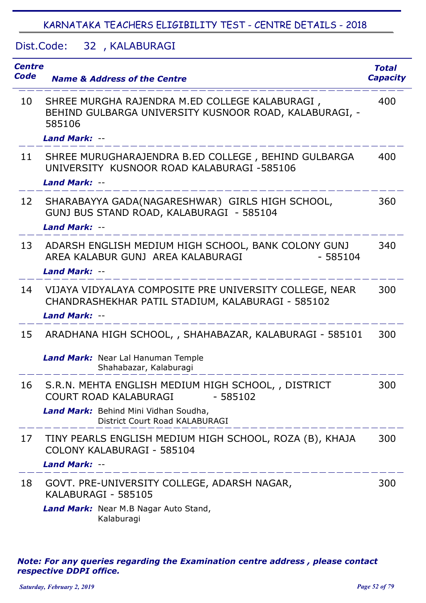## Dist.Code: 32, KALABURAGI

| <b>Centre</b><br><b>Code</b> | <b>Name &amp; Address of the Centre</b>                                                                                                                                     | <b>Total</b><br><b>Capacity</b> |
|------------------------------|-----------------------------------------------------------------------------------------------------------------------------------------------------------------------------|---------------------------------|
| 10                           | SHREE MURGHA RAJENDRA M.ED COLLEGE KALABURAGI,<br>BEHIND GULBARGA UNIVERSITY KUSNOOR ROAD, KALABURAGI, -<br>585106<br><b>Land Mark: --</b>                                  | 400                             |
| 11                           | SHREE MURUGHARAJENDRA B.ED COLLEGE, BEHIND GULBARGA<br>UNIVERSITY KUSNOOR ROAD KALABURAGI -585106<br><b>Land Mark: --</b>                                                   | 400                             |
| 12                           | SHARABAYYA GADA(NAGARESHWAR) GIRLS HIGH SCHOOL,<br>GUNJ BUS STAND ROAD, KALABURAGI - 585104<br>Land Mark: --                                                                | 360                             |
| 13                           | ADARSH ENGLISH MEDIUM HIGH SCHOOL, BANK COLONY GUNJ<br>AREA KALABUR GUNJ AREA KALABURAGI<br>$-585104$<br><b>Land Mark: --</b>                                               | 340                             |
| 14                           | VIJAYA VIDYALAYA COMPOSITE PRE UNIVERSITY COLLEGE, NEAR<br>CHANDRASHEKHAR PATIL STADIUM, KALABURAGI - 585102<br><b>Land Mark: --</b>                                        | 300                             |
| 15                           | ARADHANA HIGH SCHOOL, , SHAHABAZAR, KALABURAGI - 585101<br>Land Mark: Near Lal Hanuman Temple<br>Shahabazar, Kalaburagi                                                     | 300                             |
| 16                           | S.R.N. MEHTA ENGLISH MEDIUM HIGH SCHOOL, , DISTRICT<br><b>COURT ROAD KALABURAGI</b><br>$-585102$<br>Land Mark: Behind Mini Vidhan Soudha,<br>District Court Road KALABURAGI | 300                             |
| 17                           | TINY PEARLS ENGLISH MEDIUM HIGH SCHOOL, ROZA (B), KHAJA<br>COLONY KALABURAGI - 585104<br><b>Land Mark: --</b>                                                               | 300                             |
| 18                           | GOVT. PRE-UNIVERSITY COLLEGE, ADARSH NAGAR,<br>KALABURAGI - 585105<br>Land Mark: Near M.B Nagar Auto Stand,<br>Kalaburagi                                                   | 300                             |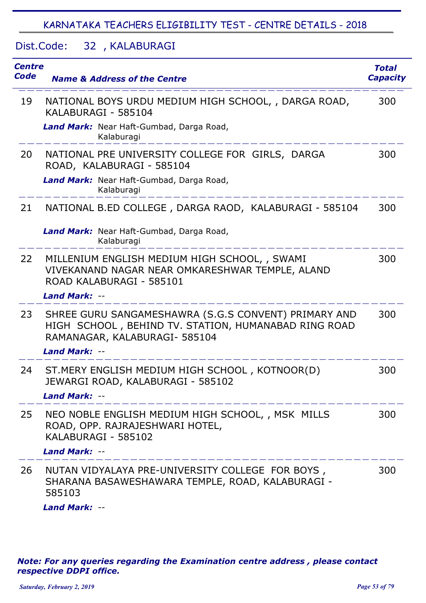### Dist.Code: 32, KALABURAGI

| <b>Centre</b><br>Code | <b>Name &amp; Address of the Centre</b>                                                                                                                        | <b>Total</b><br><b>Capacity</b> |
|-----------------------|----------------------------------------------------------------------------------------------------------------------------------------------------------------|---------------------------------|
| 19                    | NATIONAL BOYS URDU MEDIUM HIGH SCHOOL, , DARGA ROAD,<br>KALABURAGI - 585104                                                                                    | 300                             |
|                       | Land Mark: Near Haft-Gumbad, Darga Road,<br>Kalaburagi                                                                                                         |                                 |
| 20                    | NATIONAL PRE UNIVERSITY COLLEGE FOR GIRLS, DARGA<br>ROAD, KALABURAGI - 585104                                                                                  | 300                             |
|                       | Land Mark: Near Haft-Gumbad, Darga Road,<br>Kalaburagi                                                                                                         |                                 |
| 21                    | NATIONAL B.ED COLLEGE, DARGA RAOD, KALABURAGI - 585104                                                                                                         | 300                             |
|                       | Land Mark: Near Haft-Gumbad, Darga Road,<br>Kalaburagi                                                                                                         |                                 |
| 22                    | MILLENIUM ENGLISH MEDIUM HIGH SCHOOL, , SWAMI<br>VIVEKANAND NAGAR NEAR OMKARESHWAR TEMPLE, ALAND<br>ROAD KALABURAGI - 585101<br><b>Land Mark: --</b>           | 300                             |
| 23                    | SHREE GURU SANGAMESHAWRA (S.G.S CONVENT) PRIMARY AND<br>HIGH SCHOOL, BEHIND TV. STATION, HUMANABAD RING ROAD<br>RAMANAGAR, KALABURAGI- 585104<br>Land Mark: -- | 300                             |
| 24                    | ST. MERY ENGLISH MEDIUM HIGH SCHOOL, KOTNOOR(D)<br>JEWARGI ROAD, KALABURAGI - 585102<br>Land Mark: --                                                          | 300                             |
| 25                    | NEO NOBLE ENGLISH MEDIUM HIGH SCHOOL, , MSK MILLS<br>ROAD, OPP. RAJRAJESHWARI HOTEL,<br>KALABURAGI - 585102<br>Land Mark: --                                   | 300                             |
| 26                    | NUTAN VIDYALAYA PRE-UNIVERSITY COLLEGE FOR BOYS,<br>SHARANA BASAWESHAWARA TEMPLE, ROAD, KALABURAGI -<br>585103                                                 | 300                             |

*Land Mark:* --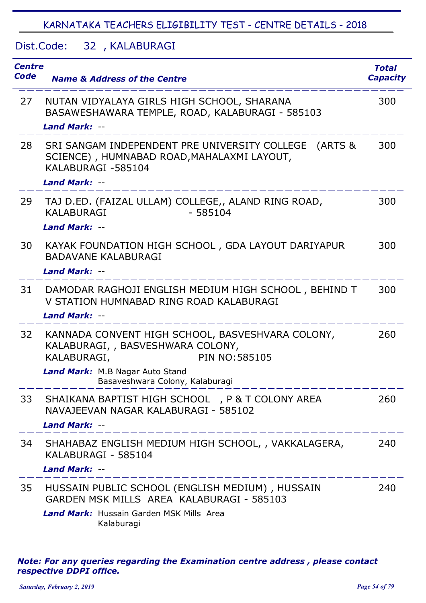## Dist.Code: 32, KALABURAGI

| <b>Centre</b><br>Code | <b>Name &amp; Address of the Centre</b>                                                                                                                          | <b>Total</b><br><b>Capacity</b> |
|-----------------------|------------------------------------------------------------------------------------------------------------------------------------------------------------------|---------------------------------|
| 27                    | NUTAN VIDYALAYA GIRLS HIGH SCHOOL, SHARANA<br>BASAWESHAWARA TEMPLE, ROAD, KALABURAGI - 585103                                                                    | 300                             |
|                       | <b>Land Mark: --</b>                                                                                                                                             |                                 |
| 28                    | SRI SANGAM INDEPENDENT PRE UNIVERSITY COLLEGE<br>(ARTS &<br>SCIENCE), HUMNABAD ROAD, MAHALAXMI LAYOUT,<br>KALABURAGI-585104<br><b>Land Mark: --</b>              | 300                             |
| 29                    | TAJ D.ED. (FAIZAL ULLAM) COLLEGE,, ALAND RING ROAD,<br>$-585104$<br><b>KALABURAGI</b><br><b>Land Mark: --</b>                                                    | 300                             |
| 30                    | KAYAK FOUNDATION HIGH SCHOOL, GDA LAYOUT DARIYAPUR<br><b>BADAVANE KALABURAGI</b><br><b>Land Mark: --</b>                                                         | 300                             |
| 31                    | DAMODAR RAGHOJI ENGLISH MEDIUM HIGH SCHOOL, BEHIND T<br>V STATION HUMNABAD RING ROAD KALABURAGI<br><b>Land Mark: --</b>                                          | 300                             |
| 32                    | KANNADA CONVENT HIGH SCHOOL, BASVESHVARA COLONY,<br>KALABURAGI, , BASVESHWARA COLONY,<br><b>PIN NO: 585105</b><br>KALABURAGI,<br>Land Mark: M.B Nagar Auto Stand | 260                             |
|                       | Basaveshwara Colony, Kalaburagi                                                                                                                                  |                                 |
| 33                    | SHAIKANA BAPTIST HIGH SCHOOL, P & T COLONY AREA<br>NAVAJEEVAN NAGAR KALABURAGI - 585102<br>Land Mark: --                                                         | 260                             |
| 34                    | SHAHABAZ ENGLISH MEDIUM HIGH SCHOOL, , VAKKALAGERA,<br>KALABURAGI - 585104<br><b>Land Mark: --</b>                                                               | 240                             |
| 35                    | HUSSAIN PUBLIC SCHOOL (ENGLISH MEDIUM), HUSSAIN<br>GARDEN MSK MILLS AREA KALABURAGI - 585103<br><b>Land Mark:</b> Hussain Garden MSK Mills Area<br>Kalaburagi    | 240                             |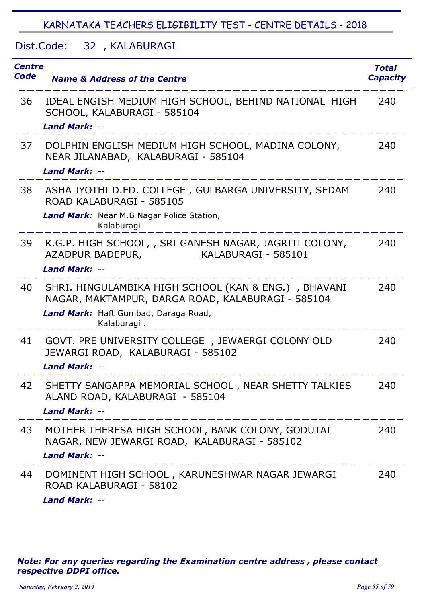# Dist.Code: 32, KALABURAGI

| <b>Centre</b><br><b>Code</b> | <b>Name &amp; Address of the Centre</b>                                                                                                                   | <b>Total</b><br><b>Capacity</b> |
|------------------------------|-----------------------------------------------------------------------------------------------------------------------------------------------------------|---------------------------------|
| 36                           | IDEAL ENGISH MEDIUM HIGH SCHOOL, BEHIND NATIONAL HIGH<br>SCHOOL, KALABURAGI - 585104<br><b>Land Mark: --</b>                                              | 240                             |
| 37                           | DOLPHIN ENGLISH MEDIUM HIGH SCHOOL, MADINA COLONY,<br>NEAR JILANABAD, KALABURAGI - 585104<br><b>Land Mark: --</b>                                         | 240                             |
| 38                           | ASHA JYOTHI D.ED. COLLEGE, GULBARGA UNIVERSITY, SEDAM<br>ROAD KALABURAGI - 585105                                                                         | 240                             |
|                              | Land Mark: Near M.B Nagar Police Station,<br>Kalaburagi                                                                                                   |                                 |
| 39                           | K.G.P. HIGH SCHOOL, , SRI GANESH NAGAR, JAGRITI COLONY,<br>KALABURAGI - 585101<br>AZADPUR BADEPUR,                                                        | 240                             |
|                              | Land Mark: --                                                                                                                                             |                                 |
| 40                           | SHRI. HINGULAMBIKA HIGH SCHOOL (KAN & ENG.), BHAVANI<br>NAGAR, MAKTAMPUR, DARGA ROAD, KALABURAGI - 585104                                                 | 240                             |
|                              | Land Mark: Haft Gumbad, Daraga Road,<br>Kalaburagi.                                                                                                       |                                 |
| 41                           | GOVT. PRE UNIVERSITY COLLEGE, JEWAERGI COLONY OLD<br>JEWARGI ROAD, KALABURAGI - 585102<br>Land Mark: --                                                   | 240                             |
| 42                           | SHETTY SANGAPPA MEMORIAL SCHOOL, NEAR SHETTY TALKIES<br>ALAND ROAD, KALABURAGI - 585104<br>Land Mark: --<br><u> 2002 - 2002 - 2002 - 2002 - 2002 - 20</u> | 240                             |
| 43                           | MOTHER THERESA HIGH SCHOOL, BANK COLONY, GODUTAI<br>NAGAR, NEW JEWARGI ROAD, KALABURAGI - 585102<br>Land Mark: --                                         | 240                             |
| 44                           | DOMINENT HIGH SCHOOL, KARUNESHWAR NAGAR JEWARGI<br>ROAD KALABURAGI - 58102<br><b>Land Mark: --</b>                                                        | 240                             |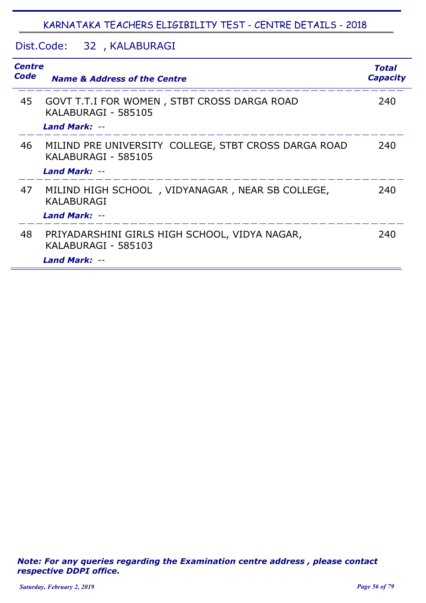# Dist.Code: 32, KALABURAGI

| Code | <b>Centre</b><br><b>Name &amp; Address of the Centre</b>                                            |     |
|------|-----------------------------------------------------------------------------------------------------|-----|
| 45   | GOVT T.T.I FOR WOMEN, STBT CROSS DARGA ROAD<br>KALABURAGI - 585105<br><b>Land Mark: --</b>          | 240 |
| 46   | MILIND PRE UNIVERSITY COLLEGE, STBT CROSS DARGA ROAD<br>KALABURAGI - 585105<br><b>Land Mark: --</b> | 240 |
| 47   | MILIND HIGH SCHOOL, VIDYANAGAR, NEAR SB COLLEGE,<br>KALABURAGI<br><b>Land Mark: --</b>              | 240 |
| 48   | PRIYADARSHINI GIRLS HIGH SCHOOL, VIDYA NAGAR,<br>KALABURAGI - 585103<br><b>Land Mark: --</b>        | 240 |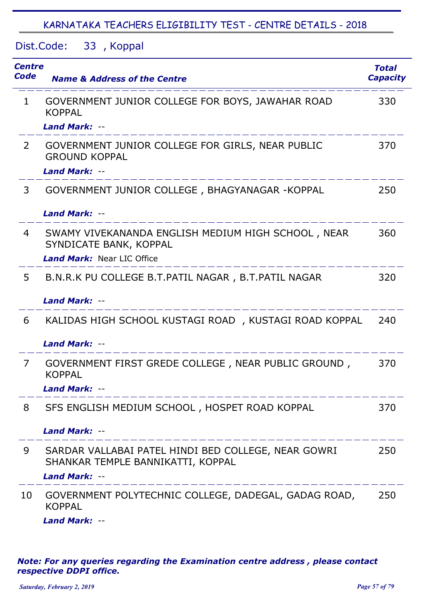Dist.Code: 33, Koppal

| <b>Centre</b><br>Code | <b>Name &amp; Address of the Centre</b>                                                                           | <b>Total</b><br><b>Capacity</b> |
|-----------------------|-------------------------------------------------------------------------------------------------------------------|---------------------------------|
| $\mathbf{1}$          | GOVERNMENT JUNIOR COLLEGE FOR BOYS, JAWAHAR ROAD<br><b>KOPPAL</b>                                                 | 330                             |
|                       | <b>Land Mark: --</b>                                                                                              |                                 |
| $\mathbf{2}^{\prime}$ | GOVERNMENT JUNIOR COLLEGE FOR GIRLS, NEAR PUBLIC<br><b>GROUND KOPPAL</b><br><b>Land Mark: --</b>                  | 370                             |
| 3                     | GOVERNMENT JUNIOR COLLEGE, BHAGYANAGAR - KOPPAL<br>Land Mark: --                                                  | 250                             |
| 4                     | SWAMY VIVEKANANDA ENGLISH MEDIUM HIGH SCHOOL, NEAR<br>SYNDICATE BANK, KOPPAL<br><b>Land Mark: Near LIC Office</b> | 360                             |
| 5                     | B.N.R.K PU COLLEGE B.T.PATIL NAGAR, B.T.PATIL NAGAR<br><b>Land Mark: --</b>                                       | 320                             |
| 6                     | KALIDAS HIGH SCHOOL KUSTAGI ROAD, KUSTAGI ROAD KOPPAL<br>Land Mark: --                                            | 240                             |
| 7                     | GOVERNMENT FIRST GREDE COLLEGE, NEAR PUBLIC GROUND,<br><b>KOPPAL</b><br><b>Land Mark: --</b>                      | 370                             |
| 8                     | SFS ENGLISH MEDIUM SCHOOL, HOSPET ROAD KOPPAL<br><b>Land Mark: --</b>                                             | 370                             |
| 9                     | SARDAR VALLABAI PATEL HINDI BED COLLEGE, NEAR GOWRI<br>SHANKAR TEMPLE BANNIKATTI, KOPPAL<br><b>Land Mark: --</b>  | 250                             |
| 10                    | GOVERNMENT POLYTECHNIC COLLEGE, DADEGAL, GADAG ROAD,<br><b>KOPPAL</b><br><b>Land Mark: --</b>                     | 250                             |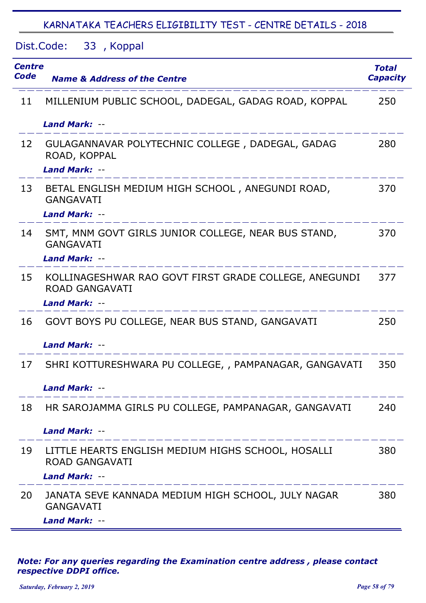Dist.Code: 33, Koppal

| Centre<br>Code | <b>Name &amp; Address of the Centre</b>                                                             | <b>Total</b><br><b>Capacity</b> |
|----------------|-----------------------------------------------------------------------------------------------------|---------------------------------|
| 11             | MILLENIUM PUBLIC SCHOOL, DADEGAL, GADAG ROAD, KOPPAL                                                | 250                             |
|                | <b>Land Mark: --</b>                                                                                |                                 |
| 12             | GULAGANNAVAR POLYTECHNIC COLLEGE, DADEGAL, GADAG<br>ROAD, KOPPAL<br>Land Mark: --                   | 280                             |
| 13             | BETAL ENGLISH MEDIUM HIGH SCHOOL, ANEGUNDI ROAD,<br><b>GANGAVATI</b><br><b>Land Mark: --</b>        | 370                             |
| 14             | SMT, MNM GOVT GIRLS JUNIOR COLLEGE, NEAR BUS STAND,<br><b>GANGAVATI</b><br><b>Land Mark: --</b>     | 370                             |
| 15             | KOLLINAGESHWAR RAO GOVT FIRST GRADE COLLEGE, ANEGUNDI<br><b>ROAD GANGAVATI</b><br>Land Mark: --     | 377                             |
| 16             | GOVT BOYS PU COLLEGE, NEAR BUS STAND, GANGAVATI<br>Land Mark: --                                    | 250                             |
| 17             | SHRI KOTTURESHWARA PU COLLEGE, , PAMPANAGAR, GANGAVATI<br>Land Mark: --                             | 350                             |
| 18             | HR SAROJAMMA GIRLS PU COLLEGE, PAMPANAGAR, GANGAVATI<br><b>Land Mark: --</b>                        | 240                             |
| 19             | LITTLE HEARTS ENGLISH MEDIUM HIGHS SCHOOL, HOSALLI<br><b>ROAD GANGAVATI</b><br><b>Land Mark: --</b> | 380                             |
| 20             | JANATA SEVE KANNADA MEDIUM HIGH SCHOOL, JULY NAGAR<br><b>GANGAVATI</b><br><b>Land Mark: --</b>      | 380                             |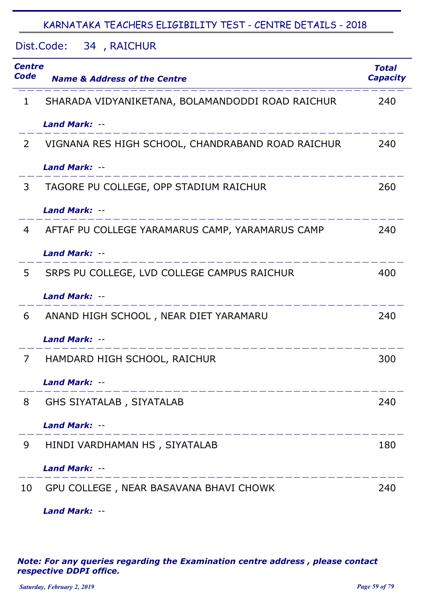Dist.Code: 34 , RAICHUR

| <b>Centre</b><br>Code | <b>Name &amp; Address of the Centre</b>           | <b>Total</b><br><b>Capacity</b> |
|-----------------------|---------------------------------------------------|---------------------------------|
| 1                     | SHARADA VIDYANIKETANA, BOLAMANDODDI ROAD RAICHUR  | 240                             |
|                       | <b>Land Mark: --</b>                              |                                 |
| 2                     | VIGNANA RES HIGH SCHOOL, CHANDRABAND ROAD RAICHUR | 240                             |
|                       | <b>Land Mark: --</b>                              |                                 |
| 3                     | TAGORE PU COLLEGE, OPP STADIUM RAICHUR            | 260                             |
|                       | <b>Land Mark: --</b>                              |                                 |
| 4                     | AFTAF PU COLLEGE YARAMARUS CAMP, YARAMARUS CAMP   | 240                             |
|                       | Land Mark: --                                     |                                 |
| 5                     | SRPS PU COLLEGE, LVD COLLEGE CAMPUS RAICHUR       | 400                             |
|                       | <b>Land Mark: --</b>                              |                                 |
| 6                     | ANAND HIGH SCHOOL, NEAR DIET YARAMARU             | 240                             |
|                       | <b>Land Mark: --</b>                              |                                 |
| 7                     | HAMDARD HIGH SCHOOL, RAICHUR                      | 300                             |
|                       | <b>Land Mark:</b>                                 |                                 |
| 8                     | GHS SIYATALAB, SIYATALAB                          | 240                             |
|                       | <b>Land Mark: --</b>                              |                                 |
| 9                     | HINDI VARDHAMAN HS, SIYATALAB                     | 180                             |
|                       | Land Mark: --                                     |                                 |
| 10                    | GPU COLLEGE, NEAR BASAVANA BHAVI CHOWK            | 240                             |
|                       | Land Mark: --                                     |                                 |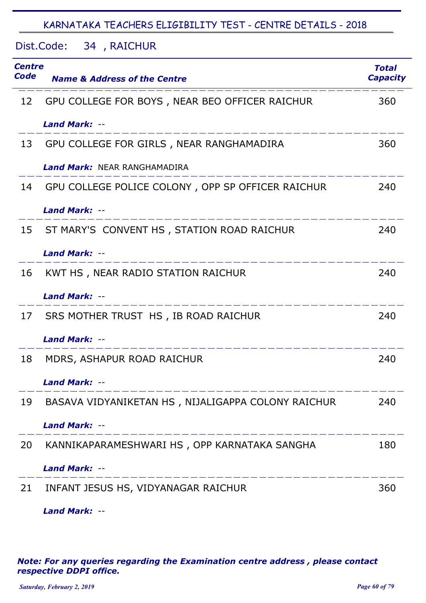Dist.Code: 34 , RAICHUR

| <b>Centre</b><br>Code | <b>Name &amp; Address of the Centre</b>            | <b>Total</b><br><b>Capacity</b> |
|-----------------------|----------------------------------------------------|---------------------------------|
| 12                    | GPU COLLEGE FOR BOYS, NEAR BEO OFFICER RAICHUR     | 360                             |
|                       | <b>Land Mark: --</b>                               |                                 |
| 13                    | GPU COLLEGE FOR GIRLS, NEAR RANGHAMADIRA           | 360                             |
|                       | <b>Land Mark: NEAR RANGHAMADIRA</b>                |                                 |
| 14                    | GPU COLLEGE POLICE COLONY, OPP SP OFFICER RAICHUR  | 240                             |
|                       | <b>Land Mark: --</b>                               |                                 |
| 15                    | ST MARY'S CONVENT HS, STATION ROAD RAICHUR         | 240                             |
|                       | <b>Land Mark: --</b>                               |                                 |
| 16                    | KWT HS, NEAR RADIO STATION RAICHUR                 | 240                             |
|                       | <b>Land Mark: --</b>                               |                                 |
| 17                    | SRS MOTHER TRUST HS, IB ROAD RAICHUR               | 240                             |
|                       | <b>Land Mark: --</b>                               |                                 |
| 18                    | MDRS, ASHAPUR ROAD RAICHUR                         | 240                             |
|                       | <b>Land Mark: --</b>                               |                                 |
| 19                    | BASAVA VIDYANIKETAN HS, NIJALIGAPPA COLONY RAICHUR | 240                             |
|                       | <b>Land Mark: --</b>                               |                                 |
| 20                    | KANNIKAPARAMESHWARI HS, OPP KARNATAKA SANGHA       | 180                             |
|                       | <b>Land Mark: --</b>                               |                                 |
| 21                    | INFANT JESUS HS, VIDYANAGAR RAICHUR                | 360                             |
|                       | Land Mark: --                                      |                                 |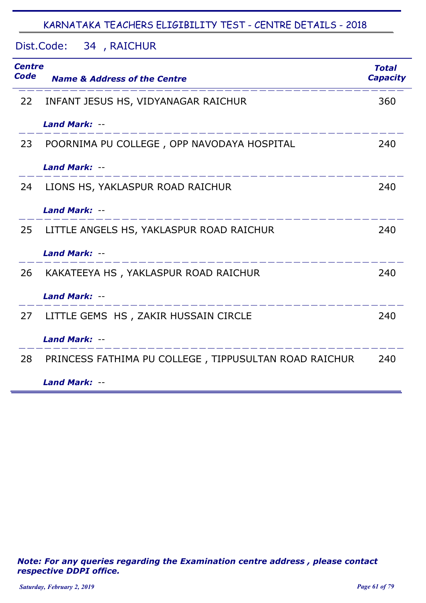|  | Dist.Code: |  | 34, RAICHUR |
|--|------------|--|-------------|
|--|------------|--|-------------|

| <b>Centre</b><br>Code | <b>Name &amp; Address of the Centre</b>               | <b>Total</b><br><b>Capacity</b> |
|-----------------------|-------------------------------------------------------|---------------------------------|
| 22                    | INFANT JESUS HS, VIDYANAGAR RAICHUR                   | 360                             |
|                       | <b>Land Mark: --</b>                                  |                                 |
| 23                    | POORNIMA PU COLLEGE, OPP NAVODAYA HOSPITAL            | 240                             |
|                       | <b>Land Mark: --</b>                                  |                                 |
| 24                    | LIONS HS, YAKLASPUR ROAD RAICHUR                      | 240                             |
|                       | <b>Land Mark: --</b>                                  |                                 |
| 25                    | LITTLE ANGELS HS, YAKLASPUR ROAD RAICHUR              | 240                             |
|                       | Land Mark: --                                         |                                 |
| 26                    | KAKATEEYA HS, YAKLASPUR ROAD RAICHUR                  | 240                             |
|                       | <b>Land Mark: --</b>                                  |                                 |
| 27                    | LITTLE GEMS HS, ZAKIR HUSSAIN CIRCLE                  | 240                             |
|                       | <b>Land Mark: --</b>                                  |                                 |
| 28                    | PRINCESS FATHIMA PU COLLEGE, TIPPUSULTAN ROAD RAICHUR | 240                             |
|                       | <b>Land Mark: --</b>                                  |                                 |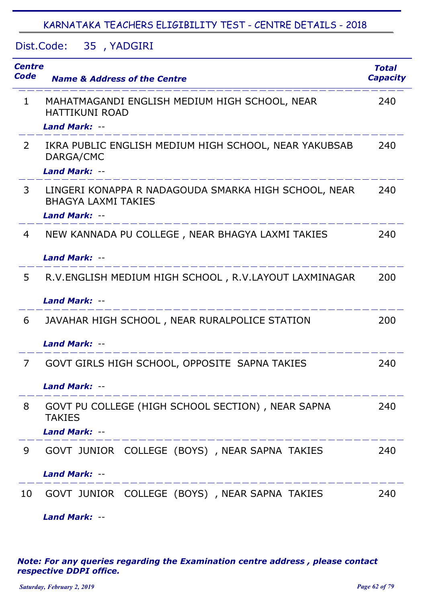Dist.Code: 35 YADGIRI ,

| <b>Centre</b><br>Code | <b>Name &amp; Address of the Centre</b>                                            | <b>Total</b><br><b>Capacity</b> |
|-----------------------|------------------------------------------------------------------------------------|---------------------------------|
| $\mathbf{1}$          | MAHATMAGANDI ENGLISH MEDIUM HIGH SCHOOL, NEAR<br><b>HATTIKUNI ROAD</b>             | 240                             |
|                       | <b>Land Mark: --</b>                                                               |                                 |
| $\overline{2}$        | IKRA PUBLIC ENGLISH MEDIUM HIGH SCHOOL, NEAR YAKUBSAB<br>DARGA/CMC                 | 240                             |
|                       | <b>Land Mark: --</b>                                                               |                                 |
| 3                     | LINGERI KONAPPA R NADAGOUDA SMARKA HIGH SCHOOL, NEAR<br><b>BHAGYA LAXMI TAKIES</b> | 240                             |
|                       | <b>Land Mark: --</b>                                                               |                                 |
| 4                     | NEW KANNADA PU COLLEGE, NEAR BHAGYA LAXMI TAKIES                                   | 240                             |
|                       | <b>Land Mark: --</b>                                                               |                                 |
| 5                     | R.V.ENGLISH MEDIUM HIGH SCHOOL, R.V.LAYOUT LAXMINAGAR                              | 200                             |
|                       | <b>Land Mark: --</b>                                                               |                                 |
| 6                     | JAVAHAR HIGH SCHOOL, NEAR RURALPOLICE STATION                                      | 200                             |
|                       | <b>Land Mark: --</b>                                                               |                                 |
| 7                     | GOVT GIRLS HIGH SCHOOL, OPPOSITE SAPNA TAKIES                                      | 240                             |
|                       | Land Mark: --                                                                      |                                 |
| 8                     | GOVT PU COLLEGE (HIGH SCHOOL SECTION), NEAR SAPNA<br><b>TAKIES</b>                 | 240                             |
|                       | <b>Land Mark: --</b>                                                               |                                 |
| 9                     | GOVT JUNIOR COLLEGE (BOYS), NEAR SAPNA TAKIES                                      | 240                             |
|                       | <b>Land Mark: --</b>                                                               |                                 |
| 10                    | GOVT JUNIOR COLLEGE (BOYS), NEAR SAPNA TAKIES                                      | 240                             |

*Note: For any queries regarding the Examination centre address , please contact respective DDPI office.*

*Land Mark:* --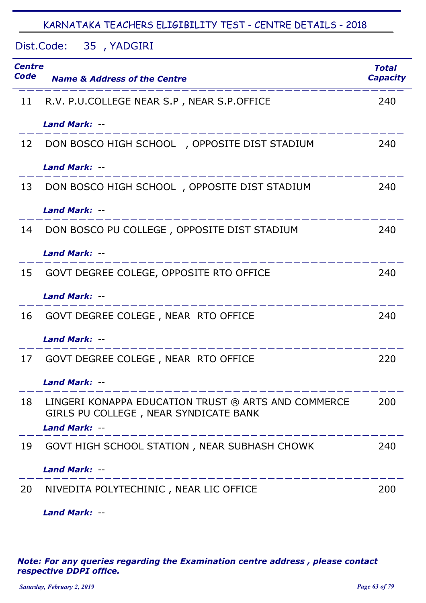Dist.Code: 35, YADGIRI

| Centre<br>Code | <b>Name &amp; Address of the Centre</b>                                                                                                        | <b>Total</b><br><b>Capacity</b> |
|----------------|------------------------------------------------------------------------------------------------------------------------------------------------|---------------------------------|
| 11             | R.V. P.U.COLLEGE NEAR S.P, NEAR S.P.OFFICE                                                                                                     | 240                             |
|                | <b>Land Mark: --</b>                                                                                                                           |                                 |
| 12             | DON BOSCO HIGH SCHOOL , OPPOSITE DIST STADIUM                                                                                                  | 240                             |
|                | <b>Land Mark: --</b>                                                                                                                           |                                 |
| 13             | DON BOSCO HIGH SCHOOL, OPPOSITE DIST STADIUM                                                                                                   | 240                             |
|                | <b>Land Mark: --</b>                                                                                                                           |                                 |
| 14             | DON BOSCO PU COLLEGE, OPPOSITE DIST STADIUM                                                                                                    | 240                             |
|                | <b>Land Mark: --</b>                                                                                                                           |                                 |
| 15             | GOVT DEGREE COLEGE, OPPOSITE RTO OFFICE                                                                                                        | 240                             |
|                | <b>Land Mark: --</b>                                                                                                                           |                                 |
| 16             | GOVT DEGREE COLEGE, NEAR RTO OFFICE                                                                                                            | 240                             |
|                | <b>Land Mark: --</b>                                                                                                                           |                                 |
| 17             | GOVT DEGREE COLEGE, NEAR RTO OFFICE                                                                                                            | 220                             |
|                | <b>Land Mark: --</b>                                                                                                                           |                                 |
| 18             | LINGERI KONAPPA EDUCATION TRUST ® ARTS AND COMMERCE<br>GIRLS PU COLLEGE, NEAR SYNDICATE BANK<br><b>Land Mark: --</b><br>______________________ | 200                             |
| 19             | GOVT HIGH SCHOOL STATION, NEAR SUBHASH CHOWK                                                                                                   | 240                             |
|                | <b>Land Mark: --</b><br>_______________________                                                                                                |                                 |
| 20             | NIVEDITA POLYTECHINIC, NEAR LIC OFFICE                                                                                                         | 200                             |
|                | <b>Land Mark: --</b>                                                                                                                           |                                 |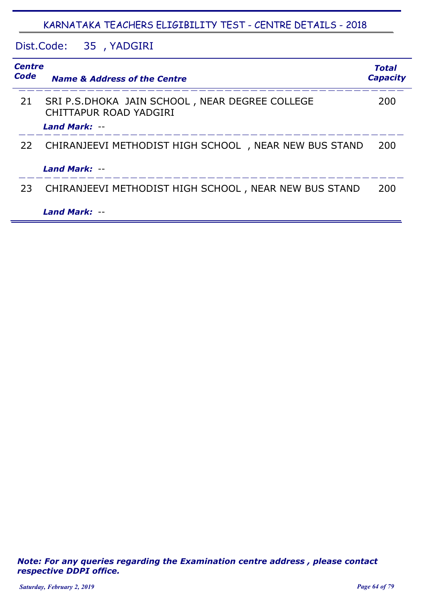# Dist.Code: 35 YADGIRI ,

| <b>Centre</b><br><b>Code</b> | <b>Name &amp; Address of the Centre</b>                                  | <b>Total</b><br><b>Capacity</b> |
|------------------------------|--------------------------------------------------------------------------|---------------------------------|
| 21                           | SRI P.S.DHOKA JAIN SCHOOL, NEAR DEGREE COLLEGE<br>CHITTAPUR ROAD YADGIRI | 200                             |
|                              | <b>Land Mark: --</b>                                                     |                                 |
| 22                           | CHIRANJEEVI METHODIST HIGH SCHOOL, NEAR NEW BUS STAND                    | 200                             |
|                              | Land Mark: --                                                            |                                 |
| 23                           | CHIRANJEEVI METHODIST HIGH SCHOOL, NEAR NEW BUS STAND                    | 200                             |
|                              | <b>Land Mark: --</b>                                                     |                                 |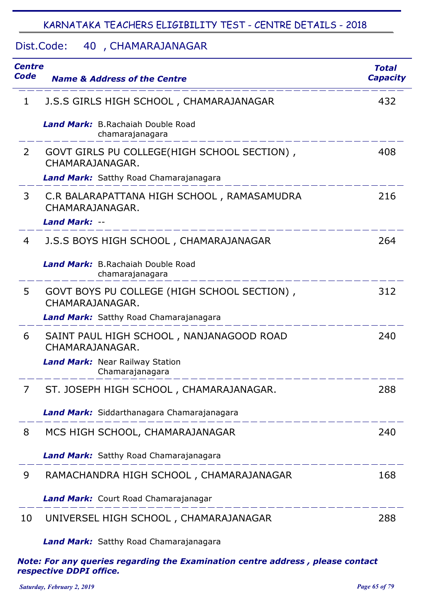#### Dist.Code: 40 , CHAMARAJANAGAR

| Centre<br>Code | <b>Name &amp; Address of the Centre</b>                                               | <b>Total</b><br><b>Capacity</b> |
|----------------|---------------------------------------------------------------------------------------|---------------------------------|
| 1              | J.S.S GIRLS HIGH SCHOOL, CHAMARAJANAGAR                                               | 432                             |
|                | <b>Land Mark:</b> B.Rachaiah Double Road<br>chamarajanagara                           |                                 |
| 2              | GOVT GIRLS PU COLLEGE(HIGH SCHOOL SECTION),<br>CHAMARAJANAGAR.                        | 408                             |
|                | <b>Land Mark:</b> Satthy Road Chamarajanagara                                         |                                 |
| 3              | C.R BALARAPATTANA HIGH SCHOOL, RAMASAMUDRA<br>CHAMARAJANAGAR.<br><b>Land Mark: --</b> | 216                             |
| 4              | J.S.S BOYS HIGH SCHOOL, CHAMARAJANAGAR                                                | 264                             |
|                | <b>Land Mark:</b> B.Rachaiah Double Road<br>chamarajanagara                           |                                 |
| 5              | GOVT BOYS PU COLLEGE (HIGH SCHOOL SECTION),<br>CHAMARAJANAGAR.                        | 312                             |
|                | <b>Land Mark:</b> Satthy Road Chamarajanagara                                         |                                 |
| 6              | SAINT PAUL HIGH SCHOOL, NANJANAGOOD ROAD<br>CHAMARAJANAGAR.                           | 240                             |
|                | <b>Land Mark:</b> Near Railway Station<br>Chamarajanagara                             |                                 |
| 7              | ST. JOSEPH HIGH SCHOOL, CHAMARAJANAGAR.                                               | 288                             |
|                | Land Mark: Siddarthanagara Chamarajanagara                                            |                                 |
| 8              | MCS HIGH SCHOOL, CHAMARAJANAGAR                                                       | 240                             |
|                | Land Mark: Satthy Road Chamarajanagara                                                |                                 |
| 9              | RAMACHANDRA HIGH SCHOOL, CHAMARAJANAGAR                                               | 168                             |
|                | Land Mark: Court Road Chamarajanagar                                                  |                                 |
| 10             | UNIVERSEL HIGH SCHOOL, CHAMARAJANAGAR                                                 | 288                             |
|                | Land Mark: Satthy Road Chamarajanagara                                                |                                 |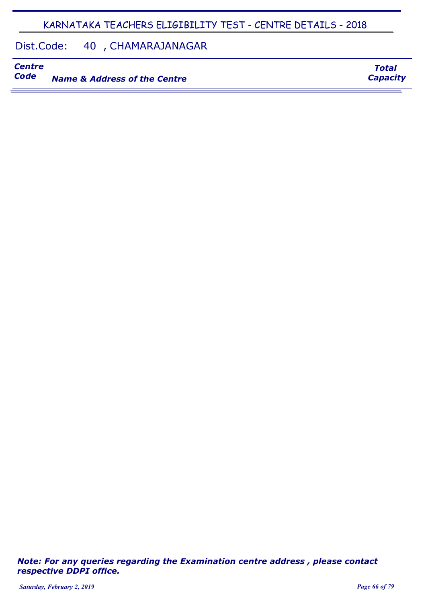#### Dist.Code: 40 , CHAMARAJANAGAR

# *Centre*

**Name & Address of the Centre** 

*Note: For any queries regarding the Examination centre address , please contact respective DDPI office.*

*Total Capacity*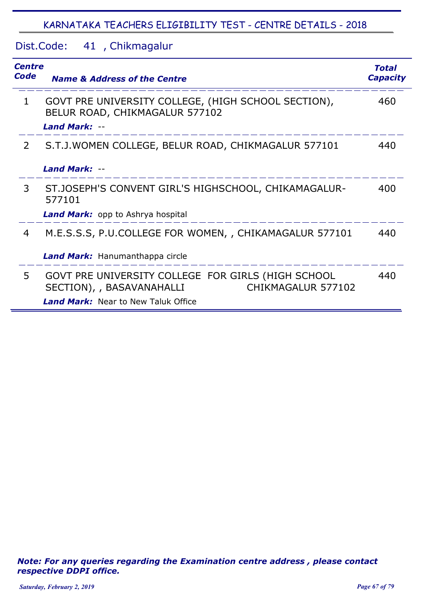### Dist.Code: 41, Chikmagalur

| <b>Centre</b><br><b>Code</b> | <b>Name &amp; Address of the Centre</b>                                                                                                             | Total<br><b>Capacity</b> |
|------------------------------|-----------------------------------------------------------------------------------------------------------------------------------------------------|--------------------------|
| $\mathbf 1$                  | GOVT PRE UNIVERSITY COLLEGE, (HIGH SCHOOL SECTION),<br>BELUR ROAD, CHIKMAGALUR 577102<br><b>Land Mark: --</b>                                       | 460                      |
| $\overline{2}$               | S.T.J. WOMEN COLLEGE, BELUR ROAD, CHIKMAGALUR 577101<br>Land Mark: --                                                                               | 440                      |
| 3                            | ST.JOSEPH'S CONVENT GIRL'S HIGHSCHOOL, CHIKAMAGALUR-<br>577101<br><b>Land Mark:</b> opp to Ashrya hospital                                          | 400                      |
| 4                            | M.E.S.S.S, P.U.COLLEGE FOR WOMEN, , CHIKAMAGALUR 577101<br>Land Mark: Hanumanthappa circle                                                          | 440                      |
| 5                            | GOVT PRE UNIVERSITY COLLEGE FOR GIRLS (HIGH SCHOOL<br>CHIKMAGALUR 577102<br>SECTION), , BASAVANAHALLI<br><b>Land Mark:</b> Near to New Taluk Office | 440                      |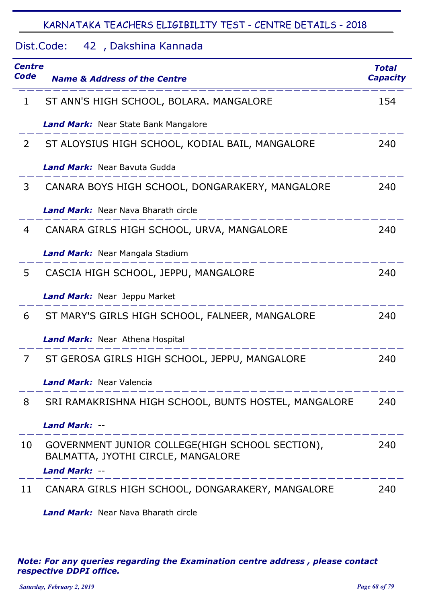| Centre<br>Code | <b>Name &amp; Address of the Centre</b>                                                                       | <b>Total</b><br><b>Capacity</b> |
|----------------|---------------------------------------------------------------------------------------------------------------|---------------------------------|
| 1              | ST ANN'S HIGH SCHOOL, BOLARA. MANGALORE                                                                       | 154                             |
|                | <b>Land Mark:</b> Near State Bank Mangalore                                                                   |                                 |
| $\overline{2}$ | ST ALOYSIUS HIGH SCHOOL, KODIAL BAIL, MANGALORE                                                               | 240                             |
|                | <b>Land Mark:</b> Near Bayuta Gudda                                                                           |                                 |
| 3              | CANARA BOYS HIGH SCHOOL, DONGARAKERY, MANGALORE                                                               | 240                             |
|                | <b>Land Mark:</b> Near Nava Bharath circle                                                                    |                                 |
| 4              | CANARA GIRLS HIGH SCHOOL, URVA, MANGALORE                                                                     | 240                             |
|                | <b>Land Mark:</b> Near Mangala Stadium                                                                        |                                 |
| 5              | CASCIA HIGH SCHOOL, JEPPU, MANGALORE                                                                          | 240                             |
|                | <b>Land Mark:</b> Near Jeppu Market                                                                           |                                 |
| 6              | ST MARY'S GIRLS HIGH SCHOOL, FALNEER, MANGALORE                                                               | 240                             |
|                | <b>Land Mark:</b> Near Athena Hospital                                                                        |                                 |
| 7              | ST GEROSA GIRLS HIGH SCHOOL, JEPPU, MANGALORE                                                                 | 240                             |
|                | <b>Land Mark: Near Valencia</b>                                                                               |                                 |
| 8              | SRI RAMAKRISHNA HIGH SCHOOL, BUNTS HOSTEL, MANGALORE                                                          | 240                             |
|                | <b>Land Mark: --</b>                                                                                          |                                 |
| 10             | GOVERNMENT JUNIOR COLLEGE(HIGH SCHOOL SECTION),<br>BALMATTA, JYOTHI CIRCLE, MANGALORE<br><b>Land Mark: --</b> | 240                             |
| 11             | CANARA GIRLS HIGH SCHOOL, DONGARAKERY, MANGALORE                                                              | 240                             |

**Land Mark:** Near Nava Bharath circle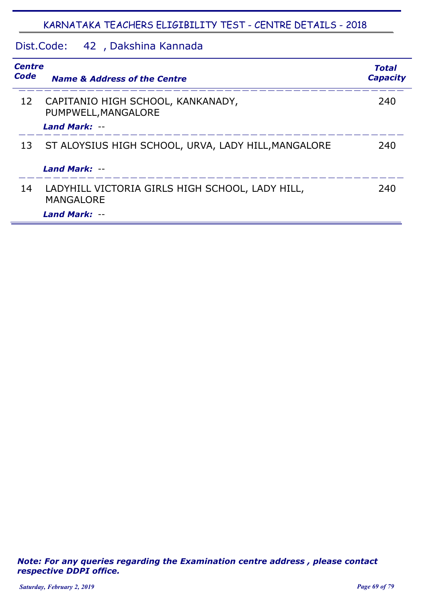## Dist.Code: 42, Dakshina Kannada

| <b>Centre</b><br><b>Code</b> | <b>Name &amp; Address of the Centre</b>                             | Total<br><b>Capacity</b> |
|------------------------------|---------------------------------------------------------------------|--------------------------|
| 12                           | CAPITANIO HIGH SCHOOL, KANKANADY,<br>PUMPWELL, MANGALORE            | 240                      |
|                              | Land Mark: --                                                       |                          |
| 13                           | ST ALOYSIUS HIGH SCHOOL, URVA, LADY HILL, MANGALORE                 | 240                      |
|                              | Land Mark: --                                                       |                          |
| 14                           | LADYHILL VICTORIA GIRLS HIGH SCHOOL, LADY HILL,<br><b>MANGALORE</b> | 240                      |
|                              | <b>Land Mark: --</b>                                                |                          |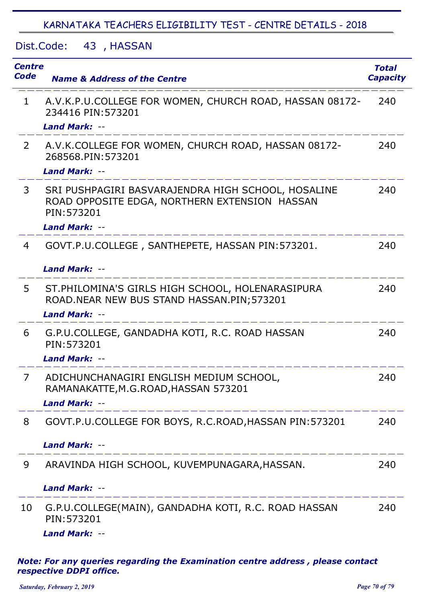Dist.Code: 43, HASSAN

| <b>Centre</b><br>Code | <b>Name &amp; Address of the Centre</b>                                                                                                    | <b>Total</b><br><b>Capacity</b> |
|-----------------------|--------------------------------------------------------------------------------------------------------------------------------------------|---------------------------------|
| $\mathbf{1}$          | A.V.K.P.U.COLLEGE FOR WOMEN, CHURCH ROAD, HASSAN 08172-<br>234416 PIN: 573201<br><b>Land Mark: --</b>                                      | 240                             |
| $\overline{2}$        | A.V.K.COLLEGE FOR WOMEN, CHURCH ROAD, HASSAN 08172-<br>268568.PIN: 573201<br><b>Land Mark: --</b>                                          | 240                             |
| 3                     | SRI PUSHPAGIRI BASVARAJENDRA HIGH SCHOOL, HOSALINE<br>ROAD OPPOSITE EDGA, NORTHERN EXTENSION HASSAN<br>PIN: 573201<br><b>Land Mark: --</b> | 240                             |
| 4                     | GOVT.P.U.COLLEGE, SANTHEPETE, HASSAN PIN: 573201.<br><b>Land Mark: --</b>                                                                  | 240                             |
| 5                     | ST. PHILOMINA'S GIRLS HIGH SCHOOL, HOLENARASIPURA<br>ROAD. NEAR NEW BUS STAND HASSAN. PIN; 573201<br><b>Land Mark: --</b>                  | 240                             |
| 6                     | G.P.U.COLLEGE, GANDADHA KOTI, R.C. ROAD HASSAN<br>PIN: 573201<br><b>Land Mark: --</b>                                                      | 240                             |
| 7                     | ADICHUNCHANAGIRI ENGLISH MEDIUM SCHOOL<br>RAMANAKATTE, M.G.ROAD, HASSAN 573201<br><b>Land Mark: --</b><br>_____________                    | 240                             |
| 8                     | GOVT.P.U.COLLEGE FOR BOYS, R.C.ROAD, HASSAN PIN: 573201<br><b>Land Mark: --</b>                                                            | 240                             |
| 9                     | ARAVINDA HIGH SCHOOL, KUVEMPUNAGARA, HASSAN.                                                                                               | 240                             |
|                       | <b>Land Mark: --</b>                                                                                                                       |                                 |
| 10                    | G.P.U.COLLEGE(MAIN), GANDADHA KOTI, R.C. ROAD HASSAN<br>PIN: 573201<br><b>Land Mark: --</b>                                                | 240                             |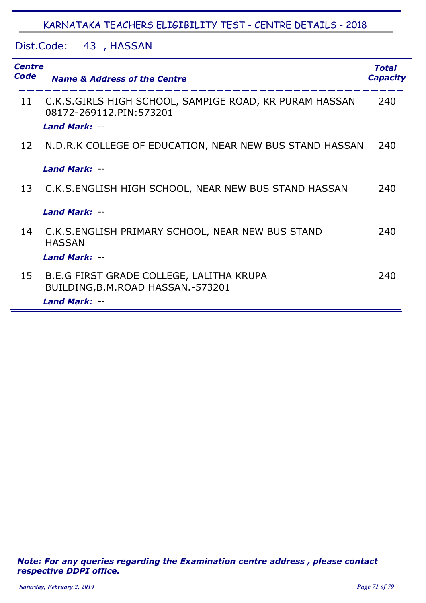Dist.Code: 43, HASSAN

| <b>Centre</b><br>Code | <b>Name &amp; Address of the Centre</b>                                                                   | <b>Total</b><br><b>Capacity</b> |
|-----------------------|-----------------------------------------------------------------------------------------------------------|---------------------------------|
| 11                    | C.K.S.GIRLS HIGH SCHOOL, SAMPIGE ROAD, KR PURAM HASSAN<br>08172-269112.PIN:573201<br><b>Land Mark: --</b> | 240                             |
| 12                    | N.D.R.K COLLEGE OF EDUCATION, NEAR NEW BUS STAND HASSAN<br>Land Mark: --                                  | 240                             |
|                       |                                                                                                           |                                 |
| 13                    | C.K.S. ENGLISH HIGH SCHOOL, NEAR NEW BUS STAND HASSAN                                                     | 240                             |
|                       | Land Mark: --                                                                                             |                                 |
| 14                    | C.K.S. ENGLISH PRIMARY SCHOOL, NEAR NEW BUS STAND<br><b>HASSAN</b><br>Land Mark: --                       | 240                             |
| 15                    | B.E.G FIRST GRADE COLLEGE, LALITHA KRUPA<br>BUILDING, B.M. ROAD HASSAN. - 573201                          | 240                             |
|                       | <b>Land Mark: --</b>                                                                                      |                                 |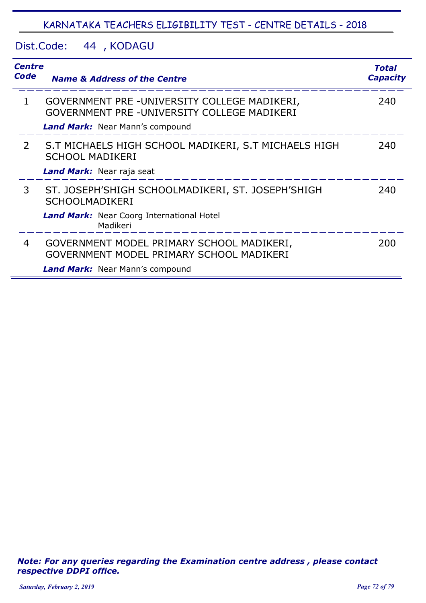Dist.Code: 44 , KODAGU

| <b>Centre</b><br><b>Code</b> | <b>Name &amp; Address of the Centre</b>                                                     | Total<br><b>Capacity</b> |
|------------------------------|---------------------------------------------------------------------------------------------|--------------------------|
| 1                            | GOVERNMENT PRE -UNIVERSITY COLLEGE MADIKERI,<br>GOVERNMENT PRE -UNIVERSITY COLLEGE MADIKERI | 240                      |
|                              | <b>Land Mark:</b> Near Mann's compound                                                      |                          |
| $\mathcal{P}$                | S.T MICHAELS HIGH SCHOOL MADIKERI, S.T MICHAELS HIGH<br><b>SCHOOL MADIKERI</b>              | 240                      |
|                              | Land Mark: Near raja seat                                                                   |                          |
| 3                            | ST. JOSEPH'SHIGH SCHOOLMADIKERI, ST. JOSEPH'SHIGH<br><b>SCHOOLMADIKERI</b>                  | 240                      |
|                              | <b>Land Mark:</b> Near Coorg International Hotel<br>Madikeri                                |                          |
| 4                            | GOVERNMENT MODEL PRIMARY SCHOOL MADIKERI,<br>GOVERNMENT MODEL PRIMARY SCHOOL MADIKERI       | 200                      |
|                              | <b>Land Mark:</b> Near Mann's compound                                                      |                          |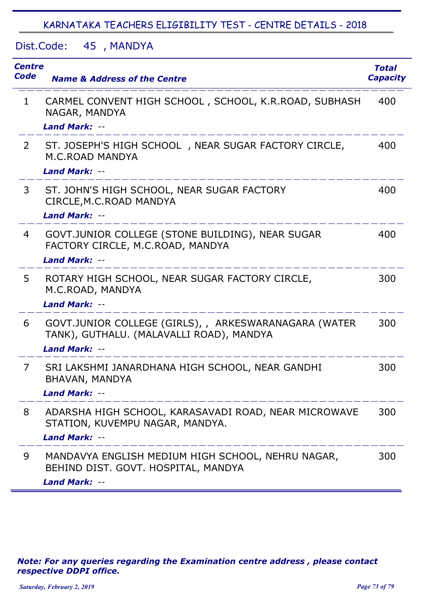Dist.Code: 45 , MANDYA

| <b>Centre</b><br>Code | <b>Name &amp; Address of the Centre</b>                                                                                                                                                                                                  | <b>Total</b><br><b>Capacity</b> |
|-----------------------|------------------------------------------------------------------------------------------------------------------------------------------------------------------------------------------------------------------------------------------|---------------------------------|
| $\mathbf{1}$          | CARMEL CONVENT HIGH SCHOOL, SCHOOL, K.R.ROAD, SUBHASH<br>NAGAR, MANDYA<br><b>Land Mark: --</b>                                                                                                                                           | 400                             |
| $\overline{2}$        | ST. JOSEPH'S HIGH SCHOOL, NEAR SUGAR FACTORY CIRCLE,<br><b>M.C.ROAD MANDYA</b><br><b>Land Mark: --</b>                                                                                                                                   | 400                             |
| 3                     | ST. JOHN'S HIGH SCHOOL, NEAR SUGAR FACTORY<br>CIRCLE, M.C. ROAD MANDYA<br><b>Land Mark: --</b>                                                                                                                                           | 400                             |
| 4                     | GOVT. JUNIOR COLLEGE (STONE BUILDING), NEAR SUGAR<br>FACTORY CIRCLE, M.C.ROAD, MANDYA<br><b>Land Mark: --</b>                                                                                                                            | 400                             |
| 5                     | ROTARY HIGH SCHOOL, NEAR SUGAR FACTORY CIRCLE,<br>M.C.ROAD, MANDYA<br><b>Land Mark: --</b>                                                                                                                                               | 300                             |
| 6                     | GOVT.JUNIOR COLLEGE (GIRLS), , ARKESWARANAGARA (WATER<br>TANK), GUTHALU. (MALAVALLI ROAD), MANDYA<br><b>Land Mark: --</b>                                                                                                                | 300                             |
| 7                     | SRI LAKSHMI JANARDHANA HIGH SCHOOL, NEAR GANDHI<br>BHAVAN, MANDYA<br>Land Mark: --                                                                                                                                                       | 300                             |
| 8                     | ADARSHA HIGH SCHOOL, KARASAVADI ROAD, NEAR MICROWAVE<br>STATION, KUVEMPU NAGAR, MANDYA.<br><b>Land Mark: --</b><br><u> de la componenta de la componenta de la componenta de la componenta de la componenta de la componenta de la c</u> | 300                             |
| 9                     | MANDAVYA ENGLISH MEDIUM HIGH SCHOOL, NEHRU NAGAR,<br>BEHIND DIST. GOVT. HOSPITAL, MANDYA<br><b>Land Mark: --</b>                                                                                                                         | 300                             |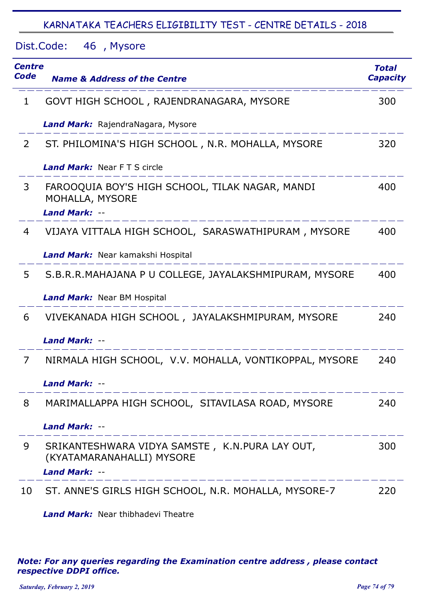Dist.Code: 46, Mysore

| Centre<br>Code | <b>Name &amp; Address of the Centre</b>                                                             | <b>Total</b><br><b>Capacity</b> |
|----------------|-----------------------------------------------------------------------------------------------------|---------------------------------|
| 1              | GOVT HIGH SCHOOL, RAJENDRANAGARA, MYSORE                                                            | 300                             |
|                | Land Mark: RajendraNagara, Mysore                                                                   |                                 |
| 2              | ST. PHILOMINA'S HIGH SCHOOL, N.R. MOHALLA, MYSORE                                                   | 320                             |
|                | Land Mark: Near FTS circle                                                                          |                                 |
| 3              | FAROOQUIA BOY'S HIGH SCHOOL, TILAK NAGAR, MANDI<br>MOHALLA, MYSORE                                  | 400                             |
|                | <b>Land Mark: --</b>                                                                                |                                 |
| 4              | VIJAYA VITTALA HIGH SCHOOL, SARASWATHIPURAM, MYSORE                                                 | 400                             |
|                | Land Mark: Near kamakshi Hospital                                                                   |                                 |
| 5              | S.B.R.R.MAHAJANA P U COLLEGE, JAYALAKSHMIPURAM, MYSORE                                              | 400                             |
|                | <b>Land Mark:</b> Near BM Hospital                                                                  |                                 |
| 6              | VIVEKANADA HIGH SCHOOL, JAYALAKSHMIPURAM, MYSORE                                                    | 240                             |
|                | <b>Land Mark: --</b>                                                                                |                                 |
| 7              | NIRMALA HIGH SCHOOL, V.V. MOHALLA, VONTIKOPPAL, MYSORE                                              | 240                             |
|                | <b>Land Mark: --</b>                                                                                |                                 |
| 8              | MARIMALLAPPA HIGH SCHOOL, SITAVILASA ROAD, MYSORE                                                   | 240                             |
|                | <b>Land Mark: --</b>                                                                                |                                 |
| 9              | SRIKANTESHWARA VIDYA SAMSTE, K.N.PURA LAY OUT,<br>(KYATAMARANAHALLI) MYSORE<br><b>Land Mark: --</b> | 300                             |
| 10             | ST. ANNE'S GIRLS HIGH SCHOOL, N.R. MOHALLA, MYSORE-7                                                | 220                             |

*Land Mark:* Near thibhadevi Theatre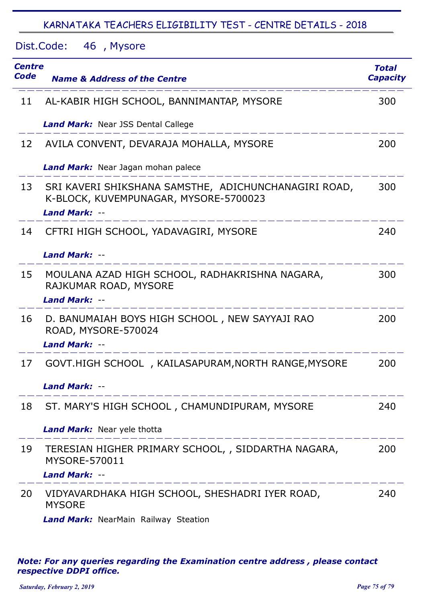Dist.Code: 46, Mysore

| Centre<br>Code | <b>Name &amp; Address of the Centre</b>                                                                               | <b>Total</b><br><b>Capacity</b> |
|----------------|-----------------------------------------------------------------------------------------------------------------------|---------------------------------|
| 11             | AL-KABIR HIGH SCHOOL, BANNIMANTAP, MYSORE                                                                             | 300                             |
|                | <b>Land Mark:</b> Near JSS Dental Callege                                                                             |                                 |
| 12             | AVILA CONVENT, DEVARAJA MOHALLA, MYSORE                                                                               | 200                             |
|                | <b>Land Mark:</b> Near Jagan mohan palece                                                                             |                                 |
| 13             | SRI KAVERI SHIKSHANA SAMSTHE, ADICHUNCHANAGIRI ROAD,<br>K-BLOCK, KUVEMPUNAGAR, MYSORE-5700023<br><b>Land Mark: --</b> | 300                             |
| 14             | CFTRI HIGH SCHOOL, YADAVAGIRI, MYSORE<br>Land Mark: --                                                                | 240                             |
| 15             | MOULANA AZAD HIGH SCHOOL, RADHAKRISHNA NAGARA,<br>RAJKUMAR ROAD, MYSORE<br>Land Mark: --                              | 300                             |
| 16             | D. BANUMAIAH BOYS HIGH SCHOOL, NEW SAYYAJI RAO<br>ROAD, MYSORE-570024<br><b>Land Mark: --</b>                         | 200                             |
| 17             | GOVT.HIGH SCHOOL, KAILASAPURAM, NORTH RANGE, MYSORE<br>Land Mark: --                                                  | 200                             |
| 18             | ST. MARY'S HIGH SCHOOL, CHAMUNDIPURAM, MYSORE                                                                         | 240                             |
|                | <b>Land Mark:</b> Near yele thotta                                                                                    |                                 |
| 19             | TERESIAN HIGHER PRIMARY SCHOOL, , SIDDARTHA NAGARA,<br>MYSORE-570011                                                  | 200                             |
|                | <b>Land Mark: --</b>                                                                                                  |                                 |
| 20             | VIDYAVARDHAKA HIGH SCHOOL, SHESHADRI IYER ROAD,<br><b>MYSORE</b>                                                      | 240                             |
|                |                                                                                                                       |                                 |

*Land Mark:* NearMain Railway Steation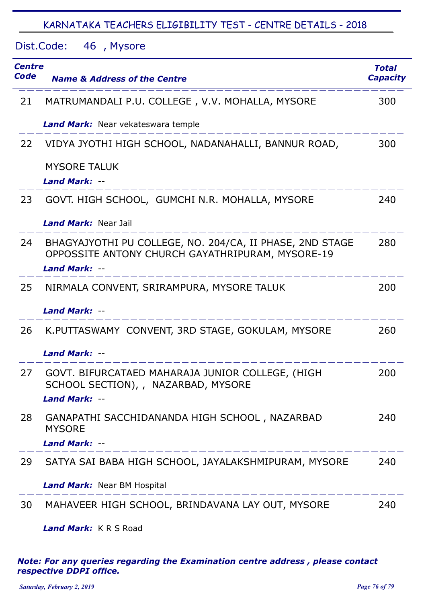| Dist.Code: 46, Mysore        |                                                                                                                 |                                 |
|------------------------------|-----------------------------------------------------------------------------------------------------------------|---------------------------------|
| <b>Centre</b><br><b>Code</b> | <b>Name &amp; Address of the Centre</b>                                                                         | <b>Total</b><br><b>Capacity</b> |
| 21                           | MATRUMANDALI P.U. COLLEGE, V.V. MOHALLA, MYSORE                                                                 | 300                             |
|                              | Land Mark: Near vekateswara temple                                                                              |                                 |
| 22                           | VIDYA JYOTHI HIGH SCHOOL, NADANAHALLI, BANNUR ROAD,                                                             | 300                             |
|                              | <b>MYSORE TALUK</b><br><b>Land Mark: --</b>                                                                     |                                 |
| 23                           | GOVT. HIGH SCHOOL, GUMCHI N.R. MOHALLA, MYSORE                                                                  | 240                             |
|                              | <b>Land Mark: Near Jail</b>                                                                                     |                                 |
| 24                           | BHAGYAJYOTHI PU COLLEGE, NO. 204/CA, II PHASE, 2ND STAGE<br>OPPOSSITE ANTONY CHURCH GAYATHRIPURAM, MYSORE-19    | 280                             |
|                              | <b>Land Mark: --</b>                                                                                            |                                 |
| 25                           | NIRMALA CONVENT, SRIRAMPURA, MYSORE TALUK                                                                       | 200                             |
|                              | <b>Land Mark: --</b>                                                                                            |                                 |
| 26                           | K.PUTTASWAMY CONVENT, 3RD STAGE, GOKULAM, MYSORE                                                                | 260                             |
|                              | <b>Land Mark: --</b>                                                                                            |                                 |
| 27                           | GOVT. BIFURCATAED MAHARAJA JUNIOR COLLEGE, (HIGH<br>SCHOOL SECTION), , NAZARBAD, MYSORE<br><b>Land Mark: --</b> | 200                             |
| 28                           | GANAPATHI SACCHIDANANDA HIGH SCHOOL, NAZARBAD<br><b>MYSORE</b>                                                  | 240                             |
|                              | <b>Land Mark: --</b>                                                                                            |                                 |
| 29                           | SATYA SAI BABA HIGH SCHOOL, JAYALAKSHMIPURAM, MYSORE                                                            | 240                             |
|                              | <b>Land Mark:</b> Near BM Hospital                                                                              |                                 |
| 30                           | MAHAVEER HIGH SCHOOL, BRINDAVANA LAY OUT, MYSORE                                                                | 240                             |

*Land Mark:* K R S Road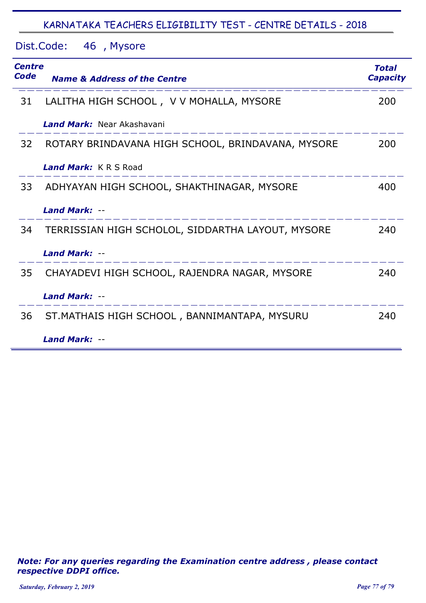Dist.Code: 46, Mysore

| Centre<br>Code | <b>Name &amp; Address of the Centre</b>           | Total<br><b>Capacity</b> |
|----------------|---------------------------------------------------|--------------------------|
| 31             | LALITHA HIGH SCHOOL, V V MOHALLA, MYSORE          | 200                      |
|                | <b>Land Mark:</b> Near Akashavani                 |                          |
| 32             | ROTARY BRINDAVANA HIGH SCHOOL, BRINDAVANA, MYSORE | 200                      |
|                | Land Mark: KRS Road                               |                          |
| 33             | ADHYAYAN HIGH SCHOOL, SHAKTHINAGAR, MYSORE        | 400                      |
|                | Land Mark: --                                     |                          |
| 34             | TERRISSIAN HIGH SCHOLOL, SIDDARTHA LAYOUT, MYSORE | 240                      |
|                | Land Mark: --                                     |                          |
| 35             | CHAYADEVI HIGH SCHOOL, RAJENDRA NAGAR, MYSORE     | 240                      |
|                | Land Mark: --                                     |                          |
| 36             | ST. MATHAIS HIGH SCHOOL, BANNIMANTAPA, MYSURU     | 240                      |
|                | Land Mark: --                                     |                          |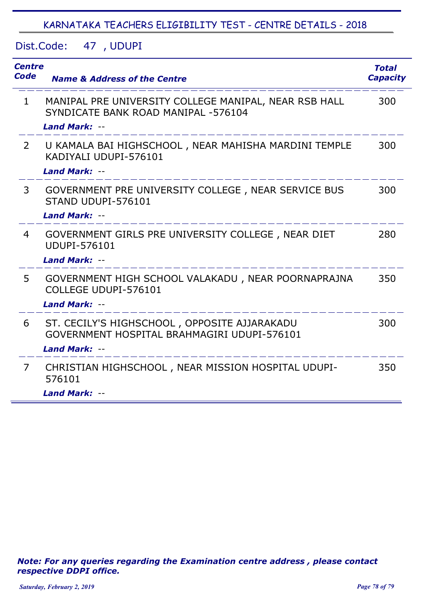Dist.Code: 47 UDUPI ,

| <b>Centre</b><br><b>Code</b> | <b>Name &amp; Address of the Centre</b>                                                                              | <b>Total</b><br><b>Capacity</b> |
|------------------------------|----------------------------------------------------------------------------------------------------------------------|---------------------------------|
| $\mathbf{1}$                 | MANIPAL PRE UNIVERSITY COLLEGE MANIPAL, NEAR RSB HALL<br>SYNDICATE BANK ROAD MANIPAL -576104<br><b>Land Mark: --</b> | 300                             |
| $2^{\circ}$                  | U KAMALA BAI HIGHSCHOOL , NEAR MAHISHA MARDINI TEMPLE<br>KADIYALI UDUPI-576101<br><b>Land Mark: --</b>               | 300                             |
| 3                            | GOVERNMENT PRE UNIVERSITY COLLEGE, NEAR SERVICE BUS<br>STAND UDUPI-576101<br><b>Land Mark: --</b>                    | 300                             |
| $\overline{4}$               | GOVERNMENT GIRLS PRE UNIVERSITY COLLEGE, NEAR DIET<br><b>UDUPI-576101</b><br><b>Land Mark: --</b>                    | 280                             |
| 5                            | GOVERNMENT HIGH SCHOOL VALAKADU, NEAR POORNAPRAJNA<br>COLLEGE UDUPI-576101<br><b>Land Mark: --</b>                   | 350                             |
| 6                            | ST. CECILY'S HIGHSCHOOL, OPPOSITE AJJARAKADU<br>GOVERNMENT HOSPITAL BRAHMAGIRI UDUPI-576101<br>Land Mark: --         | 300                             |
| $\overline{7}$               | CHRISTIAN HIGHSCHOOL, NEAR MISSION HOSPITAL UDUPI-<br>576101<br><b>Land Mark: --</b>                                 | 350                             |